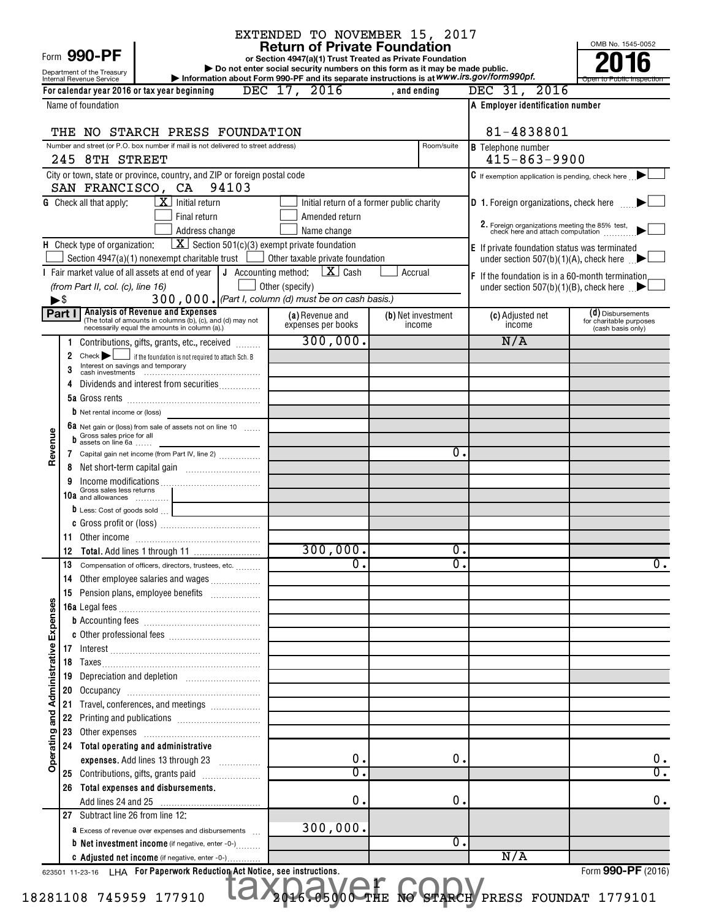| Form 990-PF |  |  |  |
|-------------|--|--|--|
|-------------|--|--|--|

# EXTENDED TO NOVEMBER 15, 2017

OMB No. 1545-0052

|                                       |          | Form 990-PF                                            |                                                                                                                                     |                 | <b>Return of Private Foundation</b>                                                                                                      |              |                    |                                                                                                       | OMB No. 1545-0052                            |
|---------------------------------------|----------|--------------------------------------------------------|-------------------------------------------------------------------------------------------------------------------------------------|-----------------|------------------------------------------------------------------------------------------------------------------------------------------|--------------|--------------------|-------------------------------------------------------------------------------------------------------|----------------------------------------------|
|                                       |          |                                                        |                                                                                                                                     |                 | or Section 4947(a)(1) Trust Treated as Private Foundation<br>Do not enter social security numbers on this form as it may be made public. |              |                    |                                                                                                       |                                              |
|                                       |          | Department of the Treasury<br>Internal Revenue Service |                                                                                                                                     |                 |                                                                                                                                          |              |                    | Information about Form 990-PF and its separate instructions is at WWW.irs.gov/form990pf.              | Open to Public Inspection                    |
|                                       |          |                                                        | For calendar year 2016 or tax year beginning                                                                                        |                 | DEC 17, 2016                                                                                                                             | , and ending |                    | DEC 31, 2016                                                                                          |                                              |
|                                       |          | Name of foundation                                     |                                                                                                                                     |                 |                                                                                                                                          |              |                    | A Employer identification number                                                                      |                                              |
|                                       |          |                                                        |                                                                                                                                     |                 |                                                                                                                                          |              |                    |                                                                                                       |                                              |
|                                       |          |                                                        | THE NO STARCH PRESS FOUNDATION                                                                                                      |                 |                                                                                                                                          |              |                    | 81-4838801                                                                                            |                                              |
|                                       |          |                                                        | Number and street (or P.O. box number if mail is not delivered to street address)                                                   |                 |                                                                                                                                          |              | Room/suite         | <b>B</b> Telephone number                                                                             |                                              |
|                                       |          | 245 8TH STREET                                         |                                                                                                                                     |                 |                                                                                                                                          |              |                    | $415 - 863 - 9900$                                                                                    |                                              |
|                                       |          |                                                        | City or town, state or province, country, and ZIP or foreign postal code<br>SAN FRANCISCO, CA 94103                                 |                 |                                                                                                                                          |              |                    | $\mathsf C$ If exemption application is pending, check here $\Box$                                    |                                              |
|                                       |          | <b>G</b> Check all that apply:                         | $\overline{\mathbf{X}}$ Initial return                                                                                              |                 |                                                                                                                                          |              |                    |                                                                                                       |                                              |
|                                       |          |                                                        | Final return                                                                                                                        |                 | Initial return of a former public charity<br>Amended return                                                                              |              |                    | <b>D</b> 1. Foreign organizations, check here                                                         |                                              |
|                                       |          |                                                        | Address change                                                                                                                      |                 | Name change                                                                                                                              |              |                    | 2. Foreign organizations meeting the 85% test, check here and attach computation                      |                                              |
|                                       |          | <b>H</b> Check type of organization:                   |                                                                                                                                     |                 | $\boxed{\mathbf{X}}$ Section 501(c)(3) exempt private foundation                                                                         |              |                    |                                                                                                       |                                              |
|                                       |          |                                                        | Section 4947(a)(1) nonexempt charitable trust                                                                                       |                 | Other taxable private foundation                                                                                                         |              |                    | <b>E</b> If private foundation status was terminated<br>under section 507(b)(1)(A), check here $\Box$ |                                              |
|                                       |          |                                                        | Fair market value of all assets at end of year $\parallel$ J Accounting method:                                                     |                 | $\mathbf{X}$ Cash                                                                                                                        | Accrual      |                    | <b>F</b> If the foundation is in a 60-month termination                                               |                                              |
|                                       |          | (from Part II, col. (c), line 16)                      |                                                                                                                                     | Other (specify) |                                                                                                                                          |              |                    | under section 507(b)(1)(B), check here $\Box$                                                         |                                              |
| $\blacktriangleright$ $\mathbb{S}$    |          |                                                        |                                                                                                                                     |                 | 300,000. (Part I, column (d) must be on cash basis.)                                                                                     |              |                    |                                                                                                       |                                              |
|                                       | Part I   |                                                        | <b>Analysis of Revenue and Expenses</b><br>(The total of amounts in columns (b), (c), and (d) may not                               |                 | (a) Revenue and                                                                                                                          |              | (b) Net investment | (c) Adjusted net                                                                                      | (d) Disbursements                            |
|                                       |          |                                                        | necessarily equal the amounts in column (a).)                                                                                       |                 | expenses per books                                                                                                                       |              | income             | income                                                                                                | for charitable purposes<br>(cash basis only) |
|                                       | 1        |                                                        | Contributions, gifts, grants, etc., received                                                                                        |                 | 300,000.                                                                                                                                 |              |                    | N/A                                                                                                   |                                              |
|                                       | 2        | Check                                                  | If the foundation is not required to attach Sch. B                                                                                  |                 |                                                                                                                                          |              |                    |                                                                                                       |                                              |
|                                       |          |                                                        | Interest on savings and temporary<br>cash investments <b>continues continues cash</b> investments <b>continues cash</b> investments |                 |                                                                                                                                          |              |                    |                                                                                                       |                                              |
|                                       |          |                                                        | Dividends and interest from securities                                                                                              |                 |                                                                                                                                          |              |                    |                                                                                                       |                                              |
|                                       |          |                                                        |                                                                                                                                     |                 |                                                                                                                                          |              |                    |                                                                                                       |                                              |
|                                       |          | <b>b</b> Net rental income or (loss)                   |                                                                                                                                     |                 |                                                                                                                                          |              |                    |                                                                                                       |                                              |
|                                       |          | Gross sales price for all                              | <b>6a</b> Net gain or (loss) from sale of assets not on line 10 $\ldots$                                                            |                 |                                                                                                                                          |              |                    |                                                                                                       |                                              |
| Revenue                               |          | assets on line 6a                                      |                                                                                                                                     |                 |                                                                                                                                          |              | 0.                 |                                                                                                       |                                              |
|                                       | 7        |                                                        | Capital gain net income (from Part IV, line 2)                                                                                      |                 |                                                                                                                                          |              |                    |                                                                                                       |                                              |
|                                       | 8<br>9   |                                                        |                                                                                                                                     |                 |                                                                                                                                          |              |                    |                                                                                                       |                                              |
|                                       |          | Gross sales less returns<br>10 $a$ and allowances      |                                                                                                                                     |                 |                                                                                                                                          |              |                    |                                                                                                       |                                              |
|                                       |          |                                                        |                                                                                                                                     |                 |                                                                                                                                          |              |                    |                                                                                                       |                                              |
|                                       |          |                                                        |                                                                                                                                     |                 |                                                                                                                                          |              |                    |                                                                                                       |                                              |
|                                       | 11       |                                                        |                                                                                                                                     |                 |                                                                                                                                          |              |                    |                                                                                                       |                                              |
|                                       |          |                                                        |                                                                                                                                     |                 | 300,000.                                                                                                                                 |              | 0.                 |                                                                                                       |                                              |
|                                       |          |                                                        | Compensation of officers, directors, trustees, etc.                                                                                 |                 | $\overline{0}$ .                                                                                                                         |              | σ.                 |                                                                                                       | $\overline{0}$ .                             |
|                                       | 14       |                                                        | Other employee salaries and wages                                                                                                   |                 |                                                                                                                                          |              |                    |                                                                                                       |                                              |
|                                       | 15       |                                                        |                                                                                                                                     |                 |                                                                                                                                          |              |                    |                                                                                                       |                                              |
|                                       |          |                                                        |                                                                                                                                     |                 |                                                                                                                                          |              |                    |                                                                                                       |                                              |
|                                       |          |                                                        |                                                                                                                                     |                 |                                                                                                                                          |              |                    |                                                                                                       |                                              |
|                                       |          |                                                        |                                                                                                                                     |                 |                                                                                                                                          |              |                    |                                                                                                       |                                              |
| Operating and Administrative Expenses |          |                                                        |                                                                                                                                     |                 |                                                                                                                                          |              |                    |                                                                                                       |                                              |
|                                       | 18       |                                                        |                                                                                                                                     |                 |                                                                                                                                          |              |                    |                                                                                                       |                                              |
|                                       | 19       |                                                        |                                                                                                                                     |                 |                                                                                                                                          |              |                    |                                                                                                       |                                              |
|                                       | 20       |                                                        |                                                                                                                                     |                 |                                                                                                                                          |              |                    |                                                                                                       |                                              |
|                                       | 21<br>22 |                                                        | Travel, conferences, and meetings                                                                                                   |                 |                                                                                                                                          |              |                    |                                                                                                       |                                              |
|                                       | 23       |                                                        |                                                                                                                                     |                 |                                                                                                                                          |              |                    |                                                                                                       |                                              |
|                                       |          |                                                        | 24 Total operating and administrative                                                                                               |                 |                                                                                                                                          |              |                    |                                                                                                       |                                              |
|                                       |          |                                                        | expenses. Add lines 13 through 23                                                                                                   |                 | 0.                                                                                                                                       |              | 0.                 |                                                                                                       | 0.                                           |
|                                       |          |                                                        |                                                                                                                                     |                 | $\overline{0}$                                                                                                                           |              |                    |                                                                                                       | $\overline{\mathfrak{o}}$ .                  |
|                                       | 26       |                                                        | Total expenses and disbursements.                                                                                                   |                 |                                                                                                                                          |              |                    |                                                                                                       |                                              |
|                                       |          |                                                        |                                                                                                                                     |                 | 0.                                                                                                                                       |              | $\mathbf 0$        |                                                                                                       | 0.                                           |
|                                       |          | 27 Subtract line 26 from line 12:                      |                                                                                                                                     |                 |                                                                                                                                          |              |                    |                                                                                                       |                                              |
|                                       |          |                                                        | <b>a</b> Excess of revenue over expenses and disbursements                                                                          |                 | 300,000.                                                                                                                                 |              |                    |                                                                                                       |                                              |
|                                       |          |                                                        | <b>b</b> Net investment income (if negative, enter -0-)                                                                             |                 |                                                                                                                                          |              | Ο.                 |                                                                                                       |                                              |
|                                       |          |                                                        | C Adjusted net income (if negative, enter -0-)                                                                                      |                 |                                                                                                                                          |              |                    | N/A                                                                                                   |                                              |

1

623501 11-23-16 **For Paperwork Reduction Act Notice, see instructions.** LHA Form (2016) **The Notice, see instructions.**<br>Taxpa<sub>946</sub> Co5<sub>900</sub> CTHE No GTARCH

Form **990-PF** (2016)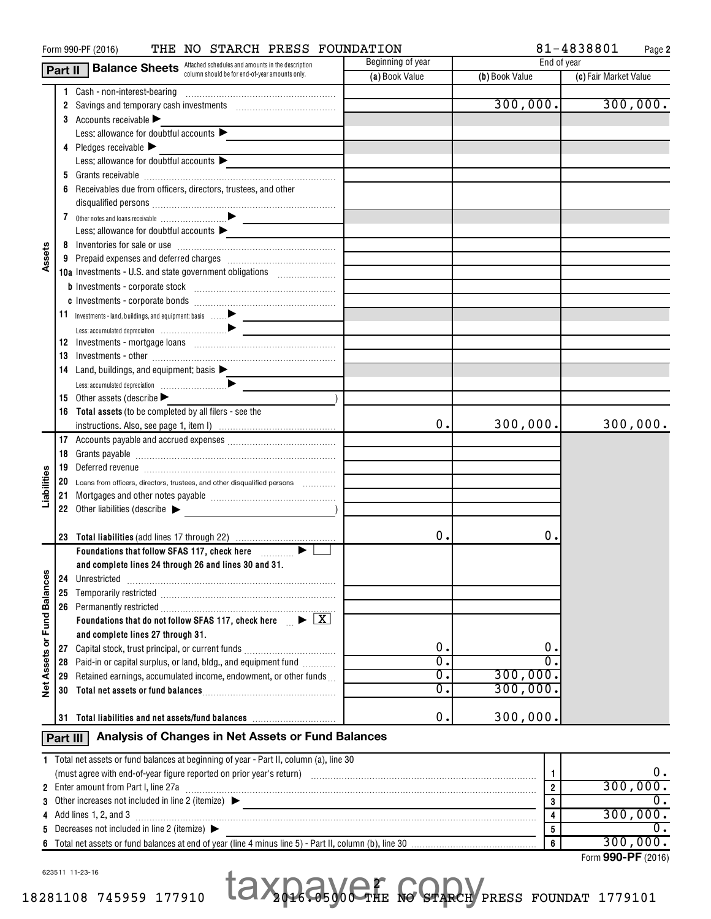| THE NO STARCH PRESS FOUNDATION<br>Form 990-PF (2016) |          |                                                                                                                                                                                                                                                                                                                                                                                                                                              |                                                                                                                  |                | 81-4838801<br>Page 2  |  |  |  |
|------------------------------------------------------|----------|----------------------------------------------------------------------------------------------------------------------------------------------------------------------------------------------------------------------------------------------------------------------------------------------------------------------------------------------------------------------------------------------------------------------------------------------|------------------------------------------------------------------------------------------------------------------|----------------|-----------------------|--|--|--|
|                                                      | Part II  | <b>Balance Sheets</b> Attached schedules and amounts in the description                                                                                                                                                                                                                                                                                                                                                                      | Beginning of year                                                                                                | End of year    |                       |  |  |  |
|                                                      |          | column should be for end-of-year amounts only.                                                                                                                                                                                                                                                                                                                                                                                               | (a) Book Value                                                                                                   | (b) Book Value | (c) Fair Market Value |  |  |  |
|                                                      |          | 1 Cash - non-interest-bearing                                                                                                                                                                                                                                                                                                                                                                                                                |                                                                                                                  |                |                       |  |  |  |
|                                                      |          | 2 Savings and temporary cash investments [111] Savings and temporary cash investments [11] Savings and temporary cash                                                                                                                                                                                                                                                                                                                        |                                                                                                                  | 300,000.       | 300,000.              |  |  |  |
|                                                      |          | 3 Accounts receivable $\blacktriangleright$                                                                                                                                                                                                                                                                                                                                                                                                  |                                                                                                                  |                |                       |  |  |  |
|                                                      |          | Less: allowance for doubtful accounts $\blacktriangleright$                                                                                                                                                                                                                                                                                                                                                                                  |                                                                                                                  |                |                       |  |  |  |
|                                                      |          | 4 Pledges receivable $\blacktriangleright$                                                                                                                                                                                                                                                                                                                                                                                                   |                                                                                                                  |                |                       |  |  |  |
|                                                      |          | Less: allowance for doubtful accounts $\blacktriangleright$                                                                                                                                                                                                                                                                                                                                                                                  |                                                                                                                  |                |                       |  |  |  |
|                                                      |          | 5 Grants receivable                                                                                                                                                                                                                                                                                                                                                                                                                          |                                                                                                                  |                |                       |  |  |  |
|                                                      |          | Receivables due from officers, directors, trustees, and other                                                                                                                                                                                                                                                                                                                                                                                |                                                                                                                  |                |                       |  |  |  |
|                                                      |          |                                                                                                                                                                                                                                                                                                                                                                                                                                              |                                                                                                                  |                |                       |  |  |  |
|                                                      |          |                                                                                                                                                                                                                                                                                                                                                                                                                                              |                                                                                                                  |                |                       |  |  |  |
|                                                      |          | Less: allowance for doubtful accounts $\blacktriangleright$                                                                                                                                                                                                                                                                                                                                                                                  |                                                                                                                  |                |                       |  |  |  |
|                                                      |          |                                                                                                                                                                                                                                                                                                                                                                                                                                              |                                                                                                                  |                |                       |  |  |  |
| Assets                                               |          |                                                                                                                                                                                                                                                                                                                                                                                                                                              |                                                                                                                  |                |                       |  |  |  |
|                                                      |          | <b>10a</b> Investments - U.S. and state government obligations                                                                                                                                                                                                                                                                                                                                                                               |                                                                                                                  |                |                       |  |  |  |
|                                                      |          |                                                                                                                                                                                                                                                                                                                                                                                                                                              |                                                                                                                  |                |                       |  |  |  |
|                                                      |          | ${\small \bf c} \hskip 1mm {\small \hbox{Investments - corporate bonds}} \hskip 1.0cm \ldots \hskip 1.0cm \ldots \hskip 1.0cm \ldots \hskip 1.0cm \ldots \hskip 1.0cm \ldots \hskip 1.0cm \ldots \hskip 1.0cm \ldots \hskip 1.0cm \ldots \hskip 1.0cm \ldots \hskip 1.0cm \ldots \hskip 1.0cm \ldots \hskip 1.0cm \ldots \hskip 1.0cm \ldots \hskip 1.0cm \ldots \hskip 1.0cm \ldots \hskip 1.0cm \ldots \hskip 1.0cm \ldots \hskip 1.0cm \$ |                                                                                                                  |                |                       |  |  |  |
|                                                      |          |                                                                                                                                                                                                                                                                                                                                                                                                                                              |                                                                                                                  |                |                       |  |  |  |
|                                                      |          |                                                                                                                                                                                                                                                                                                                                                                                                                                              |                                                                                                                  |                |                       |  |  |  |
|                                                      |          |                                                                                                                                                                                                                                                                                                                                                                                                                                              |                                                                                                                  |                |                       |  |  |  |
|                                                      | 13       |                                                                                                                                                                                                                                                                                                                                                                                                                                              |                                                                                                                  |                |                       |  |  |  |
|                                                      |          | 14 Land, buildings, and equipment: basis $\blacktriangleright$                                                                                                                                                                                                                                                                                                                                                                               |                                                                                                                  |                |                       |  |  |  |
|                                                      |          |                                                                                                                                                                                                                                                                                                                                                                                                                                              |                                                                                                                  |                |                       |  |  |  |
|                                                      |          | 15 Other assets (describe $\blacktriangleright$                                                                                                                                                                                                                                                                                                                                                                                              |                                                                                                                  |                |                       |  |  |  |
|                                                      |          | 16 Total assets (to be completed by all filers - see the                                                                                                                                                                                                                                                                                                                                                                                     |                                                                                                                  |                |                       |  |  |  |
|                                                      |          |                                                                                                                                                                                                                                                                                                                                                                                                                                              | 0.                                                                                                               | 300,000.       | 300,000.              |  |  |  |
|                                                      |          |                                                                                                                                                                                                                                                                                                                                                                                                                                              |                                                                                                                  |                |                       |  |  |  |
|                                                      | 18       |                                                                                                                                                                                                                                                                                                                                                                                                                                              |                                                                                                                  |                |                       |  |  |  |
|                                                      |          |                                                                                                                                                                                                                                                                                                                                                                                                                                              |                                                                                                                  |                |                       |  |  |  |
| Liabilities                                          | 19       | Deferred revenue information and the contract of the contract of the contract of the contract of the contract of the contract of the contract of the contract of the contract of the contract of the contract of the contract                                                                                                                                                                                                                |                                                                                                                  |                |                       |  |  |  |
|                                                      | 20       | Loans from officers, directors, trustees, and other disqualified persons                                                                                                                                                                                                                                                                                                                                                                     |                                                                                                                  |                |                       |  |  |  |
|                                                      |          |                                                                                                                                                                                                                                                                                                                                                                                                                                              |                                                                                                                  |                |                       |  |  |  |
|                                                      |          | 22 Other liabilities (describe $\blacktriangleright$                                                                                                                                                                                                                                                                                                                                                                                         |                                                                                                                  |                |                       |  |  |  |
|                                                      |          |                                                                                                                                                                                                                                                                                                                                                                                                                                              | о.                                                                                                               | 0.             |                       |  |  |  |
|                                                      |          | Foundations that follow SFAS 117, check here <b>Fig. 10.13</b>                                                                                                                                                                                                                                                                                                                                                                               |                                                                                                                  |                |                       |  |  |  |
|                                                      |          | and complete lines 24 through 26 and lines 30 and 31.                                                                                                                                                                                                                                                                                                                                                                                        |                                                                                                                  |                |                       |  |  |  |
|                                                      | 24       | Unrestricted                                                                                                                                                                                                                                                                                                                                                                                                                                 |                                                                                                                  |                |                       |  |  |  |
|                                                      | 25       |                                                                                                                                                                                                                                                                                                                                                                                                                                              |                                                                                                                  |                |                       |  |  |  |
|                                                      |          |                                                                                                                                                                                                                                                                                                                                                                                                                                              |                                                                                                                  |                |                       |  |  |  |
| Net Assets or Fund Balances                          |          | Foundations that do not follow SFAS 117, check here $\mathbb{R}$ $\blacktriangleright$ $\boxed{\mathbf{X}}$                                                                                                                                                                                                                                                                                                                                  |                                                                                                                  |                |                       |  |  |  |
|                                                      |          | and complete lines 27 through 31.                                                                                                                                                                                                                                                                                                                                                                                                            |                                                                                                                  |                |                       |  |  |  |
|                                                      |          |                                                                                                                                                                                                                                                                                                                                                                                                                                              | 0.                                                                                                               | 0.             |                       |  |  |  |
|                                                      |          | 28 Paid-in or capital surplus, or land, bldg., and equipment fund <i>[[[[[[[[[[[[[[[]]]]</i>                                                                                                                                                                                                                                                                                                                                                 | 0.                                                                                                               |                |                       |  |  |  |
|                                                      |          | 29 Retained earnings, accumulated income, endowment, or other funds                                                                                                                                                                                                                                                                                                                                                                          | $\overline{0}$ .                                                                                                 | 300,000.       |                       |  |  |  |
|                                                      | 30       |                                                                                                                                                                                                                                                                                                                                                                                                                                              | 0.                                                                                                               | 300,000.       |                       |  |  |  |
|                                                      |          |                                                                                                                                                                                                                                                                                                                                                                                                                                              |                                                                                                                  |                |                       |  |  |  |
|                                                      | 31       | Total liabilities and net assets/fund balances with all information of the Total II abilities                                                                                                                                                                                                                                                                                                                                                | $\mathbf 0$ .                                                                                                    | 300,000.       |                       |  |  |  |
|                                                      | Part III | Analysis of Changes in Net Assets or Fund Balances                                                                                                                                                                                                                                                                                                                                                                                           |                                                                                                                  |                |                       |  |  |  |
|                                                      |          |                                                                                                                                                                                                                                                                                                                                                                                                                                              |                                                                                                                  |                |                       |  |  |  |
|                                                      |          | 1 Total net assets or fund balances at beginning of year - Part II, column (a), line 30                                                                                                                                                                                                                                                                                                                                                      |                                                                                                                  |                |                       |  |  |  |
|                                                      |          |                                                                                                                                                                                                                                                                                                                                                                                                                                              |                                                                                                                  | 1              | $0$ .                 |  |  |  |
|                                                      |          | 2 Enter amount from Part I, line 27a                                                                                                                                                                                                                                                                                                                                                                                                         |                                                                                                                  | $\overline{2}$ | 300,000.              |  |  |  |
| 3                                                    |          | Other increases not included in line 2 (itemize) $\blacktriangleright$                                                                                                                                                                                                                                                                                                                                                                       | and the control of the control of the control of the control of the control of the control of the control of the | 3              | Ο.                    |  |  |  |
| 4                                                    |          | Add lines 1, 2, and 3                                                                                                                                                                                                                                                                                                                                                                                                                        |                                                                                                                  | 4              | 300,000.              |  |  |  |
| 5                                                    |          | Decreases not included in line 2 (itemize) ▶                                                                                                                                                                                                                                                                                                                                                                                                 |                                                                                                                  | 5              | 0.<br>300,000.        |  |  |  |
|                                                      |          | Total net assets or fund balances at end of year (line 4 minus line 5) - Part II, column (b), line 30                                                                                                                                                                                                                                                                                                                                        |                                                                                                                  | 6              | Form 990-PF (2016)    |  |  |  |
|                                                      |          |                                                                                                                                                                                                                                                                                                                                                                                                                                              |                                                                                                                  |                |                       |  |  |  |

623511 11-23-16

18281108 745959 177910 2016.05000 THE NO STARCH PRESS FOUNDAT 1779101 2 taxpayer Copy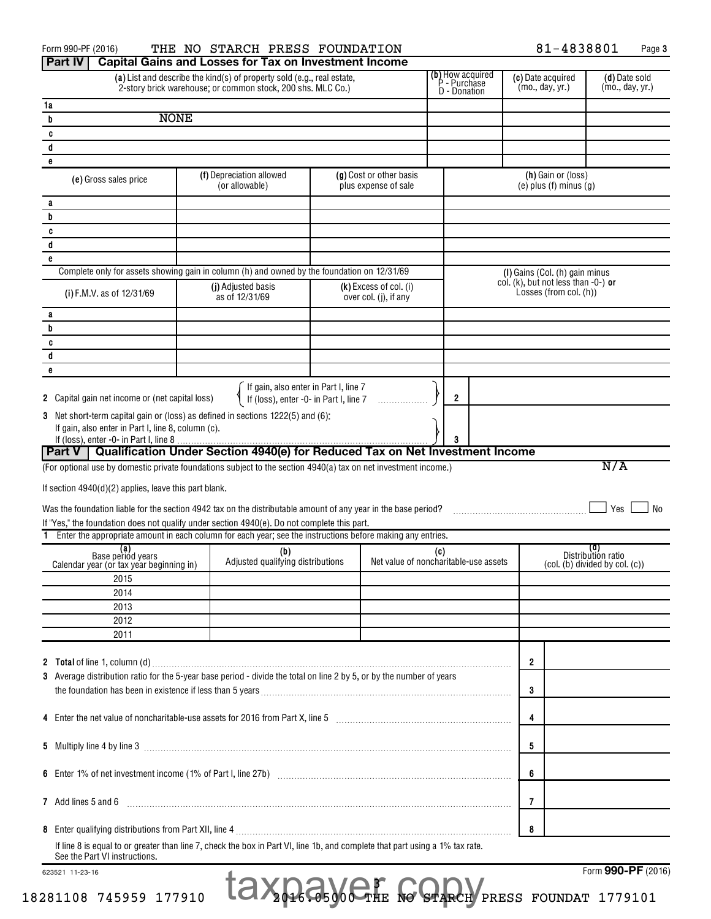| <b>Part IV</b><br><b>Capital Gains and Losses for Tax on Investment Income</b><br><b>(b)</b> How acquired<br><b>P</b> - Purchase<br>(a) List and describe the kind(s) of property sold (e.g., real estate,<br>(d) Date sold<br>(c) Date acquired<br>(mo., day, yr.)<br>(mo., day, yr.)<br>2-story brick warehouse; or common stock, 200 shs. MLC Co.)<br>D - Donation<br>1a<br><b>NONE</b><br>b<br>C<br>d<br>e<br>(h) Gain or (loss)<br>(f) Depreciation allowed<br>(g) Cost or other basis<br>(e) Gross sales price<br>$(e)$ plus $(f)$ minus $(g)$<br>(or allowable)<br>plus expense of sale<br>a<br>b<br>c<br>d<br>e<br>Complete only for assets showing gain in column (h) and owned by the foundation on 12/31/69<br>(I) Gains (Col. (h) gain minus<br>col. (k), but not less than $-0$ -) or<br>(j) Adjusted basis<br>$(k)$ Excess of col. (i)<br>Losses (from col. (h))<br>(i) F.M.V. as of 12/31/69<br>as of 12/31/69<br>over col. (j), if any<br>а<br>b<br>c<br>d<br>e<br>If gain, also enter in Part I, line 7<br>If (loss), enter -0- in Part I, line 7<br>2 Capital gain net income or (net capital loss)<br>2<br>Net short-term capital gain or (loss) as defined in sections 1222(5) and (6):<br>If gain, also enter in Part I, line 8, column (c).<br>If (loss), enter -0- in Part I, line 8.<br>Part V   Qualification Under Section 4940(e) for Reduced Tax on Net Investment Income<br>N/A<br>(For optional use by domestic private foundations subject to the section 4940(a) tax on net investment income.)<br>If section $4940(d)(2)$ applies, leave this part blank.<br>Yes<br>No<br>Was the foundation liable for the section 4942 tax on the distributable amount of any year in the base period?<br>If "Yes," the foundation does not qualify under section 4940(e). Do not complete this part.<br>1 Enter the appropriate amount in each column for each year; see the instructions before making any entries.<br>(d)<br>(a)<br>Base period years<br>(b)<br>(c)<br>Distribution ratio<br>Adjusted qualifying distributions<br>Net value of noncharitable-use assets<br>(col. (b) divided by col. (c))<br>Calendar year (or tax year beginning in)<br>2015<br>2014<br>2013<br>2012<br>2011<br>$\mathbf{2}$<br>3 Average distribution ratio for the 5-year base period - divide the total on line 2 by 5, or by the number of years<br>3<br>4<br>5<br>6<br>7<br>8<br>If line 8 is equal to or greater than line 7, check the box in Part VI, line 1b, and complete that part using a 1% tax rate.<br>See the Part VI instructions.<br>Form 990-PF (2016)<br>623521 11-23-16 | Form 990-PF (2016)  | THE NO STARCH PRESS FOUNDATION |  | 81-4838801 | Page 3 |
|-----------------------------------------------------------------------------------------------------------------------------------------------------------------------------------------------------------------------------------------------------------------------------------------------------------------------------------------------------------------------------------------------------------------------------------------------------------------------------------------------------------------------------------------------------------------------------------------------------------------------------------------------------------------------------------------------------------------------------------------------------------------------------------------------------------------------------------------------------------------------------------------------------------------------------------------------------------------------------------------------------------------------------------------------------------------------------------------------------------------------------------------------------------------------------------------------------------------------------------------------------------------------------------------------------------------------------------------------------------------------------------------------------------------------------------------------------------------------------------------------------------------------------------------------------------------------------------------------------------------------------------------------------------------------------------------------------------------------------------------------------------------------------------------------------------------------------------------------------------------------------------------------------------------------------------------------------------------------------------------------------------------------------------------------------------------------------------------------------------------------------------------------------------------------------------------------------------------------------------------------------------------------------------------------------------------------------------------------------------------------------------------------------------------------------------------------------------------------------------------------------------------------------------------------------------------------------------------------------|---------------------|--------------------------------|--|------------|--------|
|                                                                                                                                                                                                                                                                                                                                                                                                                                                                                                                                                                                                                                                                                                                                                                                                                                                                                                                                                                                                                                                                                                                                                                                                                                                                                                                                                                                                                                                                                                                                                                                                                                                                                                                                                                                                                                                                                                                                                                                                                                                                                                                                                                                                                                                                                                                                                                                                                                                                                                                                                                                                     |                     |                                |  |            |        |
|                                                                                                                                                                                                                                                                                                                                                                                                                                                                                                                                                                                                                                                                                                                                                                                                                                                                                                                                                                                                                                                                                                                                                                                                                                                                                                                                                                                                                                                                                                                                                                                                                                                                                                                                                                                                                                                                                                                                                                                                                                                                                                                                                                                                                                                                                                                                                                                                                                                                                                                                                                                                     |                     |                                |  |            |        |
|                                                                                                                                                                                                                                                                                                                                                                                                                                                                                                                                                                                                                                                                                                                                                                                                                                                                                                                                                                                                                                                                                                                                                                                                                                                                                                                                                                                                                                                                                                                                                                                                                                                                                                                                                                                                                                                                                                                                                                                                                                                                                                                                                                                                                                                                                                                                                                                                                                                                                                                                                                                                     |                     |                                |  |            |        |
|                                                                                                                                                                                                                                                                                                                                                                                                                                                                                                                                                                                                                                                                                                                                                                                                                                                                                                                                                                                                                                                                                                                                                                                                                                                                                                                                                                                                                                                                                                                                                                                                                                                                                                                                                                                                                                                                                                                                                                                                                                                                                                                                                                                                                                                                                                                                                                                                                                                                                                                                                                                                     |                     |                                |  |            |        |
|                                                                                                                                                                                                                                                                                                                                                                                                                                                                                                                                                                                                                                                                                                                                                                                                                                                                                                                                                                                                                                                                                                                                                                                                                                                                                                                                                                                                                                                                                                                                                                                                                                                                                                                                                                                                                                                                                                                                                                                                                                                                                                                                                                                                                                                                                                                                                                                                                                                                                                                                                                                                     |                     |                                |  |            |        |
|                                                                                                                                                                                                                                                                                                                                                                                                                                                                                                                                                                                                                                                                                                                                                                                                                                                                                                                                                                                                                                                                                                                                                                                                                                                                                                                                                                                                                                                                                                                                                                                                                                                                                                                                                                                                                                                                                                                                                                                                                                                                                                                                                                                                                                                                                                                                                                                                                                                                                                                                                                                                     |                     |                                |  |            |        |
|                                                                                                                                                                                                                                                                                                                                                                                                                                                                                                                                                                                                                                                                                                                                                                                                                                                                                                                                                                                                                                                                                                                                                                                                                                                                                                                                                                                                                                                                                                                                                                                                                                                                                                                                                                                                                                                                                                                                                                                                                                                                                                                                                                                                                                                                                                                                                                                                                                                                                                                                                                                                     |                     |                                |  |            |        |
|                                                                                                                                                                                                                                                                                                                                                                                                                                                                                                                                                                                                                                                                                                                                                                                                                                                                                                                                                                                                                                                                                                                                                                                                                                                                                                                                                                                                                                                                                                                                                                                                                                                                                                                                                                                                                                                                                                                                                                                                                                                                                                                                                                                                                                                                                                                                                                                                                                                                                                                                                                                                     |                     |                                |  |            |        |
|                                                                                                                                                                                                                                                                                                                                                                                                                                                                                                                                                                                                                                                                                                                                                                                                                                                                                                                                                                                                                                                                                                                                                                                                                                                                                                                                                                                                                                                                                                                                                                                                                                                                                                                                                                                                                                                                                                                                                                                                                                                                                                                                                                                                                                                                                                                                                                                                                                                                                                                                                                                                     |                     |                                |  |            |        |
|                                                                                                                                                                                                                                                                                                                                                                                                                                                                                                                                                                                                                                                                                                                                                                                                                                                                                                                                                                                                                                                                                                                                                                                                                                                                                                                                                                                                                                                                                                                                                                                                                                                                                                                                                                                                                                                                                                                                                                                                                                                                                                                                                                                                                                                                                                                                                                                                                                                                                                                                                                                                     |                     |                                |  |            |        |
|                                                                                                                                                                                                                                                                                                                                                                                                                                                                                                                                                                                                                                                                                                                                                                                                                                                                                                                                                                                                                                                                                                                                                                                                                                                                                                                                                                                                                                                                                                                                                                                                                                                                                                                                                                                                                                                                                                                                                                                                                                                                                                                                                                                                                                                                                                                                                                                                                                                                                                                                                                                                     |                     |                                |  |            |        |
|                                                                                                                                                                                                                                                                                                                                                                                                                                                                                                                                                                                                                                                                                                                                                                                                                                                                                                                                                                                                                                                                                                                                                                                                                                                                                                                                                                                                                                                                                                                                                                                                                                                                                                                                                                                                                                                                                                                                                                                                                                                                                                                                                                                                                                                                                                                                                                                                                                                                                                                                                                                                     |                     |                                |  |            |        |
|                                                                                                                                                                                                                                                                                                                                                                                                                                                                                                                                                                                                                                                                                                                                                                                                                                                                                                                                                                                                                                                                                                                                                                                                                                                                                                                                                                                                                                                                                                                                                                                                                                                                                                                                                                                                                                                                                                                                                                                                                                                                                                                                                                                                                                                                                                                                                                                                                                                                                                                                                                                                     |                     |                                |  |            |        |
|                                                                                                                                                                                                                                                                                                                                                                                                                                                                                                                                                                                                                                                                                                                                                                                                                                                                                                                                                                                                                                                                                                                                                                                                                                                                                                                                                                                                                                                                                                                                                                                                                                                                                                                                                                                                                                                                                                                                                                                                                                                                                                                                                                                                                                                                                                                                                                                                                                                                                                                                                                                                     |                     |                                |  |            |        |
|                                                                                                                                                                                                                                                                                                                                                                                                                                                                                                                                                                                                                                                                                                                                                                                                                                                                                                                                                                                                                                                                                                                                                                                                                                                                                                                                                                                                                                                                                                                                                                                                                                                                                                                                                                                                                                                                                                                                                                                                                                                                                                                                                                                                                                                                                                                                                                                                                                                                                                                                                                                                     |                     |                                |  |            |        |
|                                                                                                                                                                                                                                                                                                                                                                                                                                                                                                                                                                                                                                                                                                                                                                                                                                                                                                                                                                                                                                                                                                                                                                                                                                                                                                                                                                                                                                                                                                                                                                                                                                                                                                                                                                                                                                                                                                                                                                                                                                                                                                                                                                                                                                                                                                                                                                                                                                                                                                                                                                                                     |                     |                                |  |            |        |
|                                                                                                                                                                                                                                                                                                                                                                                                                                                                                                                                                                                                                                                                                                                                                                                                                                                                                                                                                                                                                                                                                                                                                                                                                                                                                                                                                                                                                                                                                                                                                                                                                                                                                                                                                                                                                                                                                                                                                                                                                                                                                                                                                                                                                                                                                                                                                                                                                                                                                                                                                                                                     |                     |                                |  |            |        |
|                                                                                                                                                                                                                                                                                                                                                                                                                                                                                                                                                                                                                                                                                                                                                                                                                                                                                                                                                                                                                                                                                                                                                                                                                                                                                                                                                                                                                                                                                                                                                                                                                                                                                                                                                                                                                                                                                                                                                                                                                                                                                                                                                                                                                                                                                                                                                                                                                                                                                                                                                                                                     |                     |                                |  |            |        |
|                                                                                                                                                                                                                                                                                                                                                                                                                                                                                                                                                                                                                                                                                                                                                                                                                                                                                                                                                                                                                                                                                                                                                                                                                                                                                                                                                                                                                                                                                                                                                                                                                                                                                                                                                                                                                                                                                                                                                                                                                                                                                                                                                                                                                                                                                                                                                                                                                                                                                                                                                                                                     |                     |                                |  |            |        |
|                                                                                                                                                                                                                                                                                                                                                                                                                                                                                                                                                                                                                                                                                                                                                                                                                                                                                                                                                                                                                                                                                                                                                                                                                                                                                                                                                                                                                                                                                                                                                                                                                                                                                                                                                                                                                                                                                                                                                                                                                                                                                                                                                                                                                                                                                                                                                                                                                                                                                                                                                                                                     |                     |                                |  |            |        |
|                                                                                                                                                                                                                                                                                                                                                                                                                                                                                                                                                                                                                                                                                                                                                                                                                                                                                                                                                                                                                                                                                                                                                                                                                                                                                                                                                                                                                                                                                                                                                                                                                                                                                                                                                                                                                                                                                                                                                                                                                                                                                                                                                                                                                                                                                                                                                                                                                                                                                                                                                                                                     |                     |                                |  |            |        |
|                                                                                                                                                                                                                                                                                                                                                                                                                                                                                                                                                                                                                                                                                                                                                                                                                                                                                                                                                                                                                                                                                                                                                                                                                                                                                                                                                                                                                                                                                                                                                                                                                                                                                                                                                                                                                                                                                                                                                                                                                                                                                                                                                                                                                                                                                                                                                                                                                                                                                                                                                                                                     |                     |                                |  |            |        |
|                                                                                                                                                                                                                                                                                                                                                                                                                                                                                                                                                                                                                                                                                                                                                                                                                                                                                                                                                                                                                                                                                                                                                                                                                                                                                                                                                                                                                                                                                                                                                                                                                                                                                                                                                                                                                                                                                                                                                                                                                                                                                                                                                                                                                                                                                                                                                                                                                                                                                                                                                                                                     |                     |                                |  |            |        |
|                                                                                                                                                                                                                                                                                                                                                                                                                                                                                                                                                                                                                                                                                                                                                                                                                                                                                                                                                                                                                                                                                                                                                                                                                                                                                                                                                                                                                                                                                                                                                                                                                                                                                                                                                                                                                                                                                                                                                                                                                                                                                                                                                                                                                                                                                                                                                                                                                                                                                                                                                                                                     | 3                   |                                |  |            |        |
|                                                                                                                                                                                                                                                                                                                                                                                                                                                                                                                                                                                                                                                                                                                                                                                                                                                                                                                                                                                                                                                                                                                                                                                                                                                                                                                                                                                                                                                                                                                                                                                                                                                                                                                                                                                                                                                                                                                                                                                                                                                                                                                                                                                                                                                                                                                                                                                                                                                                                                                                                                                                     |                     |                                |  |            |        |
|                                                                                                                                                                                                                                                                                                                                                                                                                                                                                                                                                                                                                                                                                                                                                                                                                                                                                                                                                                                                                                                                                                                                                                                                                                                                                                                                                                                                                                                                                                                                                                                                                                                                                                                                                                                                                                                                                                                                                                                                                                                                                                                                                                                                                                                                                                                                                                                                                                                                                                                                                                                                     |                     |                                |  |            |        |
|                                                                                                                                                                                                                                                                                                                                                                                                                                                                                                                                                                                                                                                                                                                                                                                                                                                                                                                                                                                                                                                                                                                                                                                                                                                                                                                                                                                                                                                                                                                                                                                                                                                                                                                                                                                                                                                                                                                                                                                                                                                                                                                                                                                                                                                                                                                                                                                                                                                                                                                                                                                                     |                     |                                |  |            |        |
|                                                                                                                                                                                                                                                                                                                                                                                                                                                                                                                                                                                                                                                                                                                                                                                                                                                                                                                                                                                                                                                                                                                                                                                                                                                                                                                                                                                                                                                                                                                                                                                                                                                                                                                                                                                                                                                                                                                                                                                                                                                                                                                                                                                                                                                                                                                                                                                                                                                                                                                                                                                                     |                     |                                |  |            |        |
|                                                                                                                                                                                                                                                                                                                                                                                                                                                                                                                                                                                                                                                                                                                                                                                                                                                                                                                                                                                                                                                                                                                                                                                                                                                                                                                                                                                                                                                                                                                                                                                                                                                                                                                                                                                                                                                                                                                                                                                                                                                                                                                                                                                                                                                                                                                                                                                                                                                                                                                                                                                                     |                     |                                |  |            |        |
|                                                                                                                                                                                                                                                                                                                                                                                                                                                                                                                                                                                                                                                                                                                                                                                                                                                                                                                                                                                                                                                                                                                                                                                                                                                                                                                                                                                                                                                                                                                                                                                                                                                                                                                                                                                                                                                                                                                                                                                                                                                                                                                                                                                                                                                                                                                                                                                                                                                                                                                                                                                                     |                     |                                |  |            |        |
|                                                                                                                                                                                                                                                                                                                                                                                                                                                                                                                                                                                                                                                                                                                                                                                                                                                                                                                                                                                                                                                                                                                                                                                                                                                                                                                                                                                                                                                                                                                                                                                                                                                                                                                                                                                                                                                                                                                                                                                                                                                                                                                                                                                                                                                                                                                                                                                                                                                                                                                                                                                                     |                     |                                |  |            |        |
|                                                                                                                                                                                                                                                                                                                                                                                                                                                                                                                                                                                                                                                                                                                                                                                                                                                                                                                                                                                                                                                                                                                                                                                                                                                                                                                                                                                                                                                                                                                                                                                                                                                                                                                                                                                                                                                                                                                                                                                                                                                                                                                                                                                                                                                                                                                                                                                                                                                                                                                                                                                                     |                     |                                |  |            |        |
|                                                                                                                                                                                                                                                                                                                                                                                                                                                                                                                                                                                                                                                                                                                                                                                                                                                                                                                                                                                                                                                                                                                                                                                                                                                                                                                                                                                                                                                                                                                                                                                                                                                                                                                                                                                                                                                                                                                                                                                                                                                                                                                                                                                                                                                                                                                                                                                                                                                                                                                                                                                                     |                     |                                |  |            |        |
|                                                                                                                                                                                                                                                                                                                                                                                                                                                                                                                                                                                                                                                                                                                                                                                                                                                                                                                                                                                                                                                                                                                                                                                                                                                                                                                                                                                                                                                                                                                                                                                                                                                                                                                                                                                                                                                                                                                                                                                                                                                                                                                                                                                                                                                                                                                                                                                                                                                                                                                                                                                                     |                     |                                |  |            |        |
|                                                                                                                                                                                                                                                                                                                                                                                                                                                                                                                                                                                                                                                                                                                                                                                                                                                                                                                                                                                                                                                                                                                                                                                                                                                                                                                                                                                                                                                                                                                                                                                                                                                                                                                                                                                                                                                                                                                                                                                                                                                                                                                                                                                                                                                                                                                                                                                                                                                                                                                                                                                                     |                     |                                |  |            |        |
|                                                                                                                                                                                                                                                                                                                                                                                                                                                                                                                                                                                                                                                                                                                                                                                                                                                                                                                                                                                                                                                                                                                                                                                                                                                                                                                                                                                                                                                                                                                                                                                                                                                                                                                                                                                                                                                                                                                                                                                                                                                                                                                                                                                                                                                                                                                                                                                                                                                                                                                                                                                                     |                     |                                |  |            |        |
|                                                                                                                                                                                                                                                                                                                                                                                                                                                                                                                                                                                                                                                                                                                                                                                                                                                                                                                                                                                                                                                                                                                                                                                                                                                                                                                                                                                                                                                                                                                                                                                                                                                                                                                                                                                                                                                                                                                                                                                                                                                                                                                                                                                                                                                                                                                                                                                                                                                                                                                                                                                                     |                     |                                |  |            |        |
|                                                                                                                                                                                                                                                                                                                                                                                                                                                                                                                                                                                                                                                                                                                                                                                                                                                                                                                                                                                                                                                                                                                                                                                                                                                                                                                                                                                                                                                                                                                                                                                                                                                                                                                                                                                                                                                                                                                                                                                                                                                                                                                                                                                                                                                                                                                                                                                                                                                                                                                                                                                                     |                     |                                |  |            |        |
|                                                                                                                                                                                                                                                                                                                                                                                                                                                                                                                                                                                                                                                                                                                                                                                                                                                                                                                                                                                                                                                                                                                                                                                                                                                                                                                                                                                                                                                                                                                                                                                                                                                                                                                                                                                                                                                                                                                                                                                                                                                                                                                                                                                                                                                                                                                                                                                                                                                                                                                                                                                                     |                     |                                |  |            |        |
|                                                                                                                                                                                                                                                                                                                                                                                                                                                                                                                                                                                                                                                                                                                                                                                                                                                                                                                                                                                                                                                                                                                                                                                                                                                                                                                                                                                                                                                                                                                                                                                                                                                                                                                                                                                                                                                                                                                                                                                                                                                                                                                                                                                                                                                                                                                                                                                                                                                                                                                                                                                                     |                     |                                |  |            |        |
|                                                                                                                                                                                                                                                                                                                                                                                                                                                                                                                                                                                                                                                                                                                                                                                                                                                                                                                                                                                                                                                                                                                                                                                                                                                                                                                                                                                                                                                                                                                                                                                                                                                                                                                                                                                                                                                                                                                                                                                                                                                                                                                                                                                                                                                                                                                                                                                                                                                                                                                                                                                                     |                     |                                |  |            |        |
|                                                                                                                                                                                                                                                                                                                                                                                                                                                                                                                                                                                                                                                                                                                                                                                                                                                                                                                                                                                                                                                                                                                                                                                                                                                                                                                                                                                                                                                                                                                                                                                                                                                                                                                                                                                                                                                                                                                                                                                                                                                                                                                                                                                                                                                                                                                                                                                                                                                                                                                                                                                                     |                     |                                |  |            |        |
|                                                                                                                                                                                                                                                                                                                                                                                                                                                                                                                                                                                                                                                                                                                                                                                                                                                                                                                                                                                                                                                                                                                                                                                                                                                                                                                                                                                                                                                                                                                                                                                                                                                                                                                                                                                                                                                                                                                                                                                                                                                                                                                                                                                                                                                                                                                                                                                                                                                                                                                                                                                                     |                     |                                |  |            |        |
|                                                                                                                                                                                                                                                                                                                                                                                                                                                                                                                                                                                                                                                                                                                                                                                                                                                                                                                                                                                                                                                                                                                                                                                                                                                                                                                                                                                                                                                                                                                                                                                                                                                                                                                                                                                                                                                                                                                                                                                                                                                                                                                                                                                                                                                                                                                                                                                                                                                                                                                                                                                                     |                     |                                |  |            |        |
|                                                                                                                                                                                                                                                                                                                                                                                                                                                                                                                                                                                                                                                                                                                                                                                                                                                                                                                                                                                                                                                                                                                                                                                                                                                                                                                                                                                                                                                                                                                                                                                                                                                                                                                                                                                                                                                                                                                                                                                                                                                                                                                                                                                                                                                                                                                                                                                                                                                                                                                                                                                                     |                     |                                |  |            |        |
|                                                                                                                                                                                                                                                                                                                                                                                                                                                                                                                                                                                                                                                                                                                                                                                                                                                                                                                                                                                                                                                                                                                                                                                                                                                                                                                                                                                                                                                                                                                                                                                                                                                                                                                                                                                                                                                                                                                                                                                                                                                                                                                                                                                                                                                                                                                                                                                                                                                                                                                                                                                                     |                     |                                |  |            |        |
|                                                                                                                                                                                                                                                                                                                                                                                                                                                                                                                                                                                                                                                                                                                                                                                                                                                                                                                                                                                                                                                                                                                                                                                                                                                                                                                                                                                                                                                                                                                                                                                                                                                                                                                                                                                                                                                                                                                                                                                                                                                                                                                                                                                                                                                                                                                                                                                                                                                                                                                                                                                                     |                     |                                |  |            |        |
|                                                                                                                                                                                                                                                                                                                                                                                                                                                                                                                                                                                                                                                                                                                                                                                                                                                                                                                                                                                                                                                                                                                                                                                                                                                                                                                                                                                                                                                                                                                                                                                                                                                                                                                                                                                                                                                                                                                                                                                                                                                                                                                                                                                                                                                                                                                                                                                                                                                                                                                                                                                                     |                     |                                |  |            |        |
|                                                                                                                                                                                                                                                                                                                                                                                                                                                                                                                                                                                                                                                                                                                                                                                                                                                                                                                                                                                                                                                                                                                                                                                                                                                                                                                                                                                                                                                                                                                                                                                                                                                                                                                                                                                                                                                                                                                                                                                                                                                                                                                                                                                                                                                                                                                                                                                                                                                                                                                                                                                                     |                     |                                |  |            |        |
|                                                                                                                                                                                                                                                                                                                                                                                                                                                                                                                                                                                                                                                                                                                                                                                                                                                                                                                                                                                                                                                                                                                                                                                                                                                                                                                                                                                                                                                                                                                                                                                                                                                                                                                                                                                                                                                                                                                                                                                                                                                                                                                                                                                                                                                                                                                                                                                                                                                                                                                                                                                                     |                     |                                |  |            |        |
|                                                                                                                                                                                                                                                                                                                                                                                                                                                                                                                                                                                                                                                                                                                                                                                                                                                                                                                                                                                                                                                                                                                                                                                                                                                                                                                                                                                                                                                                                                                                                                                                                                                                                                                                                                                                                                                                                                                                                                                                                                                                                                                                                                                                                                                                                                                                                                                                                                                                                                                                                                                                     | 7 Add lines 5 and 6 |                                |  |            |        |
|                                                                                                                                                                                                                                                                                                                                                                                                                                                                                                                                                                                                                                                                                                                                                                                                                                                                                                                                                                                                                                                                                                                                                                                                                                                                                                                                                                                                                                                                                                                                                                                                                                                                                                                                                                                                                                                                                                                                                                                                                                                                                                                                                                                                                                                                                                                                                                                                                                                                                                                                                                                                     |                     |                                |  |            |        |
|                                                                                                                                                                                                                                                                                                                                                                                                                                                                                                                                                                                                                                                                                                                                                                                                                                                                                                                                                                                                                                                                                                                                                                                                                                                                                                                                                                                                                                                                                                                                                                                                                                                                                                                                                                                                                                                                                                                                                                                                                                                                                                                                                                                                                                                                                                                                                                                                                                                                                                                                                                                                     |                     |                                |  |            |        |
|                                                                                                                                                                                                                                                                                                                                                                                                                                                                                                                                                                                                                                                                                                                                                                                                                                                                                                                                                                                                                                                                                                                                                                                                                                                                                                                                                                                                                                                                                                                                                                                                                                                                                                                                                                                                                                                                                                                                                                                                                                                                                                                                                                                                                                                                                                                                                                                                                                                                                                                                                                                                     |                     |                                |  |            |        |

 3 taxpayer copy

18281108 745959 177910 2016.05000 THE NO STARCH PRESS FOUNDAT 1779101

Form (2016) **990-PF**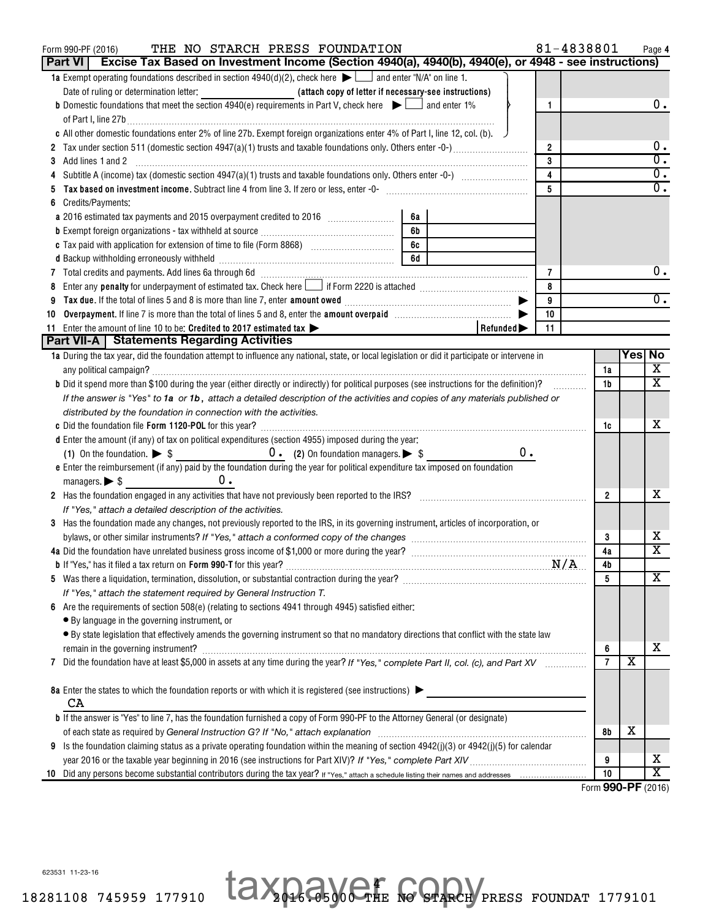| THE NO STARCH PRESS FOUNDATION<br>Form 990-PF (2016)                                                                                                                                                                           |    |                | 81-4838801 |                |                         | Page 4                          |
|--------------------------------------------------------------------------------------------------------------------------------------------------------------------------------------------------------------------------------|----|----------------|------------|----------------|-------------------------|---------------------------------|
| Excise Tax Based on Investment Income (Section 4940(a), 4940(b), 4940(e), or 4948 - see instructions)<br>Part VI                                                                                                               |    |                |            |                |                         |                                 |
| <b>1a</b> Exempt operating foundations described in section $4940(d)(2)$ , check here $\blacktriangleright$ $\Box$ and enter "N/A" on line 1.                                                                                  |    |                |            |                |                         |                                 |
| Date of ruling or determination letter: <b>Altahetic and Altahetic Copy of letter if necessary-see instructions</b> )                                                                                                          |    |                |            |                |                         |                                 |
| <b>b</b> Domestic foundations that meet the section 4940(e) requirements in Part V, check here $\blacktriangleright$ $\Box$ and enter 1%                                                                                       |    | 1              |            |                |                         | 0.                              |
|                                                                                                                                                                                                                                |    |                |            |                |                         |                                 |
| c All other domestic foundations enter 2% of line 27b. Exempt foreign organizations enter 4% of Part I, line 12, col. (b).                                                                                                     |    |                |            |                |                         |                                 |
| 2 Tax under section 511 (domestic section 4947(a)(1) trusts and taxable foundations only. Others enter -0-)                                                                                                                    |    | $\overline{2}$ |            |                |                         | 0.                              |
| Add lines 1 and 2<br>3                                                                                                                                                                                                         |    | 3              |            |                |                         | $\overline{0}$ .                |
| Subtitle A (income) tax (domestic section $4947(a)(1)$ trusts and taxable foundations only. Others enter -0-) $\ldots$                                                                                                         |    | $\overline{4}$ |            |                |                         | $\overline{0}$ .                |
| Tax based on investment income. Subtract line 4 from line 3. If zero or less, enter -0- [111] [120] [120] [120] [120] [120] [120] [120] [120] [120] [120] [120] [120] [120] [120] [120] [120] [120] [120] [120] [120] [120] [1 |    | 5              |            |                |                         | $\overline{0}$ .                |
| Credits/Payments:                                                                                                                                                                                                              |    |                |            |                |                         |                                 |
| 6a                                                                                                                                                                                                                             |    |                |            |                |                         |                                 |
| 6b                                                                                                                                                                                                                             |    |                |            |                |                         |                                 |
| 6c                                                                                                                                                                                                                             |    |                |            |                |                         |                                 |
| 6d                                                                                                                                                                                                                             |    |                |            |                |                         |                                 |
|                                                                                                                                                                                                                                |    | 7              |            |                |                         | 0.                              |
| Enter any <b>penalty</b> for underpayment of estimated tax. Check here <b>Letter</b> if Form 2220 is attached <i>mummumumumum</i><br>8                                                                                         |    | 8              |            |                |                         |                                 |
|                                                                                                                                                                                                                                |    | 9              |            |                |                         | 0.                              |
| Overpayment. If line 7 is more than the total of lines 5 and 8, enter the amount overpaid manufactured manufactured.<br>10                                                                                                     |    | 10             |            |                |                         |                                 |
| 11 Enter the amount of line 10 to be: Credited to 2017 estimated tax ><br>Refunded $\blacktriangleright$                                                                                                                       |    | 11             |            |                |                         |                                 |
| Part VII-A   Statements Regarding Activities                                                                                                                                                                                   |    |                |            |                |                         |                                 |
| 1a During the tax year, did the foundation attempt to influence any national, state, or local legislation or did it participate or intervene in                                                                                |    |                |            |                | Yes No                  |                                 |
|                                                                                                                                                                                                                                |    |                |            | 1a             |                         | X                               |
| b Did it spend more than \$100 during the year (either directly or indirectly) for political purposes (see instructions for the definition)?                                                                                   |    |                |            | 1b             |                         | $\overline{\mathbf{x}}$         |
| If the answer is "Yes" to 1a or 1b, attach a detailed description of the activities and copies of any materials published or                                                                                                   |    |                |            |                |                         |                                 |
| distributed by the foundation in connection with the activities.                                                                                                                                                               |    |                |            |                |                         |                                 |
|                                                                                                                                                                                                                                |    |                |            | 1c             |                         | x                               |
| d Enter the amount (if any) of tax on political expenditures (section 4955) imposed during the year:                                                                                                                           |    |                |            |                |                         |                                 |
|                                                                                                                                                                                                                                | 0. |                |            |                |                         |                                 |
| e Enter the reimbursement (if any) paid by the foundation during the year for political expenditure tax imposed on foundation                                                                                                  |    |                |            |                |                         |                                 |
| 0.<br>managers. $\triangleright$ \$                                                                                                                                                                                            |    |                |            |                |                         |                                 |
| 2 Has the foundation engaged in any activities that have not previously been reported to the IRS?                                                                                                                              |    |                |            | $\mathbf{2}$   |                         | x                               |
| If "Yes," attach a detailed description of the activities.                                                                                                                                                                     |    |                |            |                |                         |                                 |
| 3 Has the foundation made any changes, not previously reported to the IRS, in its governing instrument, articles of incorporation, or                                                                                          |    |                |            |                |                         |                                 |
|                                                                                                                                                                                                                                |    |                |            | 3              |                         | x<br>$\overline{\mathtt{x}}$    |
|                                                                                                                                                                                                                                |    |                |            | 4a             |                         |                                 |
|                                                                                                                                                                                                                                |    |                |            | 4b             |                         | $\overline{\textbf{X}}$         |
|                                                                                                                                                                                                                                |    |                |            | 5              |                         |                                 |
| If "Yes," attach the statement required by General Instruction T.                                                                                                                                                              |    |                |            |                |                         |                                 |
| 6 Are the requirements of section 508(e) (relating to sections 4941 through 4945) satisfied either:                                                                                                                            |    |                |            |                |                         |                                 |
| • By language in the governing instrument, or                                                                                                                                                                                  |    |                |            |                |                         |                                 |
| • By state legislation that effectively amends the governing instrument so that no mandatory directions that conflict with the state law                                                                                       |    |                |            |                |                         |                                 |
| remain in the governing instrument?                                                                                                                                                                                            |    |                |            | 6              | $\overline{\textbf{x}}$ | х                               |
| Did the foundation have at least \$5,000 in assets at any time during the year? If "Yes," complete Part II, col. (c), and Part XV<br>7                                                                                         |    |                |            | $\overline{7}$ |                         |                                 |
|                                                                                                                                                                                                                                |    |                |            |                |                         |                                 |
| 8a Enter the states to which the foundation reports or with which it is registered (see instructions)                                                                                                                          |    |                |            |                |                         |                                 |
| CA                                                                                                                                                                                                                             |    |                |            |                |                         |                                 |
| b If the answer is "Yes" to line 7, has the foundation furnished a copy of Form 990-PF to the Attorney General (or designate)                                                                                                  |    |                |            |                | х                       |                                 |
|                                                                                                                                                                                                                                |    |                |            | 8b             |                         |                                 |
| 9 Is the foundation claiming status as a private operating foundation within the meaning of section $4942(j)(3)$ or $4942(j)(5)$ for calendar                                                                                  |    |                |            |                |                         | x                               |
|                                                                                                                                                                                                                                |    |                |            | 9<br>10        |                         | $\overline{\text{x}}$           |
|                                                                                                                                                                                                                                |    |                |            |                |                         | $F_{\text{c.m.}}$ 000 DE (0010) |

Form (2016) **990-PF**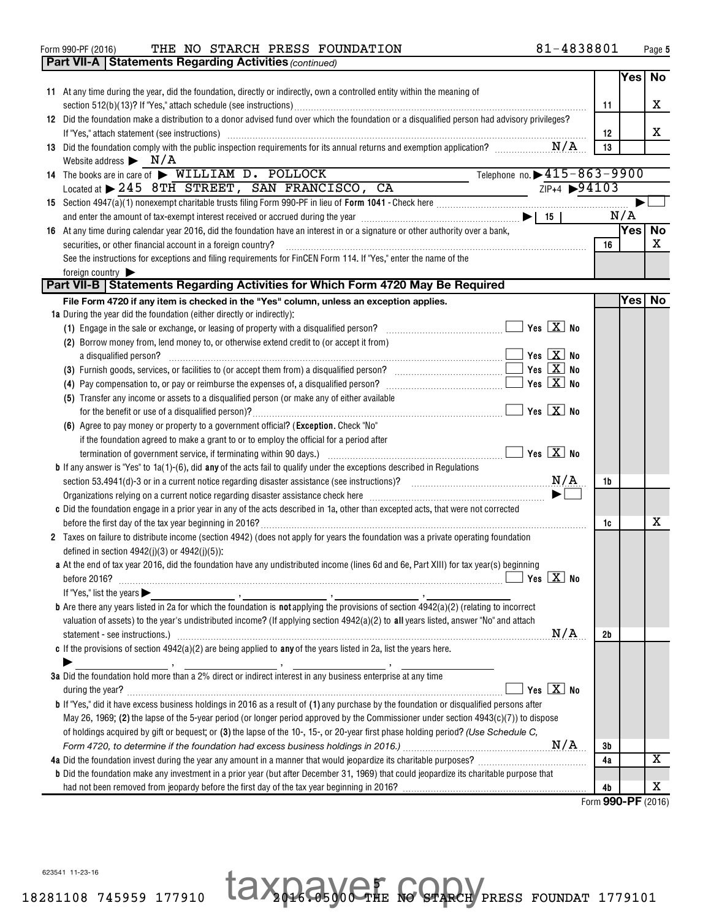| Form 990-PF (2016) |  | THE NO STARCH PRESS FOUNDATION | 81-4838801 | Page |
|--------------------|--|--------------------------------|------------|------|

|                 | <b>Part VII-A   Statements Regarding Activities (continued)</b>                                                                                                                                                                                    |    |      |           |
|-----------------|----------------------------------------------------------------------------------------------------------------------------------------------------------------------------------------------------------------------------------------------------|----|------|-----------|
|                 |                                                                                                                                                                                                                                                    |    | Yesl | <b>No</b> |
|                 | 11 At any time during the year, did the foundation, directly or indirectly, own a controlled entity within the meaning of                                                                                                                          |    |      |           |
|                 |                                                                                                                                                                                                                                                    | 11 |      | X         |
|                 | 12 Did the foundation make a distribution to a donor advised fund over which the foundation or a disqualified person had advisory privileges?                                                                                                      |    |      |           |
|                 | If "Yes," attach statement (see instructions) with an according to the control of the statement of the statement of the control of the statement of the statement of the statement of the statement of the statement of the st                     | 12 |      | х         |
|                 | 13 Did the foundation comply with the public inspection requirements for its annual returns and exemption application?                                                                                                                             | 13 |      |           |
|                 | Website address $\triangleright$ N/A                                                                                                                                                                                                               |    |      |           |
|                 | Telephone no. $\rightarrow 415 - 863 - 9900$<br>14 The books are in care of > WILLIAM D. POLLOCK                                                                                                                                                   |    |      |           |
|                 | $2IP+4$ $\rightarrow$ 94103<br>Located at > 245 8TH STREET, SAN FRANCISCO, CA                                                                                                                                                                      |    |      |           |
|                 |                                                                                                                                                                                                                                                    |    |      |           |
|                 | and enter the amount of tax-exempt interest received or accrued during the year $\ldots$ $\ldots$ $\ldots$ $\ldots$ $\ldots$ $\ldots$ $\ldots$ $\ldots$ $\ldots$ $\ldots$ $\ldots$ $\ldots$                                                        |    | N/A  |           |
|                 | 16 At any time during calendar year 2016, did the foundation have an interest in or a signature or other authority over a bank,                                                                                                                    |    | Yes  | No        |
|                 | securities, or other financial account in a foreign country?                                                                                                                                                                                       | 16 |      | x         |
|                 | See the instructions for exceptions and filing requirements for FinCEN Form 114. If "Yes," enter the name of the                                                                                                                                   |    |      |           |
| foreign country |                                                                                                                                                                                                                                                    |    |      |           |
|                 | Part VII-B   Statements Regarding Activities for Which Form 4720 May Be Required                                                                                                                                                                   |    |      |           |
|                 | File Form 4720 if any item is checked in the "Yes" column, unless an exception applies.                                                                                                                                                            |    | Yesl | <b>No</b> |
|                 | 1a During the year did the foundation (either directly or indirectly):                                                                                                                                                                             |    |      |           |
|                 | (1) Engage in the sale or exchange, or leasing of property with a disqualified person?                                                                                                                                                             |    |      |           |
|                 | (2) Borrow money from, lend money to, or otherwise extend credit to (or accept it from)                                                                                                                                                            |    |      |           |
|                 | $\overline{\mathbf{y}}$ Yes $\overline{\mathbf{X}}$ No<br>a disqualified person?                                                                                                                                                                   |    |      |           |
|                 |                                                                                                                                                                                                                                                    |    |      |           |
|                 | $Yes \ LX$ No                                                                                                                                                                                                                                      |    |      |           |
|                 | (5) Transfer any income or assets to a disqualified person (or make any of either available                                                                                                                                                        |    |      |           |
|                 |                                                                                                                                                                                                                                                    |    |      |           |
|                 | (6) Agree to pay money or property to a government official? (Exception. Check "No"                                                                                                                                                                |    |      |           |
|                 | if the foundation agreed to make a grant to or to employ the official for a period after                                                                                                                                                           |    |      |           |
|                 |                                                                                                                                                                                                                                                    |    |      |           |
|                 | <b>b</b> If any answer is "Yes" to $1a(1)$ -(6), did <b>any</b> of the acts fail to qualify under the exceptions described in Regulations                                                                                                          |    |      |           |
|                 |                                                                                                                                                                                                                                                    | 1b |      |           |
|                 |                                                                                                                                                                                                                                                    |    |      |           |
|                 |                                                                                                                                                                                                                                                    |    |      |           |
|                 | c Did the foundation engage in a prior year in any of the acts described in 1a, other than excepted acts, that were not corrected                                                                                                                  |    |      | x         |
|                 |                                                                                                                                                                                                                                                    | 1c |      |           |
|                 | 2 Taxes on failure to distribute income (section 4942) (does not apply for years the foundation was a private operating foundation<br>defined in section $4942(j)(3)$ or $4942(j)(5)$ :                                                            |    |      |           |
|                 | a At the end of tax year 2016, did the foundation have any undistributed income (lines 6d and 6e, Part XIII) for tax year(s) beginning                                                                                                             |    |      |           |
|                 |                                                                                                                                                                                                                                                    |    |      |           |
|                 | If "Yes," list the years $\blacktriangleright$                                                                                                                                                                                                     |    |      |           |
|                 | <b>b</b> Are there any years listed in 2a for which the foundation is <b>not</b> applying the provisions of section $4942(a)(2)$ (relating to incorrect                                                                                            |    |      |           |
|                 | valuation of assets) to the year's undistributed income? (If applying section 4942(a)(2) to all years listed, answer "No" and attach                                                                                                               |    |      |           |
|                 | N/A                                                                                                                                                                                                                                                | 2b |      |           |
|                 | statement - see instructions.) www.communications.com/www.communications.com/www.communications.com/www.communications.com<br>c If the provisions of section $4942(a)(2)$ are being applied to any of the years listed in 2a, list the years here. |    |      |           |
|                 |                                                                                                                                                                                                                                                    |    |      |           |
|                 | 3a Did the foundation hold more than a 2% direct or indirect interest in any business enterprise at any time                                                                                                                                       |    |      |           |
|                 | Yes $X$ No                                                                                                                                                                                                                                         |    |      |           |
|                 | <b>b</b> If "Yes," did it have excess business holdings in 2016 as a result of (1) any purchase by the foundation or disqualified persons after                                                                                                    |    |      |           |
|                 |                                                                                                                                                                                                                                                    |    |      |           |
|                 | May 26, 1969; (2) the lapse of the 5-year period (or longer period approved by the Commissioner under section $4943(c)(7)$ ) to dispose                                                                                                            |    |      |           |
|                 | of holdings acquired by gift or bequest; or (3) the lapse of the 10-, 15-, or 20-year first phase holding period? (Use Schedule C,                                                                                                                 |    |      |           |
|                 |                                                                                                                                                                                                                                                    | Зb |      |           |
|                 |                                                                                                                                                                                                                                                    | 4a |      | х         |
|                 | <b>b</b> Did the foundation make any investment in a prior year (but after December 31, 1969) that could jeopardize its charitable purpose that                                                                                                    |    |      |           |
|                 |                                                                                                                                                                                                                                                    | 4b |      | х         |

Form (2016) **990-PF**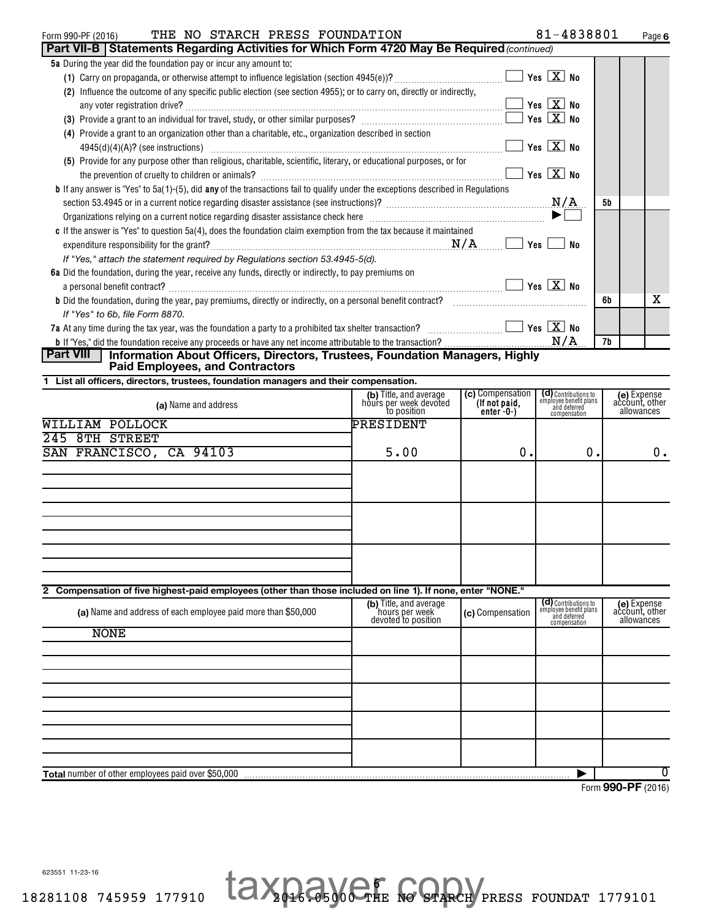### <code>Form</code> 990-PF (2016) THE NO STARCH PRESS FOUNDATION  $81-4838801$  <code>Page</code>

|  |  |  | 81-4838801 |  |  | Page ( |
|--|--|--|------------|--|--|--------|
|--|--|--|------------|--|--|--------|

| THE NO STARCH PRESS FOUNDATION<br>Form 990-PF (2016)                                                                                       |                                                                 |                              | 81-4838801                                                     | Page 6                        |
|--------------------------------------------------------------------------------------------------------------------------------------------|-----------------------------------------------------------------|------------------------------|----------------------------------------------------------------|-------------------------------|
| Part VII-B   Statements Regarding Activities for Which Form 4720 May Be Required (continued)                                               |                                                                 |                              |                                                                |                               |
| 5a During the year did the foundation pay or incur any amount to:                                                                          |                                                                 |                              |                                                                |                               |
|                                                                                                                                            |                                                                 |                              | $\sqrt{}$ Yes $\boxed{\text{X}}$ No                            |                               |
| (2) Influence the outcome of any specific public election (see section 4955); or to carry on, directly or indirectly,                      |                                                                 |                              |                                                                |                               |
|                                                                                                                                            |                                                                 |                              | $\exists$ Yes $\boxed{\textbf{X}}$ No                          |                               |
|                                                                                                                                            |                                                                 |                              | Yes $X$ No                                                     |                               |
| (4) Provide a grant to an organization other than a charitable, etc., organization described in section                                    |                                                                 |                              |                                                                |                               |
|                                                                                                                                            |                                                                 |                              | $\exists$ Yes $\boxed{\text{X}}$ No                            |                               |
| (5) Provide for any purpose other than religious, charitable, scientific, literary, or educational purposes, or for                        |                                                                 |                              |                                                                |                               |
|                                                                                                                                            |                                                                 |                              | $\sqrt{2}$ Yes $\boxed{\text{X}}$ No                           |                               |
| <b>b</b> If any answer is "Yes" to 5a(1)-(5), did any of the transactions fail to qualify under the exceptions described in Regulations    |                                                                 |                              |                                                                |                               |
|                                                                                                                                            |                                                                 |                              |                                                                | 5b                            |
|                                                                                                                                            |                                                                 |                              |                                                                |                               |
|                                                                                                                                            |                                                                 |                              |                                                                |                               |
| c If the answer is "Yes" to question 5a(4), does the foundation claim exemption from the tax because it maintained                         |                                                                 |                              |                                                                |                               |
|                                                                                                                                            |                                                                 |                              | No                                                             |                               |
| If "Yes," attach the statement required by Regulations section 53.4945-5(d).                                                               |                                                                 |                              |                                                                |                               |
| 6a Did the foundation, during the year, receive any funds, directly or indirectly, to pay premiums on                                      |                                                                 |                              |                                                                |                               |
| a personal benefit contract? $\ldots$ No                                                                                                   |                                                                 |                              |                                                                |                               |
|                                                                                                                                            |                                                                 |                              |                                                                | х<br>6b                       |
| If "Yes" to 6b, file Form 8870.                                                                                                            |                                                                 |                              |                                                                |                               |
|                                                                                                                                            |                                                                 |                              |                                                                |                               |
|                                                                                                                                            |                                                                 |                              |                                                                | 7b                            |
| <b>Part VIII</b><br>Information About Officers, Directors, Trustees, Foundation Managers, Highly<br><b>Paid Employees, and Contractors</b> |                                                                 |                              |                                                                |                               |
| 1 List all officers, directors, trustees, foundation managers and their compensation.                                                      |                                                                 |                              |                                                                |                               |
|                                                                                                                                            | (b) Title, and average<br>hours per week devoted                | (c) Compensation             | (d) Contributions to<br>employee benefit plans<br>and deferred | (e) Expense<br>account, other |
| (a) Name and address                                                                                                                       | to position                                                     | (If not paid,<br>$enter-0-)$ | compensation                                                   | allowances                    |
| <b>WILLIAM POLLOCK</b>                                                                                                                     | PRESIDENT                                                       |                              |                                                                |                               |
| 245 8TH STREET                                                                                                                             |                                                                 |                              |                                                                |                               |
| SAN FRANCISCO, CA 94103                                                                                                                    | 5.00                                                            | 0.                           | 0.                                                             | $0$ .                         |
|                                                                                                                                            |                                                                 |                              |                                                                |                               |
|                                                                                                                                            |                                                                 |                              |                                                                |                               |
|                                                                                                                                            |                                                                 |                              |                                                                |                               |
|                                                                                                                                            |                                                                 |                              |                                                                |                               |
|                                                                                                                                            |                                                                 |                              |                                                                |                               |
|                                                                                                                                            |                                                                 |                              |                                                                |                               |
|                                                                                                                                            |                                                                 |                              |                                                                |                               |
|                                                                                                                                            |                                                                 |                              |                                                                |                               |
|                                                                                                                                            |                                                                 |                              |                                                                |                               |
|                                                                                                                                            |                                                                 |                              |                                                                |                               |
| 2 Compensation of five highest-paid employees (other than those included on line 1). If none, enter "NONE."                                |                                                                 |                              |                                                                |                               |
| (a) Name and address of each employee paid more than \$50,000                                                                              | (b) Title, and average<br>hours per week<br>devoted to position | (c) Compensation             | (d) Contributions to<br>employee benefit plans<br>and deferred | (e) Expense<br>account, other |
|                                                                                                                                            |                                                                 |                              | compensation                                                   | allowances                    |
| <b>NONE</b>                                                                                                                                |                                                                 |                              |                                                                |                               |
|                                                                                                                                            |                                                                 |                              |                                                                |                               |
|                                                                                                                                            |                                                                 |                              |                                                                |                               |
|                                                                                                                                            |                                                                 |                              |                                                                |                               |
|                                                                                                                                            |                                                                 |                              |                                                                |                               |
|                                                                                                                                            |                                                                 |                              |                                                                |                               |
|                                                                                                                                            |                                                                 |                              |                                                                |                               |
|                                                                                                                                            |                                                                 |                              |                                                                |                               |
|                                                                                                                                            |                                                                 |                              |                                                                |                               |
|                                                                                                                                            |                                                                 |                              |                                                                |                               |
| Total number of other employees paid over \$50,000                                                                                         |                                                                 |                              |                                                                | 0                             |

 6 taxpayer copy Form (2016) **990-PF**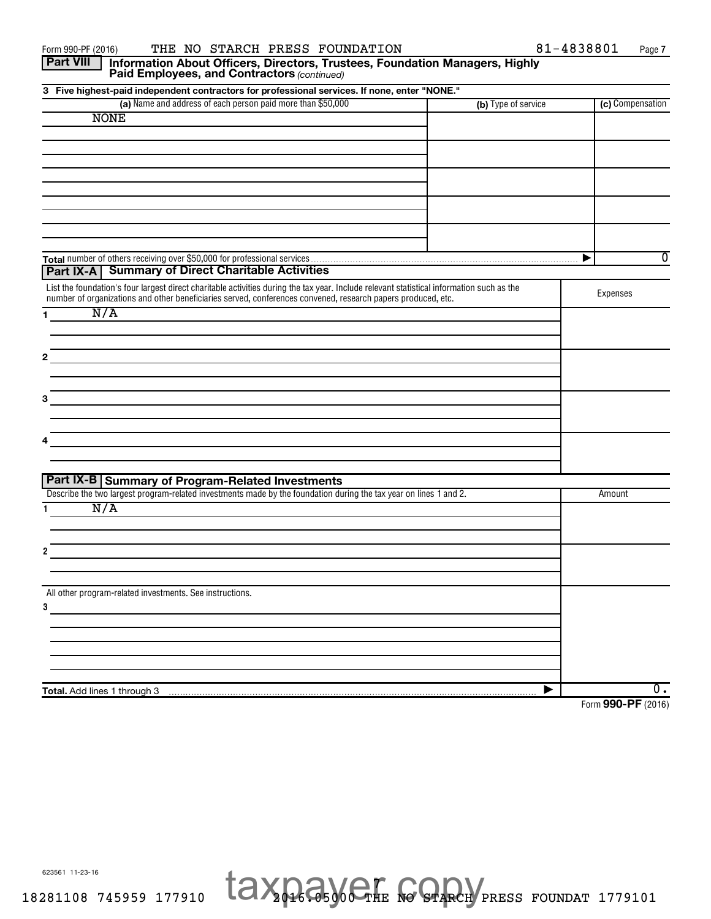**1 2 3 3 Five highest-paid independent contractors for professional services. If none, enter "NONE." (a)** Name and address of each person paid more than \$50,000 **The Compensation Compensation (c)** Compensation **Total** number of others receiving over \$50,000 for professional services **1 2 3 4 Total.** Add lines 1 through 3 Paid Employees, and Contractors (continued) List the foundation's four largest direct charitable activities during the tax year. Include relevant statistical information such as the number of organizations and other beneficiaries served, conferences convened, research papers produced, etc. Expenses Describe the two largest program-related investments made by the foundation during the tax year on lines 1 and 2. All other program-related investments. See instructions. **Part VIII** | Information About Officers, Directors, Trustees, Foundation Managers, Highly **Part IX-A Summary of Direct Charitable Activities Part IX-B Summary of Program-Related Investments**  $\overline{\blacktriangleright}$  $\blacktriangleright$ NONE 0 N/A N/A  $\overline{0}$  .

> 7 taxpayer copy

Form (2016) **990-PF**

623561 11-23-16

18281108 745959 177910 2016.05000 THE NO STARCH PRESS FOUNDAT 1779101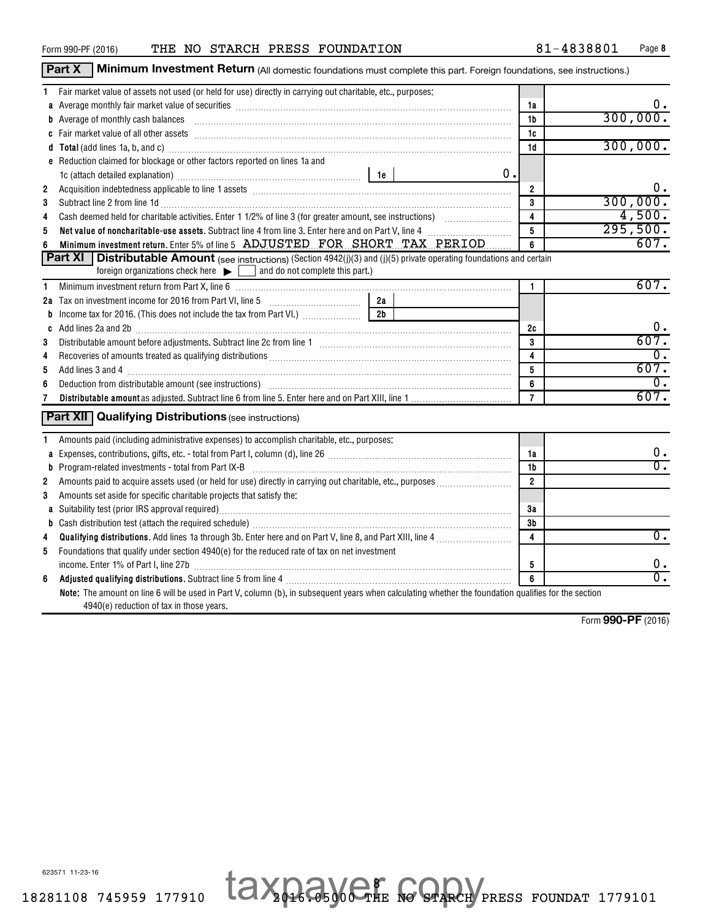| Form 990-PF (2016) |  |
|--------------------|--|
|                    |  |

|   | <b>Part X</b><br>Minimum Investment Return (All domestic foundations must complete this part. Foreign foundations, see instructions.)                                                                                          |                |                  |
|---|--------------------------------------------------------------------------------------------------------------------------------------------------------------------------------------------------------------------------------|----------------|------------------|
|   | Fair market value of assets not used (or held for use) directly in carrying out charitable, etc., purposes:                                                                                                                    |                |                  |
|   | a Average monthly fair market value of securities [11] match match match match of the contract match match match match match match match match match match match match match match match match match match match match match m | 1a             | υ.               |
|   |                                                                                                                                                                                                                                | 1b             | 300,000.         |
|   |                                                                                                                                                                                                                                | 1c             |                  |
|   |                                                                                                                                                                                                                                | 1d             | 300,000.         |
|   | e Reduction claimed for blockage or other factors reported on lines 1a and                                                                                                                                                     |                |                  |
|   | 0.                                                                                                                                                                                                                             |                |                  |
| 2 |                                                                                                                                                                                                                                | $\overline{2}$ | 0.               |
| 3 | Subtract line 2 from line 1d <b>Machinese and Contract Contract Lines</b> Subtract line 2 from line 1d                                                                                                                         | 3              | 300,000.         |
| 4 |                                                                                                                                                                                                                                | 4              | 4,500.           |
| 5 | Net value of noncharitable-use assets. Subtract line 4 from line 3. Enter here and on Part V, line 4 [111] Net                                                                                                                 | 5              | 295,500.         |
| 6 | Minimum investment return. Enter 5% of line 5 ADJUSTED FOR SHORT TAX PERIOD                                                                                                                                                    | 6              | 607.             |
|   | <b>Part XI</b> Distributable Amount (see instructions) (Section 4942(j)(3) and (j)(5) private operating foundations and certain                                                                                                |                |                  |
|   | foreign organizations check here $\blacktriangleright$ and do not complete this part.)                                                                                                                                         |                |                  |
| 1 | Minimum investment return from Part X, line 6 [11] matter contract the control of the control of the control of the control of the control of the control of the control of the control of the control of the control of the c | $\mathbf{1}$   | 607.             |
|   | 2a<br>2a Tax on investment income for 2016 from Part VI, line 5 [100] Tax on investment income for 2016 from Part VI, line 5                                                                                                   |                |                  |
| b | 2 <sub>b</sub><br>Income tax for 2016. (This does not include the tax from Part VI.)                                                                                                                                           |                |                  |
|   |                                                                                                                                                                                                                                | 2c             | 0.               |
| 3 |                                                                                                                                                                                                                                | 3              | 607.             |
| 4 |                                                                                                                                                                                                                                | 4              | $\overline{0}$ . |
| 5 |                                                                                                                                                                                                                                | 5              | 607.             |
| 6 | Deduction from distributable amount (see instructions) www.communically.communically.communically.communically                                                                                                                 | 6              | $\overline{0}$ . |
| 7 |                                                                                                                                                                                                                                | $\overline{7}$ | 607.             |
|   | <b>Part XII</b> Qualifying Distributions (see instructions)                                                                                                                                                                    |                |                  |
|   |                                                                                                                                                                                                                                |                |                  |
|   | Amounts paid (including administrative expenses) to accomplish charitable, etc., purposes:                                                                                                                                     |                |                  |
|   |                                                                                                                                                                                                                                | 1a             | 0.               |
|   | <b>b</b> Program-related investments - total from Part IX-B                                                                                                                                                                    | 1b             | $\overline{0}$ . |
| 2 |                                                                                                                                                                                                                                | $\overline{2}$ |                  |
| 3 | Amounts set aside for specific charitable projects that satisfy the:                                                                                                                                                           |                |                  |
|   | a Suitability test (prior IRS approval required)<br>manufacture manufacture manufacture manufacture manufacture manufacture manufacture manufacture manufacture m                                                              | 3a             |                  |
|   |                                                                                                                                                                                                                                | 3b             |                  |
| 4 |                                                                                                                                                                                                                                | 4              | $\overline{0}$ . |
| 5 | Foundations that qualify under section 4940(e) for the reduced rate of tax on net investment                                                                                                                                   |                |                  |
|   |                                                                                                                                                                                                                                | 5              | 0.               |
| 6 |                                                                                                                                                                                                                                | 6              | $\overline{0}$ . |
|   | Note: The amount on line 6 will be used in Part V, column (b), in subsequent years when calculating whether the foundation qualifies for the section                                                                           |                |                  |
|   | 4940(e) reduction of tax in those years.                                                                                                                                                                                       |                |                  |

 8 taxpayer copy Form (2016) **990-PF**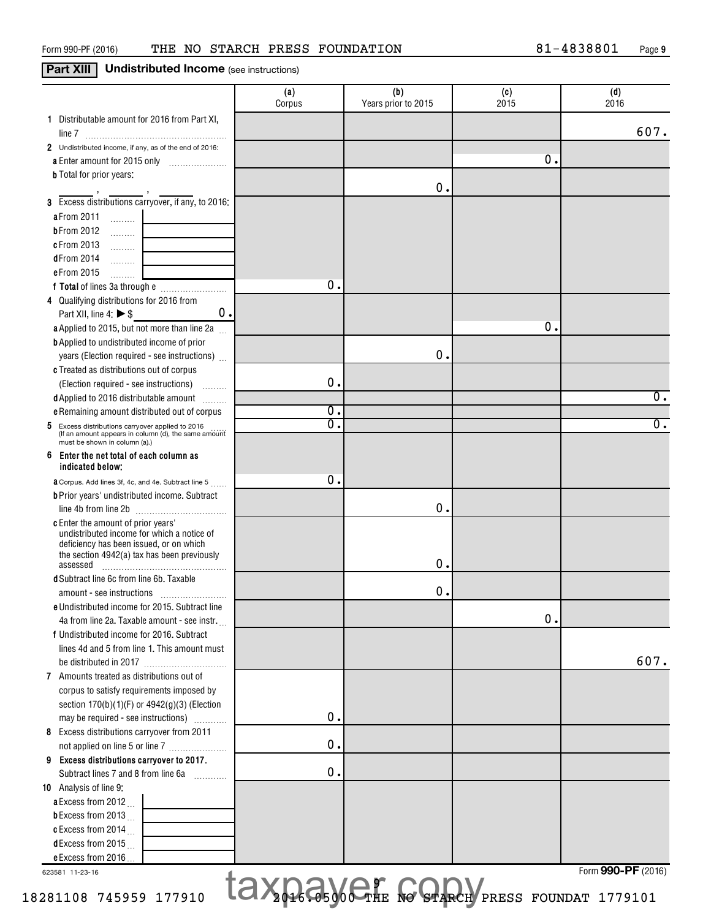## **Part XIII Undistributed Income** (see instructions)

|                                                                                                                                                                                        | (a)<br>Corpus                                       | (b)<br>Years prior to 2015 | (c)<br>2015   | (d)<br>2016        |
|----------------------------------------------------------------------------------------------------------------------------------------------------------------------------------------|-----------------------------------------------------|----------------------------|---------------|--------------------|
| 1 Distributable amount for 2016 from Part XI,                                                                                                                                          |                                                     |                            |               | 607.               |
| 2 Undistributed income, if any, as of the end of 2016:                                                                                                                                 |                                                     |                            |               |                    |
| a Enter amount for 2015 only                                                                                                                                                           |                                                     |                            | о.            |                    |
| <b>b</b> Total for prior years:                                                                                                                                                        |                                                     |                            |               |                    |
| 3 Excess distributions carryover, if any, to 2016:                                                                                                                                     |                                                     | 0.                         |               |                    |
| a From 2011<br>$\ldots \ldots \ldots$                                                                                                                                                  |                                                     |                            |               |                    |
| <b>bFrom 2012</b><br>1.1.1.1.1.1.1                                                                                                                                                     |                                                     |                            |               |                    |
| c From 2013<br>$\ldots \ldots \ldots$                                                                                                                                                  |                                                     |                            |               |                    |
| dFrom 2014<br>.<br>the control of the control of the                                                                                                                                   |                                                     |                            |               |                    |
| e From 2015<br>.                                                                                                                                                                       |                                                     |                            |               |                    |
|                                                                                                                                                                                        | о.                                                  |                            |               |                    |
| 4 Qualifying distributions for 2016 from                                                                                                                                               |                                                     |                            |               |                    |
| 0.<br>Part XII, line 4: $\triangleright$ \$                                                                                                                                            |                                                     |                            |               |                    |
| a Applied to 2015, but not more than line 2a<br><b>b</b> Applied to undistributed income of prior                                                                                      |                                                     |                            | о.            |                    |
| years (Election required - see instructions)                                                                                                                                           |                                                     | 0.                         |               |                    |
| c Treated as distributions out of corpus                                                                                                                                               |                                                     |                            |               |                    |
| (Election required - see instructions)                                                                                                                                                 | $\mathbf 0$ .                                       |                            |               |                    |
| d Applied to 2016 distributable amount                                                                                                                                                 |                                                     |                            |               | $\overline{0}$ .   |
| e Remaining amount distributed out of corpus                                                                                                                                           | σ.                                                  |                            |               |                    |
| 5 Excess distributions carryover applied to 2016<br>(If an amount appears in column (d), the same amount<br>must be shown in column (a).)                                              | σ.                                                  |                            |               | $\overline{0}$ .   |
| Enter the net total of each column as<br>6<br>indicated below:                                                                                                                         |                                                     |                            |               |                    |
| <b>a</b> Corpus. Add lines 3f, 4c, and 4e. Subtract line 5                                                                                                                             | о.                                                  |                            |               |                    |
| <b>b</b> Prior years' undistributed income. Subtract                                                                                                                                   |                                                     |                            |               |                    |
|                                                                                                                                                                                        |                                                     | 0.                         |               |                    |
| c Enter the amount of prior years'<br>undistributed income for which a notice of<br>deficiency has been issued, or on which<br>the section 4942(a) tax has been previously<br>assessed |                                                     | О.                         |               |                    |
| d Subtract line 6c from line 6b. Taxable                                                                                                                                               |                                                     |                            |               |                    |
|                                                                                                                                                                                        |                                                     | 0.                         |               |                    |
| e Undistributed income for 2015. Subtract line                                                                                                                                         |                                                     |                            |               |                    |
| 4a from line 2a. Taxable amount - see instr.                                                                                                                                           |                                                     |                            | $\mathbf 0$ . |                    |
| f Undistributed income for 2016. Subtract                                                                                                                                              |                                                     |                            |               |                    |
| lines 4d and 5 from line 1. This amount must                                                                                                                                           |                                                     |                            |               | 607.               |
| 7 Amounts treated as distributions out of                                                                                                                                              |                                                     |                            |               |                    |
| corpus to satisfy requirements imposed by                                                                                                                                              |                                                     |                            |               |                    |
| section 170(b)(1)(F) or 4942(g)(3) (Election                                                                                                                                           |                                                     |                            |               |                    |
| may be required - see instructions)                                                                                                                                                    | 0.                                                  |                            |               |                    |
| 8 Excess distributions carryover from 2011                                                                                                                                             |                                                     |                            |               |                    |
| not applied on line 5 or line 7                                                                                                                                                        | 0.                                                  |                            |               |                    |
| 9 Excess distributions carryover to 2017.<br>Subtract lines 7 and 8 from line 6a                                                                                                       | 0.                                                  |                            |               |                    |
| 10 Analysis of line 9:                                                                                                                                                                 |                                                     |                            |               |                    |
| a Excess from 2012.                                                                                                                                                                    |                                                     |                            |               |                    |
| <b>b</b> Excess from 2013 $\ldots$                                                                                                                                                     |                                                     |                            |               |                    |
| c Excess from 2014                                                                                                                                                                     |                                                     |                            |               |                    |
| dExcess from 2015                                                                                                                                                                      |                                                     |                            |               |                    |
| e Excess from 2016                                                                                                                                                                     |                                                     |                            |               |                    |
| 623581 11-23-16                                                                                                                                                                        |                                                     |                            |               | Form 990-PF (2016) |
| 281108 745959 177910                                                                                                                                                                   | <b>IAX RESOCTHE NO STARCH PRESS FOUNDAT 1779101</b> |                            |               |                    |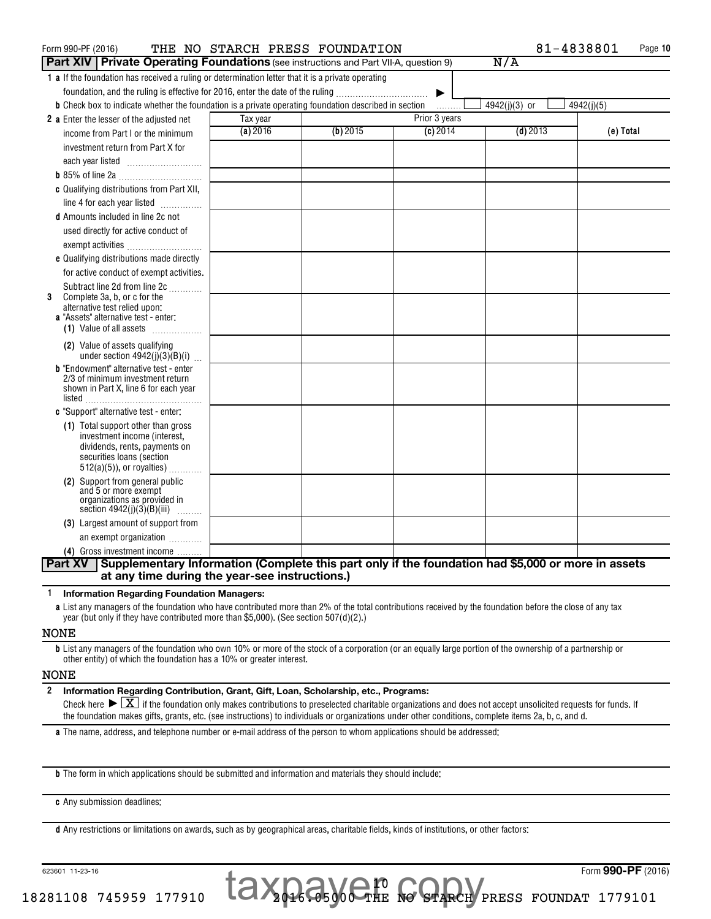| Form 990-PF (2016)                                                                                                   | THE NO STARCH PRESS FOUNDATION |          |               | 81-4838801    | Page 10    |
|----------------------------------------------------------------------------------------------------------------------|--------------------------------|----------|---------------|---------------|------------|
| Part XIV   Private Operating Foundations (see instructions and Part VII-A, question 9)                               |                                |          |               | N/A           |            |
| 1 a If the foundation has received a ruling or determination letter that it is a private operating                   |                                |          |               |               |            |
| foundation, and the ruling is effective for 2016, enter the date of the ruling                                       |                                |          | ▶             |               |            |
| <b>b</b> Check box to indicate whether the foundation is a private operating foundation described in section         |                                |          | .             | 4942(j)(3) or | 4942(j)(5) |
| 2 a Enter the lesser of the adjusted net                                                                             | Tax year                       |          | Prior 3 years |               |            |
| income from Part I or the minimum                                                                                    | (a) 2016                       | (b) 2015 | $(c)$ 2014    | $(d)$ 2013    | (e) Total  |
| investment return from Part X for                                                                                    |                                |          |               |               |            |
|                                                                                                                      |                                |          |               |               |            |
|                                                                                                                      |                                |          |               |               |            |
| c Qualifying distributions from Part XII,                                                                            |                                |          |               |               |            |
| line 4 for each year listed                                                                                          |                                |          |               |               |            |
| <b>d</b> Amounts included in line 2c not                                                                             |                                |          |               |               |            |
| used directly for active conduct of                                                                                  |                                |          |               |               |            |
| exempt activities                                                                                                    |                                |          |               |               |            |
| e Qualifying distributions made directly                                                                             |                                |          |               |               |            |
| for active conduct of exempt activities.                                                                             |                                |          |               |               |            |
| Subtract line 2d from line 2c                                                                                        |                                |          |               |               |            |
| Complete 3a, b, or c for the<br>3<br>alternative test relied upon:                                                   |                                |          |               |               |            |
| a "Assets" alternative test - enter:                                                                                 |                                |          |               |               |            |
| (1) Value of all assets                                                                                              |                                |          |               |               |            |
| (2) Value of assets qualifying<br>under section $4942(j)(3)(B)(i)$                                                   |                                |          |               |               |            |
| <b>b</b> "Endowment" alternative test - enter<br>2/3 of minimum investment return                                    |                                |          |               |               |            |
| shown in Part X, line 6 for each year                                                                                |                                |          |               |               |            |
|                                                                                                                      |                                |          |               |               |            |
| c "Support" alternative test - enter:                                                                                |                                |          |               |               |            |
| (1) Total support other than gross<br>investment income (interest,                                                   |                                |          |               |               |            |
| dividends, rents, payments on                                                                                        |                                |          |               |               |            |
| securities loans (section                                                                                            |                                |          |               |               |            |
| $512(a)(5)$ , or royalties)<br>(2) Support from general public                                                       |                                |          |               |               |            |
| and 5 or more exempt                                                                                                 |                                |          |               |               |            |
| organizations as provided in<br>section $4942(j)(3)(B)(iii)$                                                         |                                |          |               |               |            |
| (3) Largest amount of support from                                                                                   |                                |          |               |               |            |
| an exempt organization                                                                                               |                                |          |               |               |            |
| (4) Gross investment income                                                                                          |                                |          |               |               |            |
| Supplementary Information (Complete this part only if the foundation had \$5,000 or more in assets<br><b>Part XV</b> |                                |          |               |               |            |
| at any time during the year-see instructions.)                                                                       |                                |          |               |               |            |

**1 Information Regarding Foundation Managers:**

**a** List any managers of the foundation who have contributed more than 2% of the total contributions received by the foundation before the close of any tax year (but only if they have contributed more than \$5,000). (See section 507(d)(2).)

#### NONE

**b** List any managers of the foundation who own 10% or more of the stock of a corporation (or an equally large portion of the ownership of a partnership or other entity) of which the foundation has a 10% or greater interest.

#### NONE

**2 Information Regarding Contribution, Grant, Gift, Loan, Scholarship, etc., Programs:** Check here  $\blacktriangleright \boxed{\text{X}}$  if the foundation only makes contributions to preselected charitable organizations and does not accept unsolicited requests for funds. If the foundation makes gifts, grants, etc. (see instructions) to individuals or organizations under other conditions, complete items 2a, b, c, and d.

> 10 taxpayer copy

**a** The name, address, and telephone number or e-mail address of the person to whom applications should be addressed:

**b** The form in which applications should be submitted and information and materials they should include:

**c** Any submission deadlines:

**d** Any restrictions or limitations on awards, such as by geographical areas, charitable fields, kinds of institutions, or other factors:

623601 11-23-16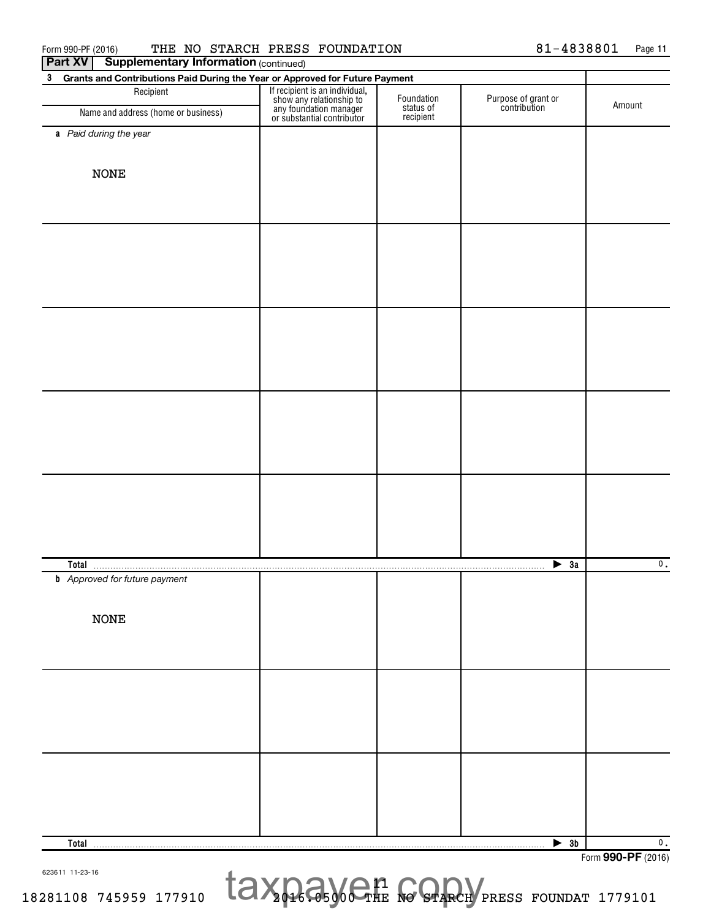| <b>Supplementary Information (continued)</b><br>Part XV                           |                                                                                                                    |                         |                                     |                                     |  |  |  |
|-----------------------------------------------------------------------------------|--------------------------------------------------------------------------------------------------------------------|-------------------------|-------------------------------------|-------------------------------------|--|--|--|
| Grants and Contributions Paid During the Year or Approved for Future Payment<br>3 |                                                                                                                    |                         |                                     |                                     |  |  |  |
| Recipient                                                                         | If recipient is an individual,<br>show any relationship to<br>any foundation manager<br>or substantial contributor | Foundation<br>status of | Purpose of grant or<br>contribution | Amount                              |  |  |  |
| Name and address (home or business)                                               |                                                                                                                    | recipient               |                                     |                                     |  |  |  |
| a Paid during the year                                                            |                                                                                                                    |                         |                                     |                                     |  |  |  |
|                                                                                   |                                                                                                                    |                         |                                     |                                     |  |  |  |
| <b>NONE</b>                                                                       |                                                                                                                    |                         |                                     |                                     |  |  |  |
|                                                                                   |                                                                                                                    |                         |                                     |                                     |  |  |  |
|                                                                                   |                                                                                                                    |                         |                                     |                                     |  |  |  |
|                                                                                   |                                                                                                                    |                         |                                     |                                     |  |  |  |
|                                                                                   |                                                                                                                    |                         |                                     |                                     |  |  |  |
|                                                                                   |                                                                                                                    |                         |                                     |                                     |  |  |  |
|                                                                                   |                                                                                                                    |                         |                                     |                                     |  |  |  |
|                                                                                   |                                                                                                                    |                         |                                     |                                     |  |  |  |
|                                                                                   |                                                                                                                    |                         |                                     |                                     |  |  |  |
|                                                                                   |                                                                                                                    |                         |                                     |                                     |  |  |  |
|                                                                                   |                                                                                                                    |                         |                                     |                                     |  |  |  |
|                                                                                   |                                                                                                                    |                         |                                     |                                     |  |  |  |
|                                                                                   |                                                                                                                    |                         |                                     |                                     |  |  |  |
|                                                                                   |                                                                                                                    |                         |                                     |                                     |  |  |  |
| Total                                                                             |                                                                                                                    |                         | $\blacktriangleright$ 3a            | $\mathbf{0}$ .                      |  |  |  |
| <b>b</b> Approved for future payment                                              |                                                                                                                    | .                       |                                     |                                     |  |  |  |
|                                                                                   |                                                                                                                    |                         |                                     |                                     |  |  |  |
| <b>NONE</b>                                                                       |                                                                                                                    |                         |                                     |                                     |  |  |  |
|                                                                                   |                                                                                                                    |                         |                                     |                                     |  |  |  |
|                                                                                   |                                                                                                                    |                         |                                     |                                     |  |  |  |
|                                                                                   |                                                                                                                    |                         |                                     |                                     |  |  |  |
|                                                                                   |                                                                                                                    |                         |                                     |                                     |  |  |  |
|                                                                                   |                                                                                                                    |                         |                                     |                                     |  |  |  |
|                                                                                   |                                                                                                                    |                         |                                     |                                     |  |  |  |
|                                                                                   |                                                                                                                    |                         |                                     |                                     |  |  |  |
|                                                                                   |                                                                                                                    |                         |                                     |                                     |  |  |  |
| Total                                                                             |                                                                                                                    |                         | $\blacktriangleright$ 3b            | $\mathbf 0$ .<br>Form 990-PF (2016) |  |  |  |
|                                                                                   |                                                                                                                    |                         |                                     |                                     |  |  |  |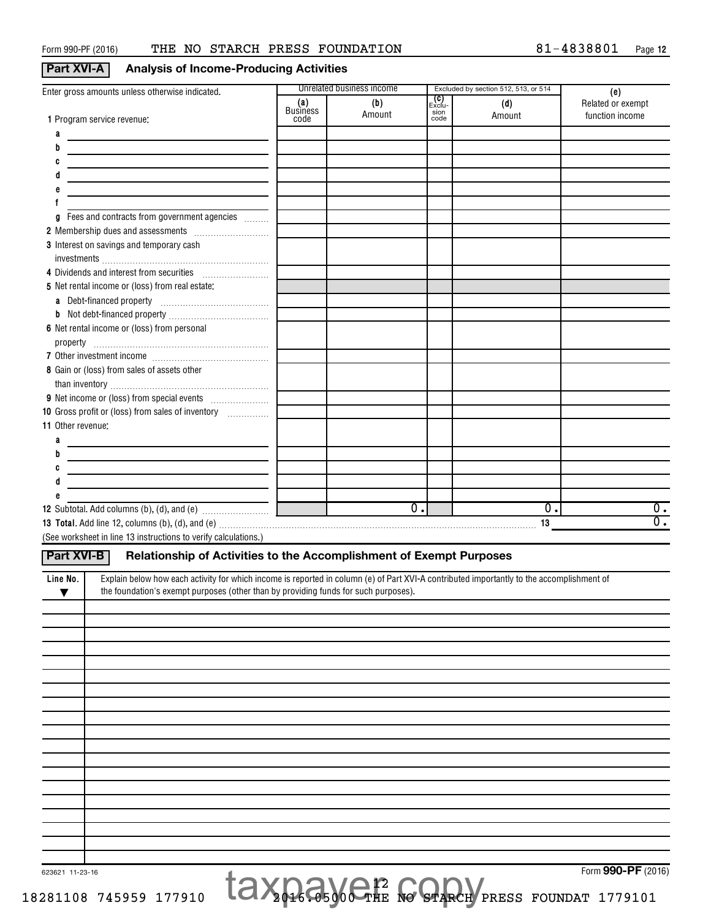## **Part XVI-A** Analysis of Income-Producing Activities

| Enter gross amounts unless otherwise indicated.                                                                                                                                                                                                                                                                                                                                                                                                                      |                         | Unrelated business income |                        | Excluded by section 512, 513, or 514 | (e)               |
|----------------------------------------------------------------------------------------------------------------------------------------------------------------------------------------------------------------------------------------------------------------------------------------------------------------------------------------------------------------------------------------------------------------------------------------------------------------------|-------------------------|---------------------------|------------------------|--------------------------------------|-------------------|
|                                                                                                                                                                                                                                                                                                                                                                                                                                                                      | (a)                     | (b)                       | _ <b>(C)</b><br>Exclu- | (d)                                  | Related or exempt |
| 1 Program service revenue:                                                                                                                                                                                                                                                                                                                                                                                                                                           | <b>Business</b><br>code | Amount                    | sion<br>code           | Amount                               | function income   |
|                                                                                                                                                                                                                                                                                                                                                                                                                                                                      |                         |                           |                        |                                      |                   |
| а                                                                                                                                                                                                                                                                                                                                                                                                                                                                    |                         |                           |                        |                                      |                   |
| b<br><u> 1989 - Johann Barn, amerikansk politiker (</u>                                                                                                                                                                                                                                                                                                                                                                                                              |                         |                           |                        |                                      |                   |
| C<br><u> 1989 - Johann Barn, mars eta bainar eta idazlea (</u>                                                                                                                                                                                                                                                                                                                                                                                                       |                         |                           |                        |                                      |                   |
|                                                                                                                                                                                                                                                                                                                                                                                                                                                                      |                         |                           |                        |                                      |                   |
|                                                                                                                                                                                                                                                                                                                                                                                                                                                                      |                         |                           |                        |                                      |                   |
|                                                                                                                                                                                                                                                                                                                                                                                                                                                                      |                         |                           |                        |                                      |                   |
| Fees and contracts from government agencies<br>g                                                                                                                                                                                                                                                                                                                                                                                                                     |                         |                           |                        |                                      |                   |
|                                                                                                                                                                                                                                                                                                                                                                                                                                                                      |                         |                           |                        |                                      |                   |
| 3 Interest on savings and temporary cash                                                                                                                                                                                                                                                                                                                                                                                                                             |                         |                           |                        |                                      |                   |
|                                                                                                                                                                                                                                                                                                                                                                                                                                                                      |                         |                           |                        |                                      |                   |
| 4 Dividends and interest from securities                                                                                                                                                                                                                                                                                                                                                                                                                             |                         |                           |                        |                                      |                   |
| 5 Net rental income or (loss) from real estate:                                                                                                                                                                                                                                                                                                                                                                                                                      |                         |                           |                        |                                      |                   |
|                                                                                                                                                                                                                                                                                                                                                                                                                                                                      |                         |                           |                        |                                      |                   |
|                                                                                                                                                                                                                                                                                                                                                                                                                                                                      |                         |                           |                        |                                      |                   |
|                                                                                                                                                                                                                                                                                                                                                                                                                                                                      |                         |                           |                        |                                      |                   |
| 6 Net rental income or (loss) from personal                                                                                                                                                                                                                                                                                                                                                                                                                          |                         |                           |                        |                                      |                   |
| $\begin{minipage}[c]{0.9\linewidth} \textbf{property} & \textbf{if} \textbf{if} \textbf{if} \textbf{if} \textbf{if} \textbf{if} \textbf{if} \textbf{if} \textbf{if} \textbf{if} \textbf{if} \textbf{if} \textbf{if} \textbf{if} \textbf{if} \textbf{if} \textbf{if} \textbf{if} \textbf{if} \textbf{if} \textbf{if} \textbf{if} \textbf{if} \textbf{if} \textbf{if} \textbf{if} \textbf{if} \textbf{if} \textbf{if} \textbf{if} \textbf{if} \textbf{if} \textbf{if}$ |                         |                           |                        |                                      |                   |
|                                                                                                                                                                                                                                                                                                                                                                                                                                                                      |                         |                           |                        |                                      |                   |
| 8 Gain or (loss) from sales of assets other                                                                                                                                                                                                                                                                                                                                                                                                                          |                         |                           |                        |                                      |                   |
|                                                                                                                                                                                                                                                                                                                                                                                                                                                                      |                         |                           |                        |                                      |                   |
|                                                                                                                                                                                                                                                                                                                                                                                                                                                                      |                         |                           |                        |                                      |                   |
| 10 Gross profit or (loss) from sales of inventory                                                                                                                                                                                                                                                                                                                                                                                                                    |                         |                           |                        |                                      |                   |
| 11 Other revenue:                                                                                                                                                                                                                                                                                                                                                                                                                                                    |                         |                           |                        |                                      |                   |
| a<br><u> 1989 - Johann Barn, mars an t-Amerikaansk politiker (</u>                                                                                                                                                                                                                                                                                                                                                                                                   |                         |                           |                        |                                      |                   |
| b                                                                                                                                                                                                                                                                                                                                                                                                                                                                    |                         |                           |                        |                                      |                   |
|                                                                                                                                                                                                                                                                                                                                                                                                                                                                      |                         |                           |                        |                                      |                   |
| <u> 1989 - Johann John Stone, market fan it ferskearre fan it ferskearre fan it ferskearre fan it ferskearre fan</u>                                                                                                                                                                                                                                                                                                                                                 |                         |                           |                        |                                      |                   |
|                                                                                                                                                                                                                                                                                                                                                                                                                                                                      |                         |                           |                        |                                      |                   |
|                                                                                                                                                                                                                                                                                                                                                                                                                                                                      |                         |                           |                        |                                      |                   |
|                                                                                                                                                                                                                                                                                                                                                                                                                                                                      |                         |                           |                        |                                      |                   |
|                                                                                                                                                                                                                                                                                                                                                                                                                                                                      |                         | $\overline{0}$ .          |                        | $\overline{0}$ .                     | 0.                |
|                                                                                                                                                                                                                                                                                                                                                                                                                                                                      |                         |                           |                        | 13                                   | $\overline{0}$ .  |
| (See worksheet in line 13 instructions to verify calculations.)                                                                                                                                                                                                                                                                                                                                                                                                      |                         |                           |                        |                                      |                   |
| Part XVI-B<br>Relationship of Activities to the Accomplishment of Exempt Purposes                                                                                                                                                                                                                                                                                                                                                                                    |                         |                           |                        |                                      |                   |
|                                                                                                                                                                                                                                                                                                                                                                                                                                                                      |                         |                           |                        |                                      |                   |
| Explain below how each activity for which income is reported in column (e) of Part XVI-A contributed importantly to the accomplishment of<br>Line No.                                                                                                                                                                                                                                                                                                                |                         |                           |                        |                                      |                   |
| the foundation's exempt purposes (other than by providing funds for such purposes).<br>▼                                                                                                                                                                                                                                                                                                                                                                             |                         |                           |                        |                                      |                   |
|                                                                                                                                                                                                                                                                                                                                                                                                                                                                      |                         |                           |                        |                                      |                   |
|                                                                                                                                                                                                                                                                                                                                                                                                                                                                      |                         |                           |                        |                                      |                   |
|                                                                                                                                                                                                                                                                                                                                                                                                                                                                      |                         |                           |                        |                                      |                   |
|                                                                                                                                                                                                                                                                                                                                                                                                                                                                      |                         |                           |                        |                                      |                   |
|                                                                                                                                                                                                                                                                                                                                                                                                                                                                      |                         |                           |                        |                                      |                   |
|                                                                                                                                                                                                                                                                                                                                                                                                                                                                      |                         |                           |                        |                                      |                   |
|                                                                                                                                                                                                                                                                                                                                                                                                                                                                      |                         |                           |                        |                                      |                   |
|                                                                                                                                                                                                                                                                                                                                                                                                                                                                      |                         |                           |                        |                                      |                   |
|                                                                                                                                                                                                                                                                                                                                                                                                                                                                      |                         |                           |                        |                                      |                   |
|                                                                                                                                                                                                                                                                                                                                                                                                                                                                      |                         |                           |                        |                                      |                   |
|                                                                                                                                                                                                                                                                                                                                                                                                                                                                      |                         |                           |                        |                                      |                   |
|                                                                                                                                                                                                                                                                                                                                                                                                                                                                      |                         |                           |                        |                                      |                   |
|                                                                                                                                                                                                                                                                                                                                                                                                                                                                      |                         |                           |                        |                                      |                   |
|                                                                                                                                                                                                                                                                                                                                                                                                                                                                      |                         |                           |                        |                                      |                   |
|                                                                                                                                                                                                                                                                                                                                                                                                                                                                      |                         |                           |                        |                                      |                   |
|                                                                                                                                                                                                                                                                                                                                                                                                                                                                      |                         |                           |                        |                                      |                   |
|                                                                                                                                                                                                                                                                                                                                                                                                                                                                      |                         |                           |                        |                                      |                   |
|                                                                                                                                                                                                                                                                                                                                                                                                                                                                      |                         |                           |                        |                                      |                   |
|                                                                                                                                                                                                                                                                                                                                                                                                                                                                      |                         |                           |                        |                                      |                   |

12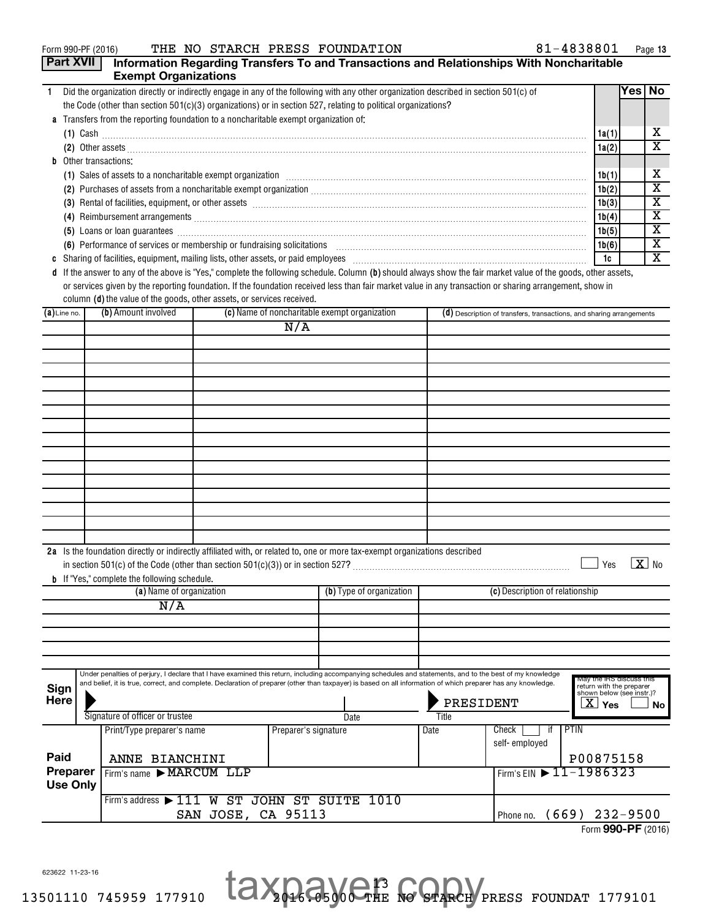| Form 990-PF (2016) |
|--------------------|
|--------------------|

|             | <b>Part XVII</b>             | <b>Exempt Organizations</b>                                                                                                           |                         |                      |                                               |       | Information Regarding Transfers To and Transactions and Relationships With Noncharitable                                                                                                                                            |                                                                                   |          |                         |
|-------------|------------------------------|---------------------------------------------------------------------------------------------------------------------------------------|-------------------------|----------------------|-----------------------------------------------|-------|-------------------------------------------------------------------------------------------------------------------------------------------------------------------------------------------------------------------------------------|-----------------------------------------------------------------------------------|----------|-------------------------|
| 1.          |                              | Did the organization directly or indirectly engage in any of the following with any other organization described in section 501(c) of |                         |                      |                                               |       |                                                                                                                                                                                                                                     |                                                                                   | Yes   No |                         |
|             |                              | the Code (other than section $501(c)(3)$ organizations) or in section 527, relating to political organizations?                       |                         |                      |                                               |       |                                                                                                                                                                                                                                     |                                                                                   |          |                         |
|             |                              | a Transfers from the reporting foundation to a noncharitable exempt organization of:                                                  |                         |                      |                                               |       |                                                                                                                                                                                                                                     |                                                                                   |          |                         |
|             |                              |                                                                                                                                       |                         |                      |                                               |       | $(1)$ Cash                                                                                                                                                                                                                          | 1a(1)                                                                             |          | х                       |
|             |                              |                                                                                                                                       |                         |                      |                                               |       | (2) Other assets <b>construction and the construction of the construction</b> of the construction of the construction of the construction of the construction of the construction of the construction of the construction of the co | 1a(2)                                                                             |          | $\overline{\textbf{x}}$ |
|             | <b>b</b> Other transactions: |                                                                                                                                       |                         |                      |                                               |       |                                                                                                                                                                                                                                     |                                                                                   |          |                         |
|             |                              |                                                                                                                                       |                         |                      |                                               |       | (1) Sales of assets to a noncharitable exempt organization manufactured contained and a set of assets to a noncharitable exempt organization manufactured contained and set of the set of the set of the set of the set of the      | 1b(1)                                                                             |          | х                       |
|             |                              |                                                                                                                                       |                         |                      |                                               |       |                                                                                                                                                                                                                                     | 1b(2)                                                                             |          | $\overline{\textbf{x}}$ |
|             |                              |                                                                                                                                       |                         |                      |                                               |       | (3) Rental of facilities, equipment, or other assets [1] rental material material material material material material material material material material material material material material material material material mater      | 1b(3)                                                                             |          | X                       |
|             |                              |                                                                                                                                       |                         |                      |                                               |       |                                                                                                                                                                                                                                     | 1b(4)                                                                             |          | х                       |
|             |                              |                                                                                                                                       |                         |                      |                                               |       |                                                                                                                                                                                                                                     | 1b(5)                                                                             |          | X                       |
|             |                              |                                                                                                                                       |                         |                      |                                               |       | (6) Performance of services or membership or fundraising solicitations [11] manufacture material manufacture of services or membership or fundraising solicitations [11] manufacture material materials and the service of the      | 1b(6)                                                                             |          | $\overline{\textbf{x}}$ |
|             |                              |                                                                                                                                       |                         |                      |                                               |       |                                                                                                                                                                                                                                     | 1c                                                                                |          | х                       |
|             |                              |                                                                                                                                       |                         |                      |                                               |       | d If the answer to any of the above is "Yes," complete the following schedule. Column (b) should always show the fair market value of the goods, other assets,                                                                      |                                                                                   |          |                         |
|             |                              | column (d) the value of the goods, other assets, or services received.                                                                |                         |                      |                                               |       | or services given by the reporting foundation. If the foundation received less than fair market value in any transaction or sharing arrangement, show in                                                                            |                                                                                   |          |                         |
|             | $(a)$ Line no.               | (b) Amount involved                                                                                                                   |                         |                      | (c) Name of noncharitable exempt organization |       | (d) Description of transfers, transactions, and sharing arrangements                                                                                                                                                                |                                                                                   |          |                         |
|             |                              |                                                                                                                                       |                         | N/A                  |                                               |       |                                                                                                                                                                                                                                     |                                                                                   |          |                         |
|             |                              |                                                                                                                                       |                         |                      |                                               |       |                                                                                                                                                                                                                                     |                                                                                   |          |                         |
|             |                              |                                                                                                                                       |                         |                      |                                               |       |                                                                                                                                                                                                                                     |                                                                                   |          |                         |
|             |                              |                                                                                                                                       |                         |                      |                                               |       |                                                                                                                                                                                                                                     |                                                                                   |          |                         |
|             |                              |                                                                                                                                       |                         |                      |                                               |       |                                                                                                                                                                                                                                     |                                                                                   |          |                         |
|             |                              |                                                                                                                                       |                         |                      |                                               |       |                                                                                                                                                                                                                                     |                                                                                   |          |                         |
|             |                              |                                                                                                                                       |                         |                      |                                               |       |                                                                                                                                                                                                                                     |                                                                                   |          |                         |
|             |                              |                                                                                                                                       |                         |                      |                                               |       |                                                                                                                                                                                                                                     |                                                                                   |          |                         |
|             |                              |                                                                                                                                       |                         |                      |                                               |       |                                                                                                                                                                                                                                     |                                                                                   |          |                         |
|             |                              |                                                                                                                                       |                         |                      |                                               |       |                                                                                                                                                                                                                                     |                                                                                   |          |                         |
|             |                              |                                                                                                                                       |                         |                      |                                               |       |                                                                                                                                                                                                                                     |                                                                                   |          |                         |
|             |                              |                                                                                                                                       |                         |                      |                                               |       |                                                                                                                                                                                                                                     |                                                                                   |          |                         |
|             |                              |                                                                                                                                       |                         |                      |                                               |       |                                                                                                                                                                                                                                     |                                                                                   |          |                         |
|             |                              |                                                                                                                                       |                         |                      |                                               |       |                                                                                                                                                                                                                                     |                                                                                   |          |                         |
|             |                              |                                                                                                                                       |                         |                      |                                               |       |                                                                                                                                                                                                                                     |                                                                                   |          |                         |
|             |                              |                                                                                                                                       |                         |                      |                                               |       |                                                                                                                                                                                                                                     |                                                                                   |          |                         |
|             |                              | 2a Is the foundation directly or indirectly affiliated with, or related to, one or more tax-exempt organizations described            |                         |                      |                                               |       |                                                                                                                                                                                                                                     |                                                                                   |          |                         |
|             |                              |                                                                                                                                       |                         |                      |                                               |       |                                                                                                                                                                                                                                     | Yes                                                                               |          | $X _{N_0}$              |
|             |                              | <b>b</b> If "Yes," complete the following schedule.                                                                                   |                         |                      |                                               |       |                                                                                                                                                                                                                                     |                                                                                   |          |                         |
|             |                              | (a) Name of organization                                                                                                              |                         |                      | (b) Type of organization                      |       | (c) Description of relationship                                                                                                                                                                                                     |                                                                                   |          |                         |
|             |                              | N/A                                                                                                                                   |                         |                      |                                               |       |                                                                                                                                                                                                                                     |                                                                                   |          |                         |
|             |                              |                                                                                                                                       |                         |                      |                                               |       |                                                                                                                                                                                                                                     |                                                                                   |          |                         |
|             |                              |                                                                                                                                       |                         |                      |                                               |       |                                                                                                                                                                                                                                     |                                                                                   |          |                         |
|             |                              |                                                                                                                                       |                         |                      |                                               |       |                                                                                                                                                                                                                                     |                                                                                   |          |                         |
|             |                              |                                                                                                                                       |                         |                      |                                               |       | Under penalties of perjury, I declare that I have examined this return, including accompanying schedules and statements, and to the best of my knowledge                                                                            |                                                                                   |          |                         |
| Sign        |                              |                                                                                                                                       |                         |                      |                                               |       | and belief, it is true, correct, and complete. Declaration of preparer (other than taxpayer) is based on all information of which preparer has any knowledge.                                                                       | May the IRS discuss this<br>return with the preparer<br>shown below (see instr.)? |          |                         |
| <b>Here</b> |                              |                                                                                                                                       |                         |                      |                                               |       | PRESIDENT                                                                                                                                                                                                                           | $X \vert Y$ es                                                                    |          |                         |
|             |                              | Signature of officer or trustee                                                                                                       |                         |                      | Date                                          | Title |                                                                                                                                                                                                                                     |                                                                                   |          | No.                     |
|             |                              | Print/Type preparer's name                                                                                                            |                         | Preparer's signature |                                               | Date  | PTIN<br>Check<br>if                                                                                                                                                                                                                 |                                                                                   |          |                         |
|             |                              |                                                                                                                                       |                         |                      |                                               |       | self-employed                                                                                                                                                                                                                       |                                                                                   |          |                         |
| Paid        |                              | ANNE BIANCHINI                                                                                                                        |                         |                      |                                               |       |                                                                                                                                                                                                                                     | P00875158                                                                         |          |                         |
|             | Preparer                     | Firm's name MARCUM LLP                                                                                                                |                         |                      |                                               |       | Firm's EIN 11-1986323                                                                                                                                                                                                               |                                                                                   |          |                         |
|             | <b>Use Only</b>              |                                                                                                                                       |                         |                      |                                               |       |                                                                                                                                                                                                                                     |                                                                                   |          |                         |
|             |                              | Firm's address $\blacktriangleright$ 111                                                                                              | W ST JOHN ST SUITE 1010 |                      |                                               |       |                                                                                                                                                                                                                                     |                                                                                   |          |                         |
|             |                              |                                                                                                                                       | SAN JOSE, CA 95113      |                      |                                               |       | $(669)$ 232-9500<br>Phone no.                                                                                                                                                                                                       |                                                                                   |          |                         |

13

Form (2016) **990-PF**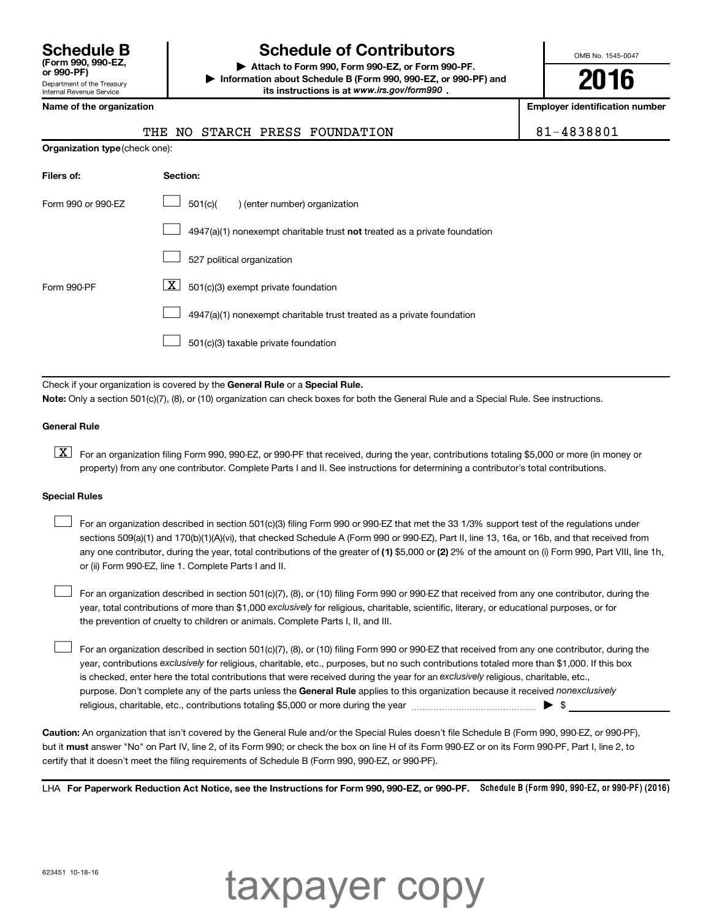Department of the Treasury Internal Revenue Service **(Form 990, 990-EZ,**

# **Schedule B Schedule of Contributors**

**or 990-PF) | Attach to Form 990, Form 990-EZ, or Form 990-PF. | Information about Schedule B (Form 990, 990-EZ, or 990-PF) and** its instructions is at www.irs.gov/form990.

OMB No. 1545-0047

**2016**

**Employer identification number** 

| THE NO STARCH PRESS FOUNDATION | $ 81 - 4838801$ |
|--------------------------------|-----------------|
|--------------------------------|-----------------|

|  | Name of the organization |
|--|--------------------------|
|--|--------------------------|

| <b>Organization type (check one):</b> |                                                                           |
|---------------------------------------|---------------------------------------------------------------------------|
| Filers of:                            | Section:                                                                  |
| Form 990 or 990-EZ                    | 501(c)(<br>) (enter number) organization                                  |
|                                       | 4947(a)(1) nonexempt charitable trust not treated as a private foundation |
|                                       | 527 political organization                                                |
| Form 990-PF                           | X<br>501(c)(3) exempt private foundation                                  |
|                                       | 4947(a)(1) nonexempt charitable trust treated as a private foundation     |
|                                       | 501(c)(3) taxable private foundation                                      |

Check if your organization is covered by the General Rule or a Special Rule.

**Note:**  Only a section 501(c)(7), (8), or (10) organization can check boxes for both the General Rule and a Special Rule. See instructions.

#### **General Rule**

**K** For an organization filing Form 990, 990-EZ, or 990-PF that received, during the year, contributions totaling \$5,000 or more (in money or property) from any one contributor. Complete Parts I and II. See instructions for determining a contributor's total contributions.

#### **Special Rules**

 $\Box$ 

any one contributor, during the year, total contributions of the greater of **(1)** \$5,000 or **(2)** 2% of the amount on (i) Form 990, Part VIII, line 1h, For an organization described in section 501(c)(3) filing Form 990 or 990-EZ that met the 33 1/3% support test of the regulations under sections 509(a)(1) and 170(b)(1)(A)(vi), that checked Schedule A (Form 990 or 990-EZ), Part II, line 13, 16a, or 16b, and that received from or (ii) Form 990-EZ, line 1. Complete Parts I and II.  $\Box$ 

year, total contributions of more than \$1,000 *exclusively* for religious, charitable, scientific, literary, or educational purposes, or for For an organization described in section 501(c)(7), (8), or (10) filing Form 990 or 990-EZ that received from any one contributor, during the the prevention of cruelty to children or animals. Complete Parts I, II, and III.  $\Box$ 

purpose. Don't complete any of the parts unless the General Rule applies to this organization because it received nonexclusively year, contributions exclusively for religious, charitable, etc., purposes, but no such contributions totaled more than \$1,000. If this box is checked, enter here the total contributions that were received during the year for an exclusively religious, charitable, etc., For an organization described in section 501(c)(7), (8), or (10) filing Form 990 or 990-EZ that received from any one contributor, during the religious, charitable, etc., contributions totaling \$5,000 or more during the year  $\ldots$  $\ldots$  $\ldots$  $\ldots$  $\ldots$  $\ldots$ 

**Caution:**  An organization that isn't covered by the General Rule and/or the Special Rules doesn't file Schedule B (Form 990, 990-EZ, or 990-PF),  **must** but it answer "No" on Part IV, line 2, of its Form 990; or check the box on line H of its Form 990-EZ or on its Form 990-PF, Part I, line 2, to certify that it doesn't meet the filing requirements of Schedule B (Form 990, 990-EZ, or 990-PF).

LHA For Paperwork Reduction Act Notice, see the Instructions for Form 990, 990-EZ, or 990-PF. Schedule B (Form 990, 990-EZ, or 990-PF) (2016)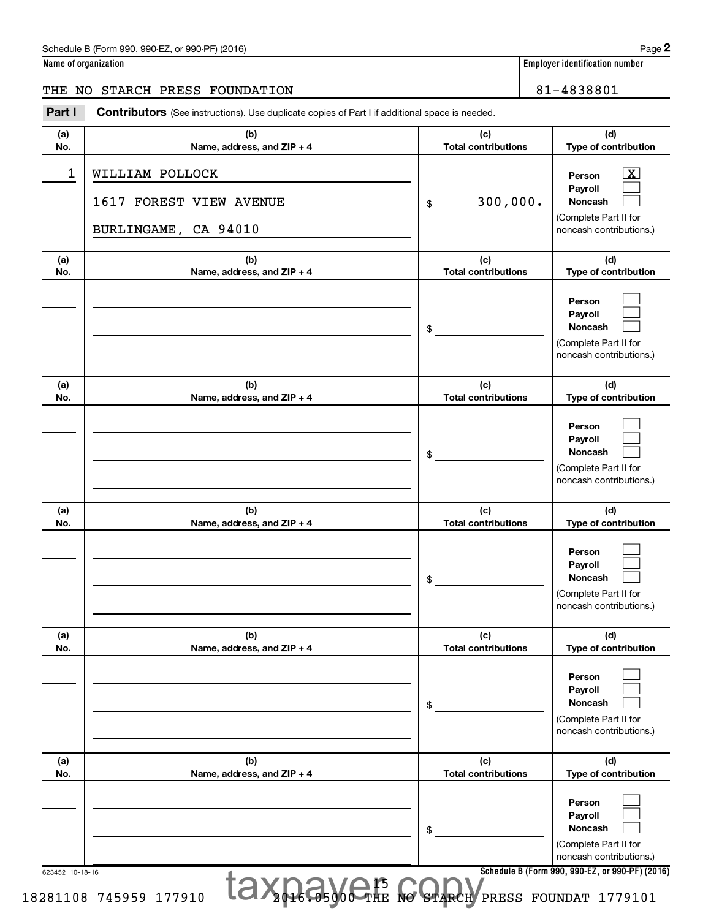#### Schedule B (Form 990, 990-EZ, or 990-PF) (2016)

| Name of organization |
|----------------------|
|----------------------|

## THE NO STARCH PRESS FOUNDATION 81-4838801

| Part I          | <b>Contributors</b> (See instructions). Use duplicate copies of Part I if additional space is needed. |                                   |                                                                                                                                            |  |  |  |  |
|-----------------|-------------------------------------------------------------------------------------------------------|-----------------------------------|--------------------------------------------------------------------------------------------------------------------------------------------|--|--|--|--|
| (a)<br>No.      | (b)<br>Name, address, and ZIP + 4                                                                     | (c)<br><b>Total contributions</b> | (d)<br>Type of contribution                                                                                                                |  |  |  |  |
| $\mathbf 1$     | WILLIAM POLLOCK<br>1617 FOREST VIEW AVENUE<br>BURLINGAME, CA 94010                                    | 300,000.<br>\$                    | $\overline{\mathbf{X}}$<br>Person<br>Payroll<br>Noncash<br>(Complete Part II for<br>noncash contributions.)                                |  |  |  |  |
| (a)<br>No.      | (b)<br>Name, address, and ZIP + 4                                                                     | (c)<br><b>Total contributions</b> | (d)<br>Type of contribution                                                                                                                |  |  |  |  |
|                 |                                                                                                       | \$                                | Person<br>Payroll<br>Noncash<br>(Complete Part II for<br>noncash contributions.)                                                           |  |  |  |  |
| (a)<br>No.      | (b)<br>Name, address, and ZIP + 4                                                                     | (c)<br><b>Total contributions</b> | (d)<br>Type of contribution                                                                                                                |  |  |  |  |
|                 |                                                                                                       | \$                                | Person<br>Payroll<br>Noncash<br>(Complete Part II for<br>noncash contributions.)                                                           |  |  |  |  |
| (a)<br>No.      | (b)<br>Name, address, and ZIP + 4                                                                     | (c)<br><b>Total contributions</b> | (d)<br>Type of contribution                                                                                                                |  |  |  |  |
|                 |                                                                                                       | \$                                | Person<br>Payroll<br>Noncash<br>(Complete Part II for<br>noncash contributions.)                                                           |  |  |  |  |
| (a)<br>No.      | (b)<br>Name, address, and ZIP + 4                                                                     | (c)<br><b>Total contributions</b> | (d)<br>Type of contribution                                                                                                                |  |  |  |  |
|                 |                                                                                                       | \$                                | Person<br>Payroll<br><b>Noncash</b><br>(Complete Part II for<br>noncash contributions.)                                                    |  |  |  |  |
| (a)<br>No.      | (b)<br>Name, address, and ZIP + 4                                                                     | (c)<br><b>Total contributions</b> | (d)<br>Type of contribution                                                                                                                |  |  |  |  |
|                 |                                                                                                       | \$                                | Person<br>Payroll<br><b>Noncash</b><br>(Complete Part II for<br>noncash contributions.)<br>Schedule B (Form 990, 990-EZ, or 990-PF) (2016) |  |  |  |  |
| 623452 10-18-16 | taxnayer<br>281108 745959 177910                                                                      | NO STARCH                         | PRESS FOUNDAT 1779101                                                                                                                      |  |  |  |  |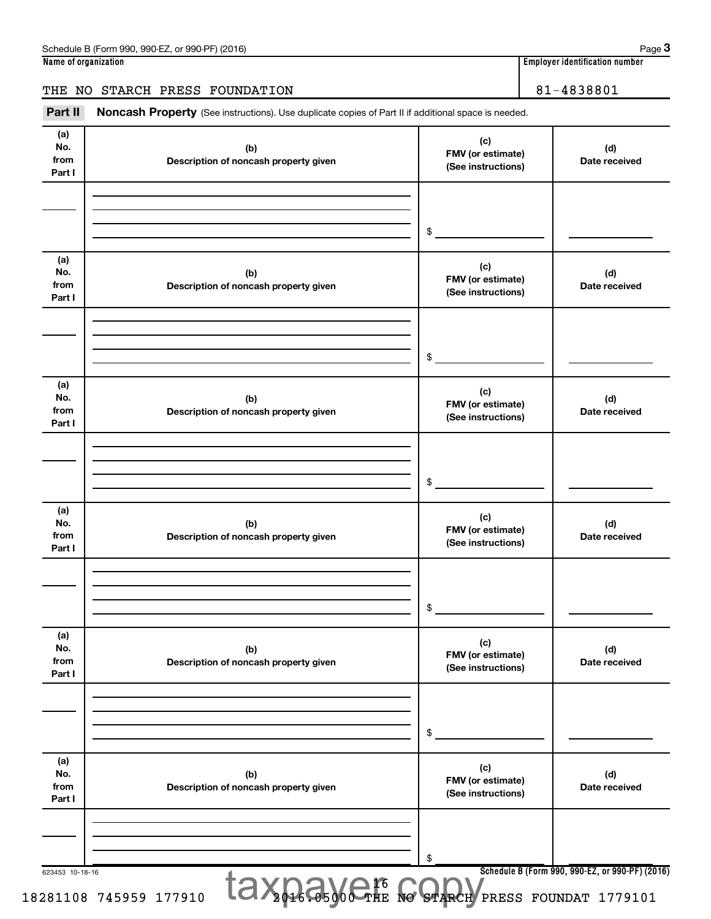## THE NO STARCH PRESS FOUNDATION | 81-4838801

Part II Noncash Property (See instructions). Use duplicate copies of Part II if additional space is needed.

| (a)<br>No.<br>from<br>Part I | (b)<br>Description of noncash property given | (c)<br>FMV (or estimate)<br>(See instructions) | (d)<br>Date received |
|------------------------------|----------------------------------------------|------------------------------------------------|----------------------|
|                              |                                              | $\frac{1}{2}$                                  |                      |
| (a)<br>No.<br>from<br>Part I | (b)<br>Description of noncash property given | (c)<br>FMV (or estimate)<br>(See instructions) | (d)<br>Date received |
|                              |                                              | \$                                             |                      |
| (a)<br>No.<br>from<br>Part I | (b)<br>Description of noncash property given | (c)<br>FMV (or estimate)<br>(See instructions) | (d)<br>Date received |
|                              |                                              | \$                                             |                      |
| (a)<br>No.<br>from<br>Part I | (b)<br>Description of noncash property given | (c)<br>FMV (or estimate)<br>(See instructions) | (d)<br>Date received |
|                              |                                              | \$                                             |                      |
| (a)<br>No.<br>from<br>Part I | (b)<br>Description of noncash property given | (c)<br>FMV (or estimate)<br>(See instructions) | (d)<br>Date received |
|                              |                                              | \$                                             |                      |
| (a)<br>No.<br>from<br>Part I | (b)<br>Description of noncash property given | (c)<br>FMV (or estimate)<br>(See instructions) | (d)<br>Date received |
|                              |                                              | \$                                             |                      |

**3**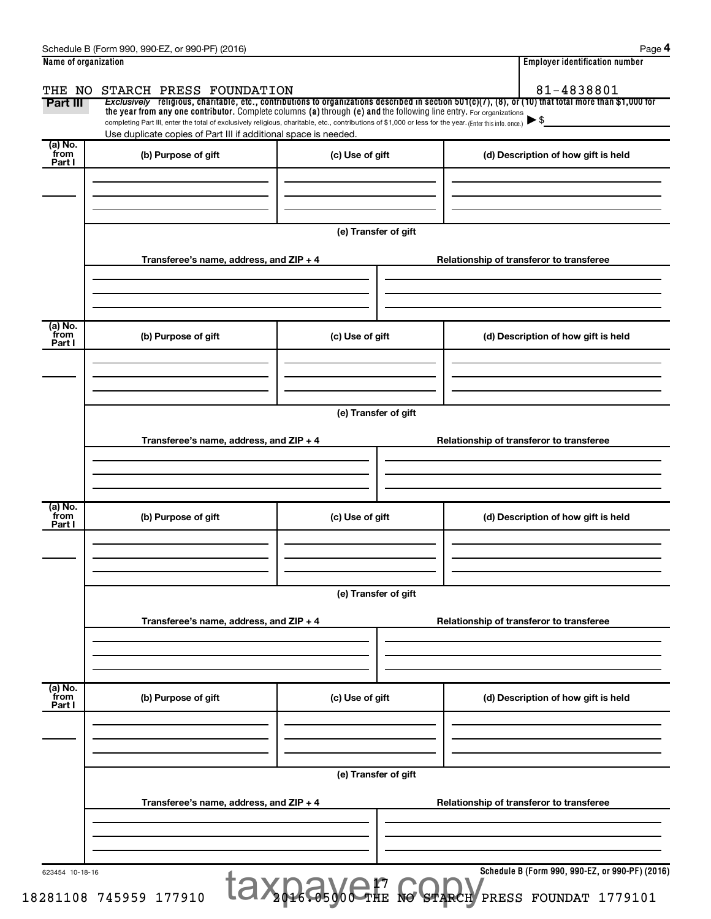|                                        | Schedule B (Form 990, 990-EZ, or 990-PF) (2016)                                                                                                                                                                                                                                                            |                      |                                                                                                                                                                     | Page 4 |  |  |  |
|----------------------------------------|------------------------------------------------------------------------------------------------------------------------------------------------------------------------------------------------------------------------------------------------------------------------------------------------------------|----------------------|---------------------------------------------------------------------------------------------------------------------------------------------------------------------|--------|--|--|--|
| Name of organization                   |                                                                                                                                                                                                                                                                                                            |                      | <b>Employer identification number</b>                                                                                                                               |        |  |  |  |
| THE NO<br>Part III                     | STARCH PRESS FOUNDATION<br>the year from any one contributor. Complete columns (a) through (e) and the following line entry. For organizations<br>completing Part III, enter the total of exclusively religious, charitable, etc., contributions of \$1,000 or less for the year. (Enter this info. once.) |                      | 81-4838801<br>Exclusively religious, charitable, etc., contributions to organizations described in section 501(c)(7), (8), or (10) that total more than \$1,000 for |        |  |  |  |
| (a) No.                                | Use duplicate copies of Part III if additional space is needed.                                                                                                                                                                                                                                            |                      |                                                                                                                                                                     |        |  |  |  |
| from<br>Part I                         | (b) Purpose of gift                                                                                                                                                                                                                                                                                        | (c) Use of gift      | (d) Description of how gift is held                                                                                                                                 |        |  |  |  |
|                                        | Transferee's name, address, and ZIP + 4                                                                                                                                                                                                                                                                    | (e) Transfer of gift | Relationship of transferor to transferee                                                                                                                            |        |  |  |  |
|                                        |                                                                                                                                                                                                                                                                                                            |                      |                                                                                                                                                                     |        |  |  |  |
| $\overline{a}$ ) No.<br>from<br>Part I | (b) Purpose of gift                                                                                                                                                                                                                                                                                        | (c) Use of gift      | (d) Description of how gift is held                                                                                                                                 |        |  |  |  |
|                                        | Transferee's name, address, and ZIP + 4                                                                                                                                                                                                                                                                    | (e) Transfer of gift | Relationship of transferor to transferee                                                                                                                            |        |  |  |  |
| $\overline{a}$ ) No.<br>from<br>Part I | (b) Purpose of gift                                                                                                                                                                                                                                                                                        | (c) Use of gift      | (d) Description of how gift is held                                                                                                                                 |        |  |  |  |
|                                        | Transferee's name, address, and ZIP + 4                                                                                                                                                                                                                                                                    | (e) Transfer of gift | Relationship of transferor to transferee                                                                                                                            |        |  |  |  |
| (a) No.                                |                                                                                                                                                                                                                                                                                                            |                      |                                                                                                                                                                     |        |  |  |  |
| from<br>Part I                         | (b) Purpose of gift                                                                                                                                                                                                                                                                                        | (c) Use of gift      | (d) Description of how gift is held                                                                                                                                 |        |  |  |  |
|                                        | (e) Transfer of gift                                                                                                                                                                                                                                                                                       |                      |                                                                                                                                                                     |        |  |  |  |
|                                        | Transferee's name, address, and ZIP + 4                                                                                                                                                                                                                                                                    |                      | Relationship of transferor to transferee                                                                                                                            |        |  |  |  |
| 623454 10-18-16                        | 281108 745959 177910                                                                                                                                                                                                                                                                                       | taxnay CHE to STARCH | Schedule B (Form 990, 990-EZ, or 990-PF) (2016)<br>PRESS FOUNDAT 1779101                                                                                            |        |  |  |  |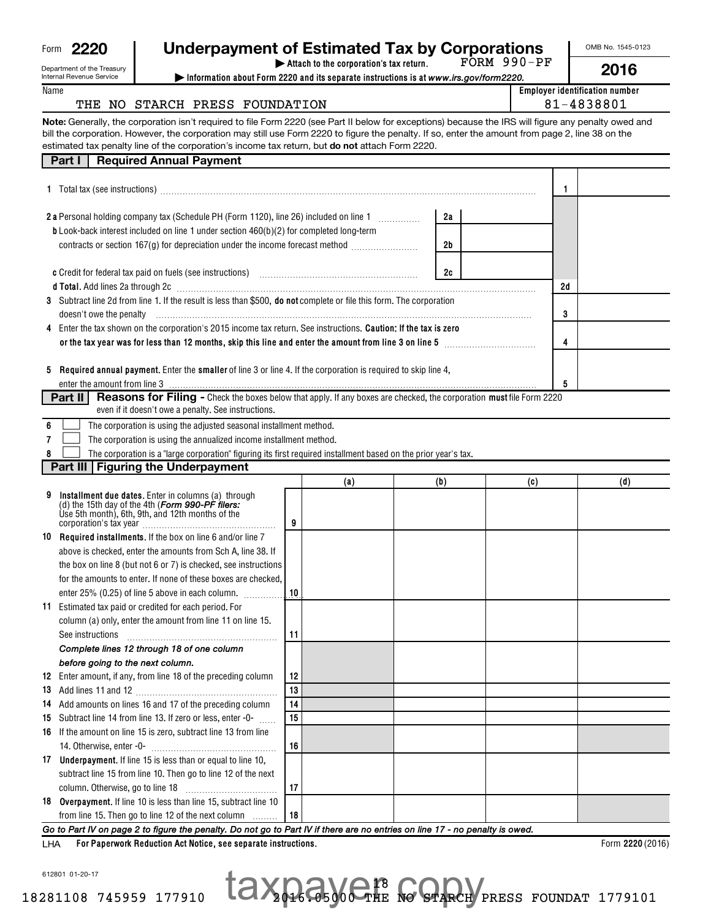| Form | 2220 |
|------|------|
|------|------|

# **2220 Underpayment of Estimated Tax by Corporations**

OMB No. 1545-0123

|      | Department of the Treasury<br>Internal Revenue Service<br>Information about Form 2220 and its separate instructions is at www.irs.gov/form2220.                                                                                                                                                                                                                                                               |    | Attach to the corporation's tax return. |     |    | $FORM 990-PF$                                       |    | 2016 |
|------|---------------------------------------------------------------------------------------------------------------------------------------------------------------------------------------------------------------------------------------------------------------------------------------------------------------------------------------------------------------------------------------------------------------|----|-----------------------------------------|-----|----|-----------------------------------------------------|----|------|
| Name | THE NO STARCH PRESS FOUNDATION                                                                                                                                                                                                                                                                                                                                                                                |    |                                         |     |    | <b>Employer identification number</b><br>81-4838801 |    |      |
|      | Note: Generally, the corporation isn't required to file Form 2220 (see Part II below for exceptions) because the IRS will figure any penalty owed and<br>bill the corporation. However, the corporation may still use Form 2220 to figure the penalty. If so, enter the amount from page 2, line 38 on the<br>estimated tax penalty line of the corporation's income tax return, but do not attach Form 2220. |    |                                         |     |    |                                                     |    |      |
|      | <b>Required Annual Payment</b><br>Part I                                                                                                                                                                                                                                                                                                                                                                      |    |                                         |     |    |                                                     |    |      |
|      | 1 Total tax (see instructions) manufacture contract to the contract of the contract of the contract of the contract of the contract of the contract of the contract of the contract of the contract of the contract of the con                                                                                                                                                                                |    |                                         |     |    |                                                     | 1  |      |
|      |                                                                                                                                                                                                                                                                                                                                                                                                               |    |                                         |     |    |                                                     |    |      |
|      | 2 a Personal holding company tax (Schedule PH (Form 1120), line 26) included on line 1 [1] [1]                                                                                                                                                                                                                                                                                                                |    |                                         |     | 2a |                                                     |    |      |
|      | b Look-back interest included on line 1 under section 460(b)(2) for completed long-term                                                                                                                                                                                                                                                                                                                       |    |                                         |     |    |                                                     |    |      |
|      | contracts or section 167(g) for depreciation under the income forecast method <i></i>                                                                                                                                                                                                                                                                                                                         |    |                                         |     | 2b |                                                     |    |      |
|      |                                                                                                                                                                                                                                                                                                                                                                                                               |    |                                         |     |    |                                                     |    |      |
|      | c Credit for federal tax paid on fuels (see instructions) with an according contained the Credit for federal tax                                                                                                                                                                                                                                                                                              |    |                                         |     | 2c |                                                     |    |      |
|      | d Total. Add lines 2a through 2c [11] March 20 [11] March 20 [11] March 20 [11] March 20 [11] March 20 [11] March 20 [11] March 20 [11] March 20 [11] March 20 [11] March 20 [11] March 20 [11] March 20 [11] March 20 [11] Ma                                                                                                                                                                                |    |                                         |     |    |                                                     | 2d |      |
|      | 3 Subtract line 2d from line 1. If the result is less than \$500, do not complete or file this form. The corporation                                                                                                                                                                                                                                                                                          |    |                                         |     |    |                                                     |    |      |
|      | doesn't owe the penalty communication control of the penalty control of the penalty control of the penalty control of the penalty control of the penalty control of the state of the state of the state of the state of the st                                                                                                                                                                                |    |                                         |     |    |                                                     | 3  |      |
|      | 4 Enter the tax shown on the corporation's 2015 income tax return. See instructions. Caution: If the tax is zero                                                                                                                                                                                                                                                                                              |    |                                         |     |    |                                                     |    |      |
|      |                                                                                                                                                                                                                                                                                                                                                                                                               |    |                                         |     |    |                                                     | 4  |      |
|      | 5 Required annual payment. Enter the smaller of line 3 or line 4. If the corporation is required to skip line 4.                                                                                                                                                                                                                                                                                              |    |                                         |     |    |                                                     |    |      |
|      |                                                                                                                                                                                                                                                                                                                                                                                                               |    |                                         |     |    |                                                     | 5  |      |
|      | <b>Reasons for Filing -</b> Check the boxes below that apply. If any boxes are checked, the corporation must file Form 2220<br>Part II                                                                                                                                                                                                                                                                        |    |                                         |     |    |                                                     |    |      |
|      | even if it doesn't owe a penalty. See instructions.                                                                                                                                                                                                                                                                                                                                                           |    |                                         |     |    |                                                     |    |      |
| 6    | The corporation is using the adjusted seasonal installment method.                                                                                                                                                                                                                                                                                                                                            |    |                                         |     |    |                                                     |    |      |
| 7    | The corporation is using the annualized income installment method.                                                                                                                                                                                                                                                                                                                                            |    |                                         |     |    |                                                     |    |      |
| 8    | The corporation is a "large corporation" figuring its first required installment based on the prior year's tax.                                                                                                                                                                                                                                                                                               |    |                                         |     |    |                                                     |    |      |
|      | Part III   Figuring the Underpayment                                                                                                                                                                                                                                                                                                                                                                          |    |                                         |     |    |                                                     |    |      |
|      |                                                                                                                                                                                                                                                                                                                                                                                                               |    | (a)                                     | (b) |    | (c)                                                 |    | (d)  |
| 9    | Installment due dates. Enter in columns (a) through                                                                                                                                                                                                                                                                                                                                                           |    |                                         |     |    |                                                     |    |      |
|      | (d) the 15th day of the 4th (Form 990-PF filers:<br>Use 5th month), 6th, 9th, and 12th months of the                                                                                                                                                                                                                                                                                                          | 9  |                                         |     |    |                                                     |    |      |
|      | 10 Required installments. If the box on line 6 and/or line 7                                                                                                                                                                                                                                                                                                                                                  |    |                                         |     |    |                                                     |    |      |
|      | above is checked, enter the amounts from Sch A, line 38. If                                                                                                                                                                                                                                                                                                                                                   |    |                                         |     |    |                                                     |    |      |
|      | the box on line 8 (but not 6 or 7) is checked, see instructions                                                                                                                                                                                                                                                                                                                                               |    |                                         |     |    |                                                     |    |      |
|      | for the amounts to enter. If none of these boxes are checked,                                                                                                                                                                                                                                                                                                                                                 |    |                                         |     |    |                                                     |    |      |
|      | enter 25% (0.25) of line 5 above in each column.                                                                                                                                                                                                                                                                                                                                                              | 10 |                                         |     |    |                                                     |    |      |
|      | 11 Estimated tax paid or credited for each period. For                                                                                                                                                                                                                                                                                                                                                        |    |                                         |     |    |                                                     |    |      |
|      | column (a) only, enter the amount from line 11 on line 15.                                                                                                                                                                                                                                                                                                                                                    |    |                                         |     |    |                                                     |    |      |
|      | See instructions                                                                                                                                                                                                                                                                                                                                                                                              | 11 |                                         |     |    |                                                     |    |      |
|      | Complete lines 12 through 18 of one column                                                                                                                                                                                                                                                                                                                                                                    |    |                                         |     |    |                                                     |    |      |
|      | before going to the next column.                                                                                                                                                                                                                                                                                                                                                                              |    |                                         |     |    |                                                     |    |      |
|      | 12 Enter amount, if any, from line 18 of the preceding column                                                                                                                                                                                                                                                                                                                                                 | 12 |                                         |     |    |                                                     |    |      |
|      |                                                                                                                                                                                                                                                                                                                                                                                                               | 13 |                                         |     |    |                                                     |    |      |
|      | 14 Add amounts on lines 16 and 17 of the preceding column                                                                                                                                                                                                                                                                                                                                                     | 14 |                                         |     |    |                                                     |    |      |
|      | 15 Subtract line 14 from line 13. If zero or less, enter -0-                                                                                                                                                                                                                                                                                                                                                  | 15 |                                         |     |    |                                                     |    |      |
|      | 16 If the amount on line 15 is zero, subtract line 13 from line                                                                                                                                                                                                                                                                                                                                               |    |                                         |     |    |                                                     |    |      |
|      |                                                                                                                                                                                                                                                                                                                                                                                                               | 16 |                                         |     |    |                                                     |    |      |
|      | 17 Underpayment. If line 15 is less than or equal to line 10,                                                                                                                                                                                                                                                                                                                                                 |    |                                         |     |    |                                                     |    |      |
|      | subtract line 15 from line 10. Then go to line 12 of the next                                                                                                                                                                                                                                                                                                                                                 |    |                                         |     |    |                                                     |    |      |
|      |                                                                                                                                                                                                                                                                                                                                                                                                               | 17 |                                         |     |    |                                                     |    |      |
|      | 18 Overpayment. If line 10 is less than line 15, subtract line 10                                                                                                                                                                                                                                                                                                                                             |    |                                         |     |    |                                                     |    |      |

**18**

*Go to Part IV on page 2 to figure the penalty. Do not go to Part IV if there are no entries on line 17 - no penalty is owed.*

**For Paperwork Reduction Act Notice, see separate instructions.** LHA

from line 15. Then go to line 12 of the next column

Form  $2220(2016)$ 

612801 01-20-17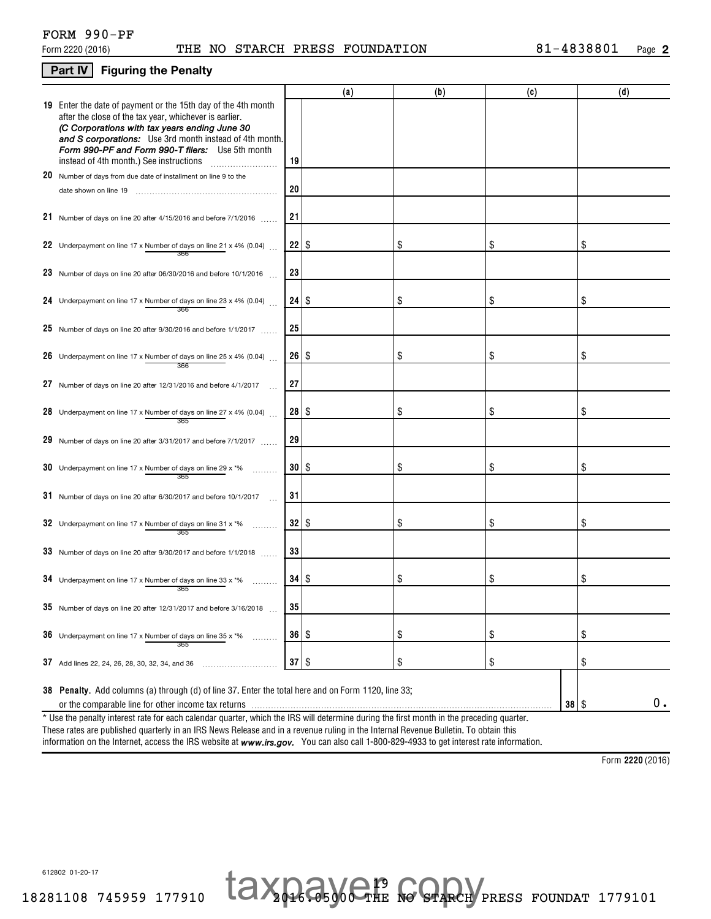### **Part IV** Figuring the Penalty

|                                                                                                                                                                                                                                                                                                                                           |                      | (a) | (b) | (c)       | (d) |
|-------------------------------------------------------------------------------------------------------------------------------------------------------------------------------------------------------------------------------------------------------------------------------------------------------------------------------------------|----------------------|-----|-----|-----------|-----|
| <b>19</b> Enter the date of payment or the 15th day of the 4th month<br>after the close of the tax year, whichever is earlier.<br>(C Corporations with tax years ending June 30<br>and S corporations: Use 3rd month instead of 4th month.<br>Form 990-PF and Form 990-T filers: Use 5th month<br>instead of 4th month.) See instructions | 19                   |     |     |           |     |
| 20 Number of days from due date of installment on line 9 to the                                                                                                                                                                                                                                                                           |                      |     |     |           |     |
| date shown on line 19                                                                                                                                                                                                                                                                                                                     | 20                   |     |     |           |     |
| 21 Number of days on line 20 after 4/15/2016 and before 7/1/2016                                                                                                                                                                                                                                                                          | 21                   |     |     |           |     |
| 22 Underpayment on line 17 x Number of days on line 21 x 4% (0.04)                                                                                                                                                                                                                                                                        | 22                   | \$  | \$  | \$        | \$  |
| 23 Number of days on line 20 after 06/30/2016 and before 10/1/2016 $\ldots$                                                                                                                                                                                                                                                               | 23                   |     |     |           |     |
| 24 Underpayment on line 17 x Number of days on line 23 x 4% (0.04)<br>366                                                                                                                                                                                                                                                                 | 24                   | \$  | \$  | \$        | \$  |
| 25 Number of days on line 20 after 9/30/2016 and before 1/1/2017                                                                                                                                                                                                                                                                          | 25                   |     |     |           |     |
| 26 Underpayment on line 17 x Number of days on line 25 x 4% (0.04)<br>366                                                                                                                                                                                                                                                                 | 26                   | \$  | \$  | \$        | \$  |
| 27 Number of days on line 20 after 12/31/2016 and before 4/1/2017                                                                                                                                                                                                                                                                         | 27                   |     |     |           |     |
| 28 Underpayment on line 17 x Number of days on line 27 x 4% (0.04)<br>365                                                                                                                                                                                                                                                                 | 28                   | \$  | \$  | \$        | \$  |
| 29 Number of days on line 20 after 3/31/2017 and before $7/1/2017$                                                                                                                                                                                                                                                                        | 29                   |     |     |           |     |
| <b>30</b> Underpayment on line 17 x Number of days on line 29 x $*$ %<br>365                                                                                                                                                                                                                                                              | 30   \$              |     | \$  | \$        | \$  |
| 31 Number of days on line 20 after 6/30/2017 and before 10/1/2017                                                                                                                                                                                                                                                                         | 31                   |     |     |           |     |
| 32 Underpayment on line 17 x Number of days on line 31 x $*$ %<br>365                                                                                                                                                                                                                                                                     | 32   \$              |     | \$  | \$        | \$  |
| 33 Number of days on line 20 after $9/30/2017$ and before $1/1/2018$                                                                                                                                                                                                                                                                      | 33                   |     |     |           |     |
| 34 Underpayment on line 17 x Number of days on line 33 x $*$ %<br>365                                                                                                                                                                                                                                                                     | 34                   | \$  | \$  | \$        | \$  |
| 35 Number of days on line 20 after 12/31/2017 and before 3/16/2018                                                                                                                                                                                                                                                                        | 35                   |     |     |           |     |
| 36 Underpayment on line 17 x Number of days on line 35 x $*$ %<br>.<br>365                                                                                                                                                                                                                                                                | $36 \mid$ \$         |     | \$  | \$        | \$  |
| 37 Add lines 22, 24, 26, 28, 30, 32, 34, and 36                                                                                                                                                                                                                                                                                           | $37$ \ $\frac{6}{3}$ |     | \$  | \$        | \$  |
| 38 Penalty. Add columns (a) through (d) of line 37. Enter the total here and on Form 1120, line 33;                                                                                                                                                                                                                                       |                      |     |     |           |     |
|                                                                                                                                                                                                                                                                                                                                           |                      |     |     | $38  $ \$ | 0.  |
| * Use the penalty interest rate for each calendar quarter, which the IRS will determine during the first month in the preceding quarter.                                                                                                                                                                                                  |                      |     |     |           |     |
|                                                                                                                                                                                                                                                                                                                                           |                      |     |     |           |     |

information on the Internet, access the IRS website at **www.irs.gov.** You can also call 1-800-829-4933 to get interest rate information. These rates are published quarterly in an IRS News Release and in a revenue ruling in the Internal Revenue Bulletin. To obtain this

**2220**  Form (2016)

612802 01-20-17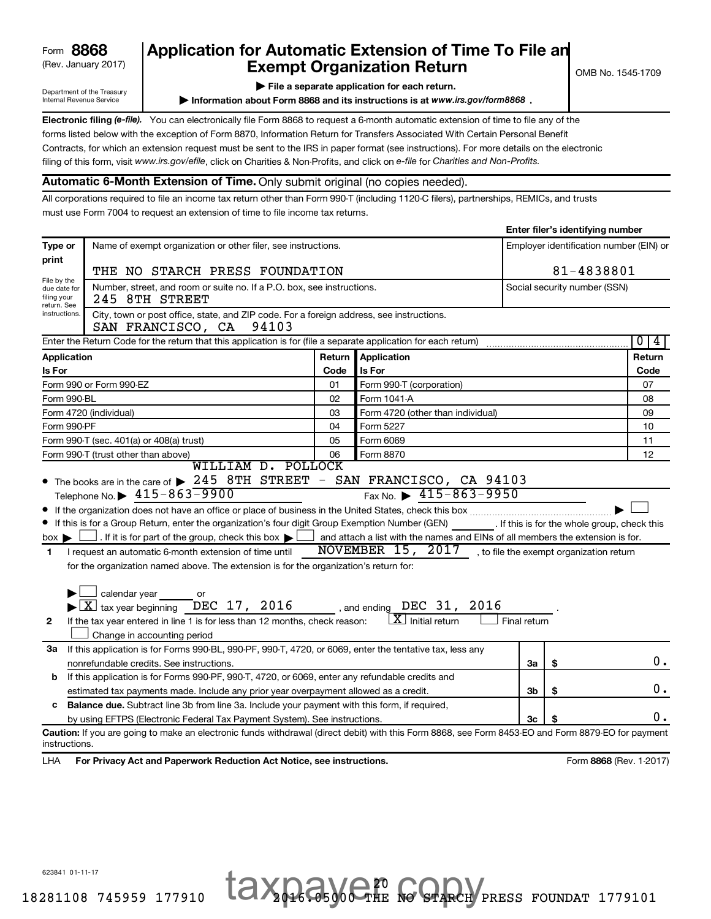| 8868<br>Form |
|--------------|
|--------------|

Department of the Treasury Internal Revenue Service

# (Rev. January 2017) **Exempt Organization Return** and  $\overline{\text{C}}$  OMB No. 1545-1709 Form **8868** Application for Automatic Extension of Time To File an<br>**Exempt Organization Beturn**<br>Frempt Organization Beturn

**| File a separate application for each return.**

**Information about Form 8868 and its instructions is at www.irs.gov/form8868.** 

Electronic filing (e-file). You can electronically file Form 8868 to request a 6-month automatic extension of time to file any of the filing of this form, visit www.irs.gov/efile, click on Charities & Non-Profits, and click on e-file for Charities and Non-Profits. forms listed below with the exception of Form 8870, Information Return for Transfers Associated With Certain Personal Benefit Contracts, for which an extension request must be sent to the IRS in paper format (see instructions). For more details on the electronic

## **Automatic 6-Month Extension of Time.** Only submit original (no copies needed).

All corporations required to file an income tax return other than Form 990-T (including 1120-C filers), partnerships, REMICs, and trusts must use Form 7004 to request an extension of time to file income tax returns.

|                                                                                                                                         |                                                                                                                                                                                                                                                                                                                                                                                                                                                                                                                                                                                                                                                                           |        |                                                                                                                                                                                             |              | enter mer o raentnying namber            |                         |  |  |  |  |
|-----------------------------------------------------------------------------------------------------------------------------------------|---------------------------------------------------------------------------------------------------------------------------------------------------------------------------------------------------------------------------------------------------------------------------------------------------------------------------------------------------------------------------------------------------------------------------------------------------------------------------------------------------------------------------------------------------------------------------------------------------------------------------------------------------------------------------|--------|---------------------------------------------------------------------------------------------------------------------------------------------------------------------------------------------|--------------|------------------------------------------|-------------------------|--|--|--|--|
| Type or                                                                                                                                 | Name of exempt organization or other filer, see instructions.<br>Employer identification number (EIN) or                                                                                                                                                                                                                                                                                                                                                                                                                                                                                                                                                                  |        |                                                                                                                                                                                             |              |                                          |                         |  |  |  |  |
| print                                                                                                                                   |                                                                                                                                                                                                                                                                                                                                                                                                                                                                                                                                                                                                                                                                           |        |                                                                                                                                                                                             |              |                                          |                         |  |  |  |  |
| File by the                                                                                                                             | 81-4838801<br>THE NO STARCH PRESS FOUNDATION                                                                                                                                                                                                                                                                                                                                                                                                                                                                                                                                                                                                                              |        |                                                                                                                                                                                             |              |                                          |                         |  |  |  |  |
| due date for<br>filing your<br>return. See                                                                                              | Number, street, and room or suite no. If a P.O. box, see instructions.<br>Social security number (SSN)<br>245 8TH STREET                                                                                                                                                                                                                                                                                                                                                                                                                                                                                                                                                  |        |                                                                                                                                                                                             |              |                                          |                         |  |  |  |  |
| instructions.<br>City, town or post office, state, and ZIP code. For a foreign address, see instructions.<br>SAN FRANCISCO, CA<br>94103 |                                                                                                                                                                                                                                                                                                                                                                                                                                                                                                                                                                                                                                                                           |        |                                                                                                                                                                                             |              |                                          |                         |  |  |  |  |
|                                                                                                                                         | Enter the Return Code for the return that this application is for (file a separate application for each return)                                                                                                                                                                                                                                                                                                                                                                                                                                                                                                                                                           |        |                                                                                                                                                                                             |              |                                          | $\overline{0}$<br>4     |  |  |  |  |
| Application                                                                                                                             |                                                                                                                                                                                                                                                                                                                                                                                                                                                                                                                                                                                                                                                                           | Return | <b>Application</b>                                                                                                                                                                          |              |                                          | Return                  |  |  |  |  |
| Is For                                                                                                                                  |                                                                                                                                                                                                                                                                                                                                                                                                                                                                                                                                                                                                                                                                           | Code   | Is For                                                                                                                                                                                      |              |                                          | Code                    |  |  |  |  |
|                                                                                                                                         | Form 990 or Form 990-EZ                                                                                                                                                                                                                                                                                                                                                                                                                                                                                                                                                                                                                                                   | 01     | Form 990-T (corporation)                                                                                                                                                                    |              |                                          | 07                      |  |  |  |  |
| Form 990-BL                                                                                                                             |                                                                                                                                                                                                                                                                                                                                                                                                                                                                                                                                                                                                                                                                           | 02     | Form 1041-A                                                                                                                                                                                 |              |                                          | 08                      |  |  |  |  |
|                                                                                                                                         | Form 4720 (individual)                                                                                                                                                                                                                                                                                                                                                                                                                                                                                                                                                                                                                                                    | 03     | Form 4720 (other than individual)                                                                                                                                                           |              |                                          | 09                      |  |  |  |  |
| Form 990-PF                                                                                                                             |                                                                                                                                                                                                                                                                                                                                                                                                                                                                                                                                                                                                                                                                           | 04     | Form 5227                                                                                                                                                                                   |              |                                          | 10                      |  |  |  |  |
|                                                                                                                                         | Form 990-T (sec. 401(a) or 408(a) trust)                                                                                                                                                                                                                                                                                                                                                                                                                                                                                                                                                                                                                                  | 05     | Form 6069                                                                                                                                                                                   |              |                                          | 11                      |  |  |  |  |
|                                                                                                                                         | Form 990-T (trust other than above)                                                                                                                                                                                                                                                                                                                                                                                                                                                                                                                                                                                                                                       | 06     | Form 8870                                                                                                                                                                                   |              |                                          | 12                      |  |  |  |  |
| $box \blacktriangleright$ 1<br>1.<br>$\mathbf{2}$                                                                                       | Telephone No. $\triangleright$ 415-863-9900<br>If this is for a Group Return, enter the organization's four digit Group Exemption Number (GEN) [If this is for the whole group, check this<br>. If it is for part of the group, check this box $\blacktriangleright$<br>I request an automatic 6-month extension of time until<br>for the organization named above. The extension is for the organization's return for:<br>$\Box$ calendar year<br>or<br>$\blacktriangleright$ $\boxed{\text{X}}$ tax year beginning DEC 17, 2016 , and ending DEC 31, 2016<br>If the tax year entered in line 1 is for less than 12 months, check reason:<br>Change in accounting period |        | Fax No. $\triangleright$ 415-863-9950<br>and attach a list with the names and EINs of all members the extension is for.<br>NOVEMBER 15, 2017<br>$\lfloor \texttt{X} \rfloor$ Initial return | Final return | , to file the exempt organization return |                         |  |  |  |  |
| За                                                                                                                                      | If this application is for Forms 990-BL, 990-PF, 990-T, 4720, or 6069, enter the tentative tax, less any                                                                                                                                                                                                                                                                                                                                                                                                                                                                                                                                                                  |        |                                                                                                                                                                                             |              |                                          |                         |  |  |  |  |
|                                                                                                                                         | nonrefundable credits. See instructions.                                                                                                                                                                                                                                                                                                                                                                                                                                                                                                                                                                                                                                  |        |                                                                                                                                                                                             | За           | \$                                       | 0.                      |  |  |  |  |
| b                                                                                                                                       | If this application is for Forms 990-PF, 990-T, 4720, or 6069, enter any refundable credits and                                                                                                                                                                                                                                                                                                                                                                                                                                                                                                                                                                           |        |                                                                                                                                                                                             |              |                                          |                         |  |  |  |  |
|                                                                                                                                         | estimated tax payments made. Include any prior year overpayment allowed as a credit.                                                                                                                                                                                                                                                                                                                                                                                                                                                                                                                                                                                      |        |                                                                                                                                                                                             | 3b           | \$                                       | 0.                      |  |  |  |  |
| с                                                                                                                                       | Balance due. Subtract line 3b from line 3a. Include your payment with this form, if required,                                                                                                                                                                                                                                                                                                                                                                                                                                                                                                                                                                             |        |                                                                                                                                                                                             |              |                                          |                         |  |  |  |  |
|                                                                                                                                         | by using EFTPS (Electronic Federal Tax Payment System). See instructions.                                                                                                                                                                                                                                                                                                                                                                                                                                                                                                                                                                                                 |        |                                                                                                                                                                                             | Зc           |                                          | 0.                      |  |  |  |  |
| instructions.                                                                                                                           | Caution: If you are going to make an electronic funds withdrawal (direct debit) with this Form 8868, see Form 8453-EO and Form 8879-EO for payment                                                                                                                                                                                                                                                                                                                                                                                                                                                                                                                        |        |                                                                                                                                                                                             |              |                                          |                         |  |  |  |  |
| LHA                                                                                                                                     | For Privacy Act and Paperwork Reduction Act Notice, see instructions.                                                                                                                                                                                                                                                                                                                                                                                                                                                                                                                                                                                                     |        |                                                                                                                                                                                             |              |                                          | Form 8868 (Rev. 1-2017) |  |  |  |  |

20

623841 01-11-17

**Enter filer's identifying number**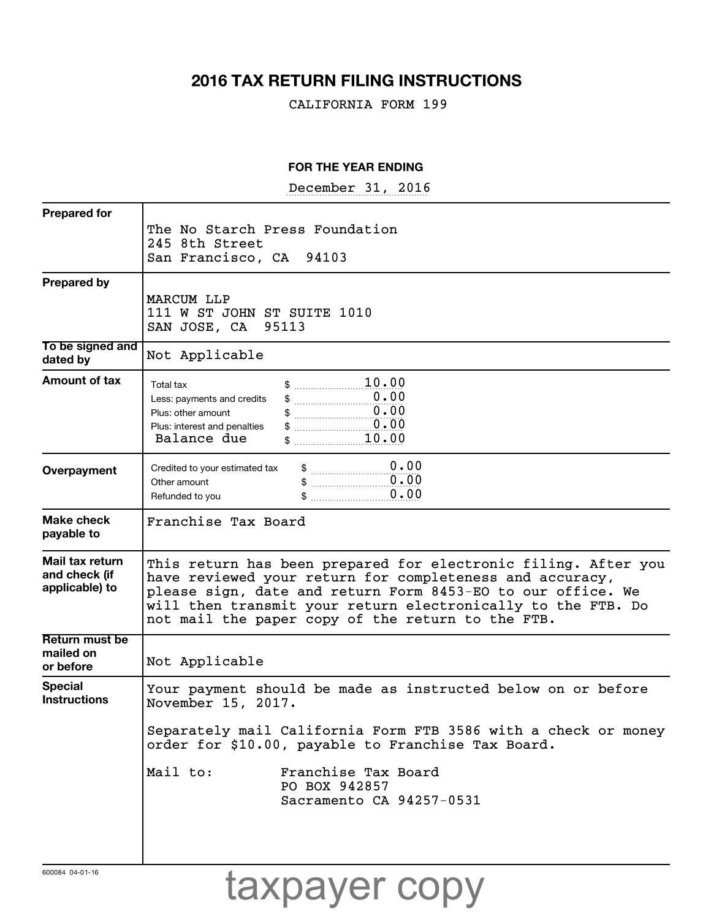# **2016 TAX RETURN FILING INSTRUCTIONS**

CALIFORNIA FORM 199

## **FOR THE YEAR ENDING**

December 31, 2016

| The No Starch Press Foundation<br>245 8th Street<br>San Francisco, CA 94103<br>MARCUM LLP<br>111 W ST JOHN ST SUITE 1010<br>SAN JOSE, CA 95113<br>Not Applicable |
|------------------------------------------------------------------------------------------------------------------------------------------------------------------|
|                                                                                                                                                                  |
|                                                                                                                                                                  |
|                                                                                                                                                                  |
|                                                                                                                                                                  |
|                                                                                                                                                                  |
|                                                                                                                                                                  |
|                                                                                                                                                                  |
|                                                                                                                                                                  |
|                                                                                                                                                                  |
|                                                                                                                                                                  |
| \$ 10.00<br>Total tax                                                                                                                                            |
| 0.00<br>Less: payments and credits                                                                                                                               |
| $\overline{0.00}$<br>Plus: other amount                                                                                                                          |
| $\begin{array}{c} 0.00 \end{array}$<br>Plus: interest and penalties<br>\$ 10.00<br>Balance due                                                                   |
|                                                                                                                                                                  |
| \$ 0.00<br>Credited to your estimated tax                                                                                                                        |
| $\begin{array}{c} 0.00 \end{array}$<br>Other amount                                                                                                              |
| \$ 0.00<br>Refunded to you                                                                                                                                       |
| Franchise Tax Board                                                                                                                                              |
|                                                                                                                                                                  |
|                                                                                                                                                                  |
| This return has been prepared for electronic filing. After you                                                                                                   |
| have reviewed your return for completeness and accuracy,<br>please sign, date and return Form 8453-EO to our office. We                                          |
| will then transmit your return electronically to the FTB. Do                                                                                                     |
| not mail the paper copy of the return to the FTB.                                                                                                                |
|                                                                                                                                                                  |
|                                                                                                                                                                  |
| Not Applicable                                                                                                                                                   |
| Your payment should be made as instructed below on or before                                                                                                     |
| November 15, 2017.                                                                                                                                               |
|                                                                                                                                                                  |
| order for \$10.00, payable to Franchise Tax Board.                                                                                                               |
|                                                                                                                                                                  |
|                                                                                                                                                                  |
| Sacramento CA 94257-0531                                                                                                                                         |
|                                                                                                                                                                  |
|                                                                                                                                                                  |
|                                                                                                                                                                  |
| Separately mail California Form FTB 3586 with a check or money<br>Mail to:<br>Franchise Tax Board<br>PO BOX 942857                                               |
|                                                                                                                                                                  |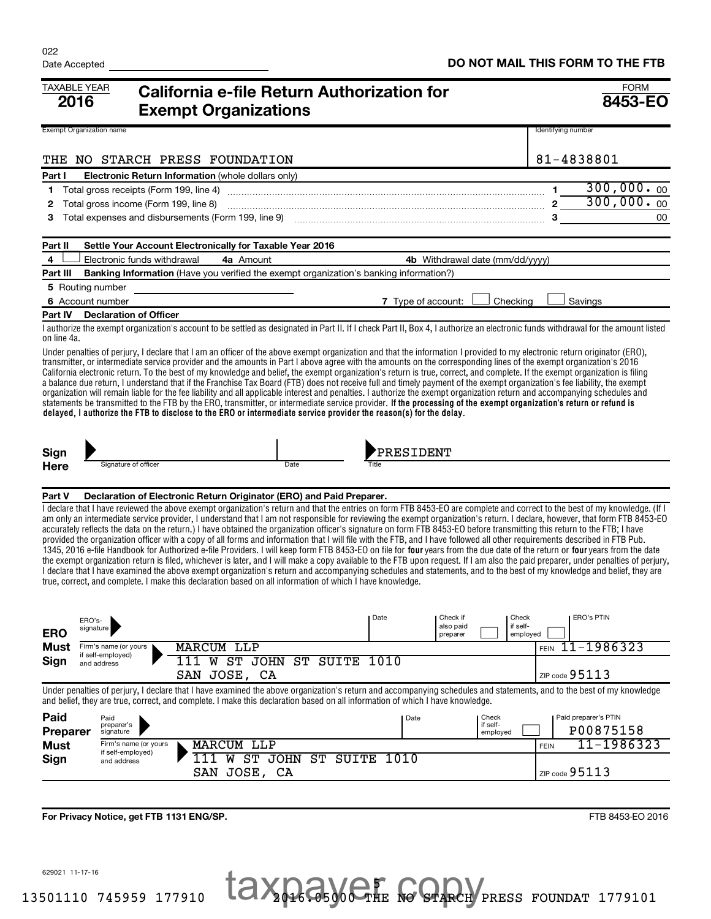| TAXABLE YEAR<br>2016            |                                            | California e-file Return Authorization for<br><b>Exempt Organizations</b>                                                                                                                                                                                                                                                                                                                                                                                                                                                                                                                                                                                                                                                                                                                                                                                                                                                                                                                                                                                                                                                                                                                                                                                                                                                                                                                                                                            |                         |                    |                       |                                 |             |                      | <b>FORM</b><br>8453-EO |
|---------------------------------|--------------------------------------------|------------------------------------------------------------------------------------------------------------------------------------------------------------------------------------------------------------------------------------------------------------------------------------------------------------------------------------------------------------------------------------------------------------------------------------------------------------------------------------------------------------------------------------------------------------------------------------------------------------------------------------------------------------------------------------------------------------------------------------------------------------------------------------------------------------------------------------------------------------------------------------------------------------------------------------------------------------------------------------------------------------------------------------------------------------------------------------------------------------------------------------------------------------------------------------------------------------------------------------------------------------------------------------------------------------------------------------------------------------------------------------------------------------------------------------------------------|-------------------------|--------------------|-----------------------|---------------------------------|-------------|----------------------|------------------------|
| <b>Exempt Organization name</b> |                                            |                                                                                                                                                                                                                                                                                                                                                                                                                                                                                                                                                                                                                                                                                                                                                                                                                                                                                                                                                                                                                                                                                                                                                                                                                                                                                                                                                                                                                                                      |                         |                    |                       |                                 |             | Identifying number   |                        |
| THE                             |                                            | NO STARCH PRESS FOUNDATION                                                                                                                                                                                                                                                                                                                                                                                                                                                                                                                                                                                                                                                                                                                                                                                                                                                                                                                                                                                                                                                                                                                                                                                                                                                                                                                                                                                                                           |                         |                    |                       |                                 |             | 81-4838801           |                        |
| Part I                          |                                            | Electronic Return Information (whole dollars only)                                                                                                                                                                                                                                                                                                                                                                                                                                                                                                                                                                                                                                                                                                                                                                                                                                                                                                                                                                                                                                                                                                                                                                                                                                                                                                                                                                                                   |                         |                    |                       |                                 |             |                      |                        |
| 1                               | Total gross receipts (Form 199, line 4)    |                                                                                                                                                                                                                                                                                                                                                                                                                                                                                                                                                                                                                                                                                                                                                                                                                                                                                                                                                                                                                                                                                                                                                                                                                                                                                                                                                                                                                                                      |                         |                    |                       |                                 |             | $\mathbf 1$          | 300,000.00             |
| 2                               | Total gross income (Form 199, line 8)      |                                                                                                                                                                                                                                                                                                                                                                                                                                                                                                                                                                                                                                                                                                                                                                                                                                                                                                                                                                                                                                                                                                                                                                                                                                                                                                                                                                                                                                                      |                         |                    |                       |                                 |             | $2^{\circ}$          | 300,000.00             |
| 3                               |                                            |                                                                                                                                                                                                                                                                                                                                                                                                                                                                                                                                                                                                                                                                                                                                                                                                                                                                                                                                                                                                                                                                                                                                                                                                                                                                                                                                                                                                                                                      |                         |                    |                       |                                 |             |                      | 00                     |
| Part II                         |                                            | Settle Your Account Electronically for Taxable Year 2016                                                                                                                                                                                                                                                                                                                                                                                                                                                                                                                                                                                                                                                                                                                                                                                                                                                                                                                                                                                                                                                                                                                                                                                                                                                                                                                                                                                             |                         |                    |                       |                                 |             |                      |                        |
| 4                               | Electronic funds withdrawal                | 4a Amount                                                                                                                                                                                                                                                                                                                                                                                                                                                                                                                                                                                                                                                                                                                                                                                                                                                                                                                                                                                                                                                                                                                                                                                                                                                                                                                                                                                                                                            |                         |                    |                       | 4b Withdrawal date (mm/dd/yyyy) |             |                      |                        |
| Part III                        |                                            | <b>Banking Information</b> (Have you verified the exempt organization's banking information?)                                                                                                                                                                                                                                                                                                                                                                                                                                                                                                                                                                                                                                                                                                                                                                                                                                                                                                                                                                                                                                                                                                                                                                                                                                                                                                                                                        |                         |                    |                       |                                 |             |                      |                        |
| 5 Routing number                |                                            |                                                                                                                                                                                                                                                                                                                                                                                                                                                                                                                                                                                                                                                                                                                                                                                                                                                                                                                                                                                                                                                                                                                                                                                                                                                                                                                                                                                                                                                      |                         |                    |                       |                                 |             |                      |                        |
| 6 Account number                |                                            |                                                                                                                                                                                                                                                                                                                                                                                                                                                                                                                                                                                                                                                                                                                                                                                                                                                                                                                                                                                                                                                                                                                                                                                                                                                                                                                                                                                                                                                      |                         | 7 Type of account: |                       | Checking                        |             | Savings              |                        |
| Part IV                         | <b>Declaration of Officer</b>              |                                                                                                                                                                                                                                                                                                                                                                                                                                                                                                                                                                                                                                                                                                                                                                                                                                                                                                                                                                                                                                                                                                                                                                                                                                                                                                                                                                                                                                                      |                         |                    |                       |                                 |             |                      |                        |
| on line 4a.                     |                                            | I authorize the exempt organization's account to be settled as designated in Part II. If I check Part II, Box 4, I authorize an electronic funds withdrawal for the amount listed                                                                                                                                                                                                                                                                                                                                                                                                                                                                                                                                                                                                                                                                                                                                                                                                                                                                                                                                                                                                                                                                                                                                                                                                                                                                    |                         |                    |                       |                                 |             |                      |                        |
|                                 |                                            | transmitter, or intermediate service provider and the amounts in Part I above agree with the amounts on the corresponding lines of the exempt organization's 2016<br>California electronic return. To the best of my knowledge and belief, the exempt organization's return is true, correct, and complete. If the exempt organization is filing<br>a balance due return, I understand that if the Franchise Tax Board (FTB) does not receive full and timely payment of the exempt organization's fee liability, the exempt<br>organization will remain liable for the fee liability and all applicable interest and penalties. I authorize the exempt organization return and accompanying schedules and<br>statements be transmitted to the FTB by the ERO, transmitter, or intermediate service provider. If the processing of the exempt organization's return or refund is<br>delayed, I authorize the FTB to disclose to the ERO or intermediate service provider the reason(s) for the delay.                                                                                                                                                                                                                                                                                                                                                                                                                                                |                         |                    |                       |                                 |             |                      |                        |
| Sign                            |                                            |                                                                                                                                                                                                                                                                                                                                                                                                                                                                                                                                                                                                                                                                                                                                                                                                                                                                                                                                                                                                                                                                                                                                                                                                                                                                                                                                                                                                                                                      |                         | <b>PRESIDENT</b>   |                       |                                 |             |                      |                        |
| Here                            | Signature of officer                       |                                                                                                                                                                                                                                                                                                                                                                                                                                                                                                                                                                                                                                                                                                                                                                                                                                                                                                                                                                                                                                                                                                                                                                                                                                                                                                                                                                                                                                                      | Date                    | Title              |                       |                                 |             |                      |                        |
|                                 |                                            |                                                                                                                                                                                                                                                                                                                                                                                                                                                                                                                                                                                                                                                                                                                                                                                                                                                                                                                                                                                                                                                                                                                                                                                                                                                                                                                                                                                                                                                      |                         |                    |                       |                                 |             |                      |                        |
| Part V                          |                                            | Declaration of Electronic Return Originator (ERO) and Paid Preparer.<br>I declare that I have reviewed the above exempt organization's return and that the entries on form FTB 8453-EO are complete and correct to the best of my knowledge. (If I<br>am only an intermediate service provider, I understand that I am not responsible for reviewing the exempt organization's return. I declare, however, that form FTB 8453-EO<br>accurately reflects the data on the return.) I have obtained the organization officer's signature on form FTB 8453-EO before transmitting this return to the FTB; I have<br>provided the organization officer with a copy of all forms and information that I will file with the FTB, and I have followed all other requirements described in FTB Pub.<br>1345, 2016 e-file Handbook for Authorized e-file Providers. I will keep form FTB 8453-EO on file for four years from the due date of the return or four years from the date<br>the exempt organization return is filed, whichever is later, and I will make a copy available to the FTB upon request. If I am also the paid preparer, under penalties of perjury,<br>I declare that I have examined the above exempt organization's return and accompanying schedules and statements, and to the best of my knowledge and belief, they are<br>true, correct, and complete. I make this declaration based on all information of which I have knowledge. |                         |                    |                       |                                 |             |                      |                        |
| ERO's-                          |                                            |                                                                                                                                                                                                                                                                                                                                                                                                                                                                                                                                                                                                                                                                                                                                                                                                                                                                                                                                                                                                                                                                                                                                                                                                                                                                                                                                                                                                                                                      |                         | Date               | Check if<br>also paid | Check<br>if self-               |             | <b>ERO's PTIN</b>    |                        |
| <b>ERO</b>                      | signature                                  |                                                                                                                                                                                                                                                                                                                                                                                                                                                                                                                                                                                                                                                                                                                                                                                                                                                                                                                                                                                                                                                                                                                                                                                                                                                                                                                                                                                                                                                      |                         |                    | preparer              |                                 | employed    |                      |                        |
| Must                            | Firm's name (or yours<br>if self-employed) | <b>MARCUM LLP</b>                                                                                                                                                                                                                                                                                                                                                                                                                                                                                                                                                                                                                                                                                                                                                                                                                                                                                                                                                                                                                                                                                                                                                                                                                                                                                                                                                                                                                                    |                         |                    |                       |                                 | <b>FEIN</b> | 11-1986323           |                        |
| Sign                            | and address                                | 111<br>SAN JOSE, CA                                                                                                                                                                                                                                                                                                                                                                                                                                                                                                                                                                                                                                                                                                                                                                                                                                                                                                                                                                                                                                                                                                                                                                                                                                                                                                                                                                                                                                  | W ST JOHN ST SUITE 1010 |                    |                       |                                 |             | ZIP code $95113$     |                        |
|                                 |                                            | Under penalties of periury, I declare that I have examined the above organization's return and accompanying schedules and statements, and to the best of my knowledge                                                                                                                                                                                                                                                                                                                                                                                                                                                                                                                                                                                                                                                                                                                                                                                                                                                                                                                                                                                                                                                                                                                                                                                                                                                                                |                         |                    |                       |                                 |             |                      |                        |
|                                 |                                            | and belief, they are true, correct, and complete. I make this declaration based on all information of which I have knowledge.                                                                                                                                                                                                                                                                                                                                                                                                                                                                                                                                                                                                                                                                                                                                                                                                                                                                                                                                                                                                                                                                                                                                                                                                                                                                                                                        |                         |                    |                       |                                 |             |                      |                        |
| Paid                            | Paid<br>preparer's                         |                                                                                                                                                                                                                                                                                                                                                                                                                                                                                                                                                                                                                                                                                                                                                                                                                                                                                                                                                                                                                                                                                                                                                                                                                                                                                                                                                                                                                                                      |                         | Date               |                       | Check<br>if self-               |             | Paid preparer's PTIN |                        |
| <b>Preparer</b>                 | signature                                  |                                                                                                                                                                                                                                                                                                                                                                                                                                                                                                                                                                                                                                                                                                                                                                                                                                                                                                                                                                                                                                                                                                                                                                                                                                                                                                                                                                                                                                                      |                         |                    |                       | employed                        |             | P00875158            |                        |
| <b>Must</b>                     | Firm's name (or yours<br>if self-employed) | <b>MARCUM LLP</b>                                                                                                                                                                                                                                                                                                                                                                                                                                                                                                                                                                                                                                                                                                                                                                                                                                                                                                                                                                                                                                                                                                                                                                                                                                                                                                                                                                                                                                    |                         |                    |                       |                                 | <b>FEIN</b> |                      | 11-1986323             |
| Sign                            | and address                                | 111<br>SAN JOSE, CA                                                                                                                                                                                                                                                                                                                                                                                                                                                                                                                                                                                                                                                                                                                                                                                                                                                                                                                                                                                                                                                                                                                                                                                                                                                                                                                                                                                                                                  | W ST JOHN ST SUITE      | 1010               |                       |                                 |             | ZIP code $95113$     |                        |
|                                 |                                            |                                                                                                                                                                                                                                                                                                                                                                                                                                                                                                                                                                                                                                                                                                                                                                                                                                                                                                                                                                                                                                                                                                                                                                                                                                                                                                                                                                                                                                                      |                         |                    |                       |                                 |             |                      |                        |

**For Privacy Notice, get FTB 1131 ENG/SP.**

629021 11-17-16

FTB 8453-EO 2016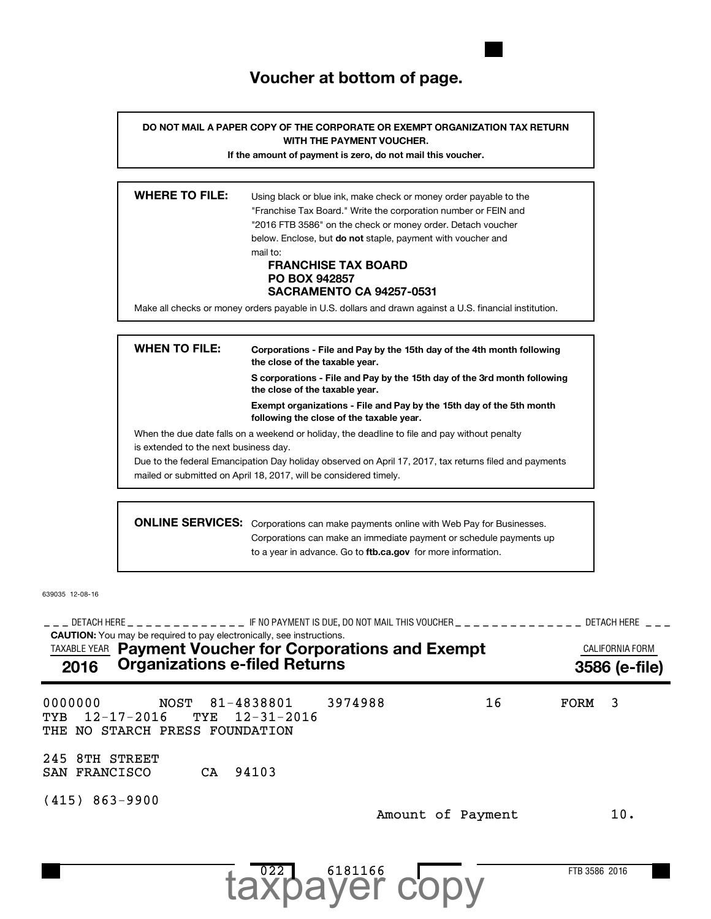# **Voucher at bottom of page.**

**DO NOT MAIL A PAPER COPY OF THE CORPORATE OR EXEMPT ORGANIZATION TAX RETURN WITH THE PAYMENT VOUCHER.**

**If the amount of payment is zero, do not mail this voucher.**

| <b>WHERE TO FILE:</b> | Using black or blue ink, make check or money order payable to the<br>"Franchise Tax Board." Write the corporation number or FEIN and<br>"2016 FTB 3586" on the check or money order. Detach voucher |
|-----------------------|-----------------------------------------------------------------------------------------------------------------------------------------------------------------------------------------------------|
|                       | below. Enclose, but <b>do not</b> staple, payment with voucher and                                                                                                                                  |
|                       | mail to:<br><b>FRANCHISE TAX BOARD</b><br><b>PO BOX 942857</b><br><b>SACRAMENTO CA 94257-0531</b>                                                                                                   |
|                       | Make all checks or money orders payable in U.S. dollars and drawn against a U.S. financial institution.                                                                                             |
|                       |                                                                                                                                                                                                     |

| <b>WHEN TO FILE:</b>                  | Corporations - File and Pay by the 15th day of the 4th month following<br>the close of the taxable year.         |  |  |  |  |  |  |  |
|---------------------------------------|------------------------------------------------------------------------------------------------------------------|--|--|--|--|--|--|--|
|                                       | S corporations - File and Pay by the 15th day of the 3rd month following<br>the close of the taxable year.       |  |  |  |  |  |  |  |
|                                       | Exempt organizations - File and Pay by the 15th day of the 5th month<br>following the close of the taxable year. |  |  |  |  |  |  |  |
|                                       | When the due date falls on a weekend or holiday, the deadline to file and pay without penalty                    |  |  |  |  |  |  |  |
| is extended to the next business day. |                                                                                                                  |  |  |  |  |  |  |  |
|                                       | Due to the federal Emancipation Day holiday observed on April 17, 2017, tax returns filed and payments           |  |  |  |  |  |  |  |
|                                       | mailed or submitted on April 18, 2017, will be considered timely.                                                |  |  |  |  |  |  |  |
|                                       |                                                                                                                  |  |  |  |  |  |  |  |
|                                       | <b>ONLINE SERVICES:</b> Corporations can make payments online with Web Pay for Businesses.                       |  |  |  |  |  |  |  |

to a year in advance. Go to ftb.ca.gov for more information. ons can make payments online with Web Pay for Businesses. Corporations can make an immediate payment or schedule payments up

639035 12-08-16

**CAUTION:** You may be required to pay electronically, see instructions. \_\_\_ DETACH HERE \_ \_ \_ \_ \_ \_ \_ \_ \_ \_ \_ \_ F NO PAYMENT IS DUE, DO NOT MAIL THIS VOUCHER \_ \_ \_ \_ \_ \_ \_ \_ \_ \_ \_ \_ \_ \_ DETACH HERE \_ \_ \_ TAXABLE YEAR **Payment Voucher for Corporations and Exempt Exampt CALIFORNIA FORM 2016 Organizations e-filed Returns 3586 (e-file)** 0000000 NOST 81-4838801 3974988 16 FORM 3 TYB 12-17-2016 TYE 12-31-2016 THE NO STARCH PRESS FOUNDATION 245 8TH STREET SAN FRANCISCO CA 94103 (415) 863-9900 Amount of Payment 10.

6181166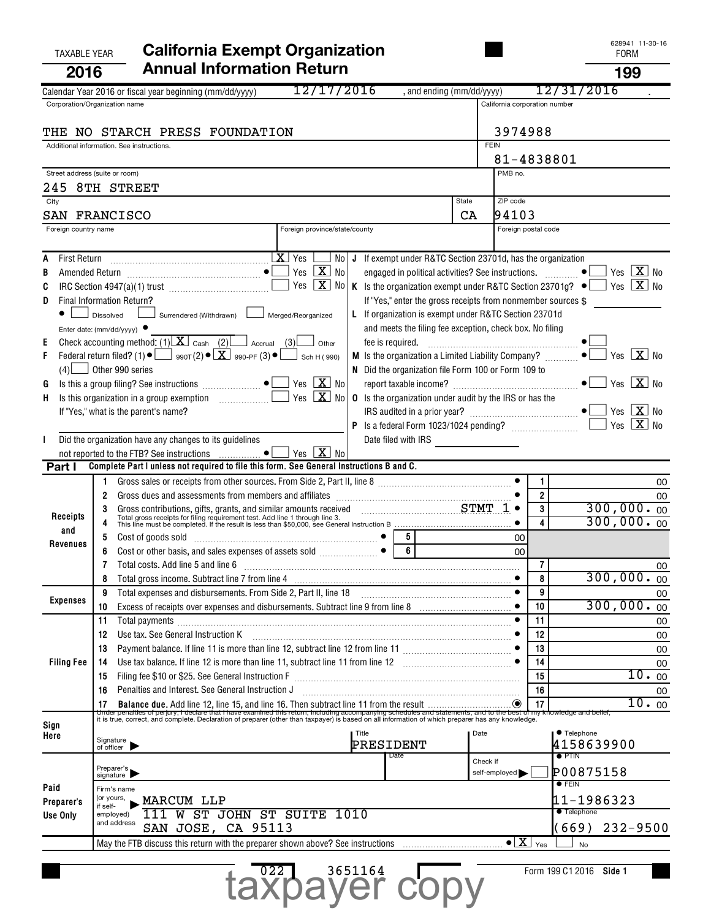# TAXABLE YEAR **California Exempt Organization California Exempt Organization 2016 Annual Information Return 199**

|                      |                                                                                                                                                                                                                                | 12/17/2016                    |                                                                   |             |                               |                         |                                       |
|----------------------|--------------------------------------------------------------------------------------------------------------------------------------------------------------------------------------------------------------------------------|-------------------------------|-------------------------------------------------------------------|-------------|-------------------------------|-------------------------|---------------------------------------|
|                      | Calendar Year 2016 or fiscal year beginning (mm/dd/yyyy)                                                                                                                                                                       |                               | , and ending (mm/dd/yyyy)                                         |             |                               | 127                     | /2016<br>-31                          |
|                      | Corporation/Organization name                                                                                                                                                                                                  |                               |                                                                   |             | California corporation number |                         |                                       |
|                      |                                                                                                                                                                                                                                |                               |                                                                   |             |                               |                         |                                       |
|                      | THE NO STARCH PRESS FOUNDATION                                                                                                                                                                                                 |                               |                                                                   |             | 3974988                       |                         |                                       |
|                      | Additional information. See instructions.                                                                                                                                                                                      |                               |                                                                   | <b>FEIN</b> |                               |                         |                                       |
|                      |                                                                                                                                                                                                                                |                               |                                                                   |             | 81-4838801                    |                         |                                       |
|                      | Street address (suite or room)                                                                                                                                                                                                 |                               |                                                                   |             | PMB no.                       |                         |                                       |
|                      | 245 8TH STREET                                                                                                                                                                                                                 |                               |                                                                   |             |                               |                         |                                       |
| City                 |                                                                                                                                                                                                                                |                               |                                                                   | State       | ZIP code                      |                         |                                       |
|                      | <b>SAN FRANCISCO</b>                                                                                                                                                                                                           |                               |                                                                   | CA          | 94103                         |                         |                                       |
| Foreign country name |                                                                                                                                                                                                                                | Foreign province/state/county |                                                                   |             | Foreign postal code           |                         |                                       |
|                      |                                                                                                                                                                                                                                |                               |                                                                   |             |                               |                         |                                       |
|                      |                                                                                                                                                                                                                                |                               | No   J If exempt under R&TC Section 23701d, has the organization  |             |                               |                         |                                       |
|                      |                                                                                                                                                                                                                                | Yes $X$ No                    |                                                                   |             |                               |                         | Yes $X$ No                            |
| C                    |                                                                                                                                                                                                                                | Yes $X$ No                    | K Is the organization exempt under R&TC Section 23701g? $\bullet$ |             |                               |                         | Yes $X$ No                            |
| D                    | Final Information Return?                                                                                                                                                                                                      |                               | If "Yes," enter the gross receipts from nonmember sources \$      |             |                               |                         |                                       |
|                      | Surrendered (Withdrawn) [166]<br>Dissolved                                                                                                                                                                                     | Merged/Reorganized            | L If organization is exempt under R&TC Section 23701d             |             |                               |                         |                                       |
|                      |                                                                                                                                                                                                                                |                               | and meets the filing fee exception, check box. No filing          |             |                               |                         |                                       |
|                      | Enter date: (mm/dd/yyyy)<br>Check accounting method: (1) $X \cdot$ Cash (2) $\sqrt{2}$ Accrual (3)                                                                                                                             |                               |                                                                   |             |                               |                         |                                       |
| Е                    | Federal return filed? (1) $\bullet$ $\Box$ 990 $\tau$ (2) $\bullet$ $\Box$ 990-PF (3) $\bullet$ $\Box$ Sch H (990)                                                                                                             | Other                         | fee is required.                                                  |             |                               |                         | Yes $\overline{\mathbf{X}}$ No        |
| F                    |                                                                                                                                                                                                                                |                               |                                                                   |             |                               |                         |                                       |
|                      | $(4)$ Other 990 series                                                                                                                                                                                                         |                               | N Did the organization file Form 100 or Form 109 to               |             |                               |                         | $\sqrt{}$ Yes $\boxed{\mathbf{X}}$ No |
| G                    | Is this a group filing? See instructions $\Box$                                                                                                                                                                                | Yes $X$ No                    |                                                                   |             |                               |                         |                                       |
| H.                   |                                                                                                                                                                                                                                | Yes $X_{0}$                   | <b>0</b> Is the organization under audit by the IRS or has the    |             |                               |                         |                                       |
|                      | If "Yes," what is the parent's name?                                                                                                                                                                                           |                               |                                                                   |             |                               |                         | Yes $X$<br>No                         |
|                      |                                                                                                                                                                                                                                |                               |                                                                   |             |                               |                         | $Yes \overline{X}$<br>No              |
|                      | Did the organization have any changes to its guidelines                                                                                                                                                                        |                               | Date filed with IRS                                               |             |                               |                         |                                       |
|                      |                                                                                                                                                                                                                                | Yes $X$ No                    |                                                                   |             |                               |                         |                                       |
| Part I               | Complete Part I unless not required to file this form. See General Instructions B and C.                                                                                                                                       |                               |                                                                   |             |                               |                         |                                       |
|                      |                                                                                                                                                                                                                                |                               |                                                                   |             |                               | $\mathbf{1}$            | 00                                    |
|                      | 2                                                                                                                                                                                                                              |                               |                                                                   |             |                               | $\overline{2}$          | 00                                    |
|                      | 3                                                                                                                                                                                                                              |                               |                                                                   |             |                               | 3                       | 300,000.00                            |
| Receipts             | Gross contributions, gifts, grants, and similar amounts received CHART TO TOTAL TOTAL TOTAL TOTAL TOTAL TOTAL TOTAL TOTAL TOTAL TOTAL TOTAL TOTAL TOTAL TOTAL TOTAL TOTAL TOTAL TOTAL TOTAL TOTAL TOTAL TOTAL TOTAL TOTAL TOTA |                               |                                                                   |             |                               | $\overline{\mathbf{A}}$ | 300,000.00                            |
| and                  | Cost of goods sold entertainment and the cost of goods sold<br>5                                                                                                                                                               |                               | 5                                                                 |             | 00                            |                         |                                       |
| Revenues             | 6                                                                                                                                                                                                                              |                               | $\overline{6}$                                                    |             | 00                            |                         |                                       |
|                      | Total costs. Add line 5 and line 6                                                                                                                                                                                             |                               |                                                                   |             |                               | $\overline{7}$          | 00                                    |
|                      |                                                                                                                                                                                                                                |                               |                                                                   |             |                               | 8                       | 300,000.00                            |
|                      | Total expenses and disbursements. From Side 2, Part II, line 18<br>9                                                                                                                                                           |                               |                                                                   |             |                               | 9                       | 00                                    |
| Expenses             | 10                                                                                                                                                                                                                             |                               |                                                                   |             |                               | 10                      | 300,000.00                            |
|                      | 11<br>Total payments                                                                                                                                                                                                           |                               |                                                                   |             |                               | 11                      | 00                                    |
|                      | Use tax. See General Instruction K<br>12                                                                                                                                                                                       |                               |                                                                   |             |                               | 12                      | 00                                    |
|                      | Payment balance. If line 11 is more than line 12, subtract line 12 from line 11 [1] [1] [1] [1] [1] [1] [1] [1<br>13                                                                                                           |                               |                                                                   |             |                               | 13                      | 00                                    |
| <b>Filing Fee</b>    | Use tax balance. If line 12 is more than line 11, subtract line 11 from line 12 [11] [12] [12] [12] [12] [13] [13] Use tax balance. If line 12 [13] [13] Use tax balance. If line 12<br>14                                     |                               |                                                                   |             |                               | 14                      | 00                                    |
|                      | 15                                                                                                                                                                                                                             |                               |                                                                   |             |                               | 15                      | 10.00                                 |
|                      | Penalties and Interest. See General Instruction J<br>16                                                                                                                                                                        |                               |                                                                   |             |                               | 16                      | 00                                    |
|                      |                                                                                                                                                                                                                                |                               |                                                                   |             |                               |                         | 10.00                                 |
|                      |                                                                                                                                                                                                                                |                               |                                                                   |             |                               |                         |                                       |
| Sign                 |                                                                                                                                                                                                                                |                               |                                                                   |             |                               |                         |                                       |
| Here                 | Signature<br>of officer                                                                                                                                                                                                        |                               | Title                                                             | Date        |                               |                         | • Telephone                           |
|                      |                                                                                                                                                                                                                                |                               | PRESIDENT<br>Date                                                 |             |                               |                         | 4158639900<br>$\bullet$ PTIN          |
|                      |                                                                                                                                                                                                                                |                               |                                                                   | Check if    |                               |                         |                                       |
|                      | Preparer's<br>signature                                                                                                                                                                                                        |                               |                                                                   |             | self-employed                 |                         | P00875158<br>$\bullet$ FEIN           |
| Paid                 | Firm's name                                                                                                                                                                                                                    |                               |                                                                   |             |                               |                         |                                       |
| Preparer's           | (or yours,<br>MARCUM LLP<br>if self-                                                                                                                                                                                           |                               |                                                                   |             |                               |                         | 11-1986323                            |
| Use Only             | W<br>employed)<br>and address                                                                                                                                                                                                  | ST JOHN ST SUITE 1010         |                                                                   |             |                               |                         | <b>Telephone</b>                      |
|                      | SAN JOSE, CA 95113                                                                                                                                                                                                             |                               |                                                                   |             |                               |                         | $232 - 9500$<br>(669)                 |
|                      |                                                                                                                                                                                                                                |                               |                                                                   |             | $\bullet$   X                 | Yes                     | <b>No</b>                             |
|                      |                                                                                                                                                                                                                                |                               |                                                                   |             |                               |                         |                                       |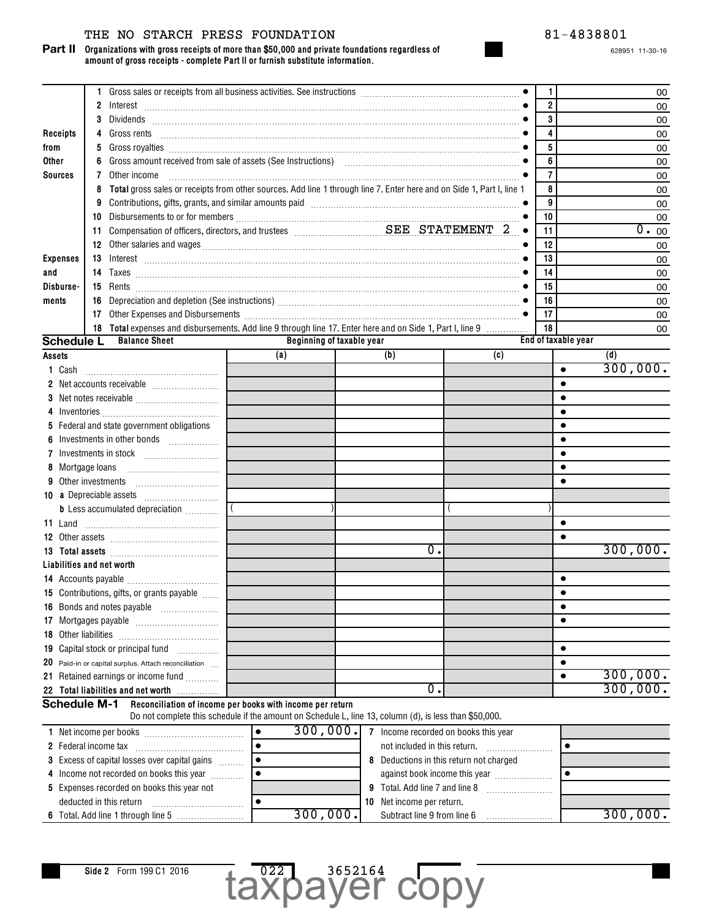## THE NO STARCH PRESS FOUNDATION 81-4838801

**Organizations with gross receipts of more than \$50,000 and private foundations regardless of amount of gross receipts - complete Part II or furnish substitute information. Part II**

|                           | 1. |                                                                                                                       |           |                           |          |                              |    |                                         | 1              |                     | 00       |
|---------------------------|----|-----------------------------------------------------------------------------------------------------------------------|-----------|---------------------------|----------|------------------------------|----|-----------------------------------------|----------------|---------------------|----------|
|                           |    |                                                                                                                       |           |                           |          |                              |    |                                         | $\overline{2}$ |                     | 00       |
|                           | 3  |                                                                                                                       |           |                           |          |                              |    |                                         | 3              |                     | 00       |
| Receipts                  |    |                                                                                                                       |           |                           |          |                              |    |                                         | 4              |                     | 00       |
| from                      | 5  |                                                                                                                       |           |                           |          |                              |    |                                         | 5              |                     | 00       |
| Other                     | 6  |                                                                                                                       |           |                           |          |                              |    |                                         | 6              |                     | 00       |
| <b>Sources</b>            | 7  | Other income                                                                                                          |           |                           |          |                              |    |                                         | $\overline{7}$ |                     | 00       |
|                           | 8  | Total gross sales or receipts from other sources. Add line 1 through line 7. Enter here and on Side 1, Part I, line 1 |           |                           |          |                              |    |                                         | 8              |                     | 00       |
|                           |    |                                                                                                                       |           |                           |          |                              |    |                                         | 9              |                     | 00       |
|                           |    |                                                                                                                       |           |                           |          |                              |    |                                         | 10             |                     | 00       |
|                           |    |                                                                                                                       |           |                           |          |                              |    |                                         | 11             |                     | 0.00     |
|                           |    |                                                                                                                       |           |                           |          |                              |    |                                         | 12             |                     | 00       |
| <b>Expenses</b>           |    |                                                                                                                       |           |                           |          |                              |    |                                         | 13             |                     | 00       |
| and                       |    |                                                                                                                       |           |                           |          |                              |    |                                         | 14             |                     | 00       |
| Disburse-                 |    |                                                                                                                       |           |                           |          |                              |    |                                         | 15             |                     | 00       |
| ments                     |    |                                                                                                                       |           |                           |          |                              |    |                                         | 16             |                     | 00       |
|                           |    |                                                                                                                       |           |                           |          |                              |    |                                         | 17             |                     | 00       |
|                           |    | 18 Total expenses and disbursements. Add line 9 through line 17. Enter here and on Side 1, Part I, line 9             |           |                           |          |                              |    |                                         | 18             |                     | 00       |
| <b>Schedule L</b>         |    | <b>Balance Sheet</b>                                                                                                  |           | Beginning of taxable year |          |                              |    |                                         |                | End of taxable year |          |
| Assets                    |    |                                                                                                                       |           | (a)                       |          | (b)                          |    | (c)                                     |                |                     | (d)      |
| 1 Cash                    |    |                                                                                                                       |           |                           |          |                              |    |                                         |                | $\bullet$           | 300,000. |
|                           |    |                                                                                                                       |           |                           |          |                              |    |                                         |                |                     |          |
|                           |    |                                                                                                                       |           |                           |          |                              |    |                                         |                |                     |          |
|                           |    |                                                                                                                       |           |                           |          |                              |    |                                         |                |                     |          |
|                           |    | 5 Federal and state government obligations                                                                            |           |                           |          |                              |    |                                         |                |                     |          |
|                           |    | Investments in other bonds                                                                                            |           |                           |          |                              |    |                                         |                |                     |          |
| 7                         |    |                                                                                                                       |           |                           |          |                              |    |                                         |                |                     |          |
| 8 Mortgage loans          |    |                                                                                                                       |           |                           |          |                              |    |                                         |                |                     |          |
| Other investments         |    |                                                                                                                       |           |                           |          |                              |    |                                         |                |                     |          |
|                           |    |                                                                                                                       |           |                           |          |                              |    |                                         |                |                     |          |
|                           |    | <b>b</b> Less accumulated depreciation                                                                                |           |                           |          |                              |    |                                         |                |                     |          |
| 11 Land                   |    |                                                                                                                       |           |                           |          |                              |    |                                         |                |                     |          |
|                           |    |                                                                                                                       |           |                           |          |                              |    |                                         |                |                     |          |
|                           |    |                                                                                                                       |           |                           |          |                              | 0. |                                         |                |                     | 300,000. |
| Liabilities and net worth |    |                                                                                                                       |           |                           |          |                              |    |                                         |                |                     |          |
|                           |    |                                                                                                                       |           |                           |          |                              |    |                                         |                |                     |          |
|                           |    | 15 Contributions, gifts, or grants payable                                                                            |           |                           |          |                              |    |                                         |                |                     |          |
|                           |    |                                                                                                                       |           |                           |          |                              |    |                                         |                | ٠                   |          |
| 17                        |    |                                                                                                                       |           |                           |          |                              |    |                                         |                |                     |          |
| 18 Other liabilities      |    |                                                                                                                       |           |                           |          |                              |    |                                         |                |                     |          |
|                           |    | 19 Capital stock or principal fund                                                                                    |           |                           |          |                              |    |                                         |                | $\bullet$           |          |
| 20                        |    | Paid-in or capital surplus. Attach reconciliation                                                                     |           |                           |          |                              |    |                                         |                | $\bullet$           |          |
| 21                        |    | Retained earnings or income fund                                                                                      |           |                           |          |                              |    |                                         |                |                     | 300,000. |
|                           |    | 22 Total liabilities and net worth                                                                                    |           |                           |          |                              | 0. |                                         |                |                     | 300,000. |
| <b>Schedule M-1</b>       |    | Reconciliation of income per books with income per return                                                             |           |                           |          |                              |    |                                         |                |                     |          |
|                           |    | Do not complete this schedule if the amount on Schedule L, line 13, column (d), is less than \$50,000.                |           |                           |          |                              |    |                                         |                |                     |          |
|                           |    |                                                                                                                       | $\bullet$ |                           | 300,000. |                              |    | 7 Income recorded on books this year    |                |                     |          |
| 2 Federal income tax      |    |                                                                                                                       | $\bullet$ |                           |          | not included in this return. |    |                                         |                | $\bullet$           |          |
|                           |    | 3 Excess of capital losses over capital gains                                                                         | $\bullet$ |                           |          |                              |    | 8 Deductions in this return not charged |                |                     |          |

| Income not recorded on books this year            |          |  | against book income this year    |       |      |
|---------------------------------------------------|----------|--|----------------------------------|-------|------|
| <b>5</b> Expenses recorded on books this year not |          |  | Total, Add line 7 and line 8     |       |      |
| deducted in this return                           |          |  | <b>10</b> Net income per return. |       |      |
| 6 Total. Add line 1 through line 5                | 300,000. |  | Subtract line 9 from line 6      | 300.7 | 000. |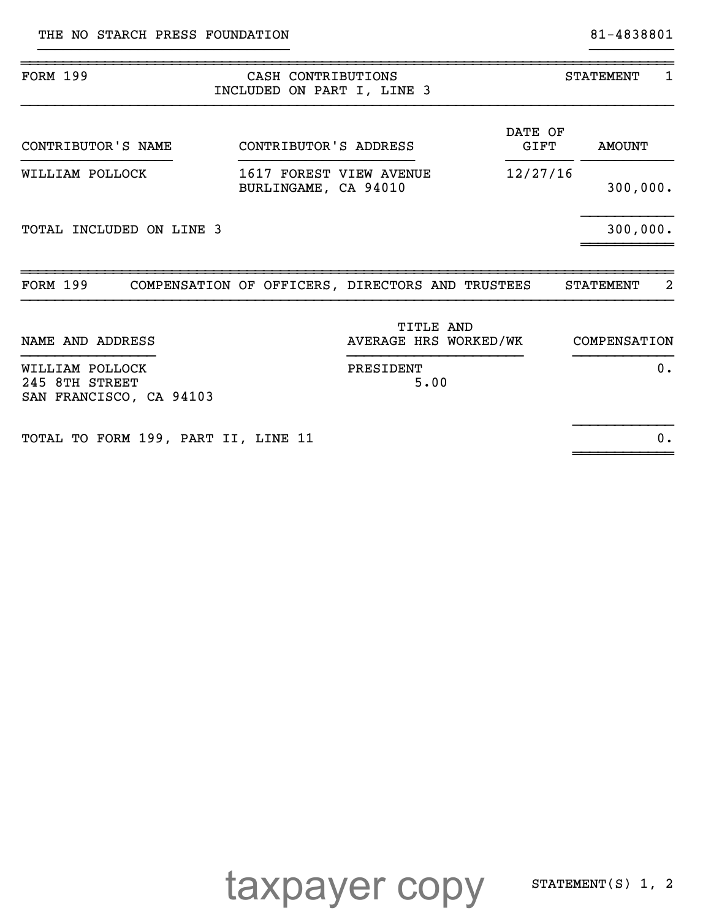~~~~~~~~~~~~

| <b>FORM 199</b>                                              | CASH CONTRIBUTIONS<br>INCLUDED ON PART I, LINE 3 |                 | <b>STATEMENT</b><br>1  |  |  |
|--------------------------------------------------------------|--------------------------------------------------|-----------------|------------------------|--|--|
| CONTRIBUTOR'S NAME                                           | CONTRIBUTOR'S ADDRESS                            | DATE OF<br>GIFT | <b>AMOUNT</b>          |  |  |
| WILLIAM POLLOCK                                              | 1617 FOREST VIEW AVENUE<br>BURLINGAME, CA 94010  | 12/27/16        | 300,000.               |  |  |
| <b>TOTAL INCLUDED ON LINE 3</b>                              |                                                  |                 | 300,000.               |  |  |
| <b>FORM 199</b>                                              | COMPENSATION OF OFFICERS, DIRECTORS AND TRUSTEES |                 | -2<br><b>STATEMENT</b> |  |  |
| NAME AND ADDRESS                                             | <b>TITLE AND</b><br>AVERAGE HRS WORKED/WK        |                 | COMPENSATION           |  |  |
| WILLIAM POLLOCK<br>245 8TH STREET<br>SAN FRANCISCO, CA 94103 | PRESIDENT<br>5.00                                |                 | 0.                     |  |  |
|                                                              |                                                  |                 |                        |  |  |

}}}}}}}}}}}}}}}}}}}}}}}}}}}}}} }}}}}}}}}}

TOTAL TO FORM 199, PART II, LINE 11 0.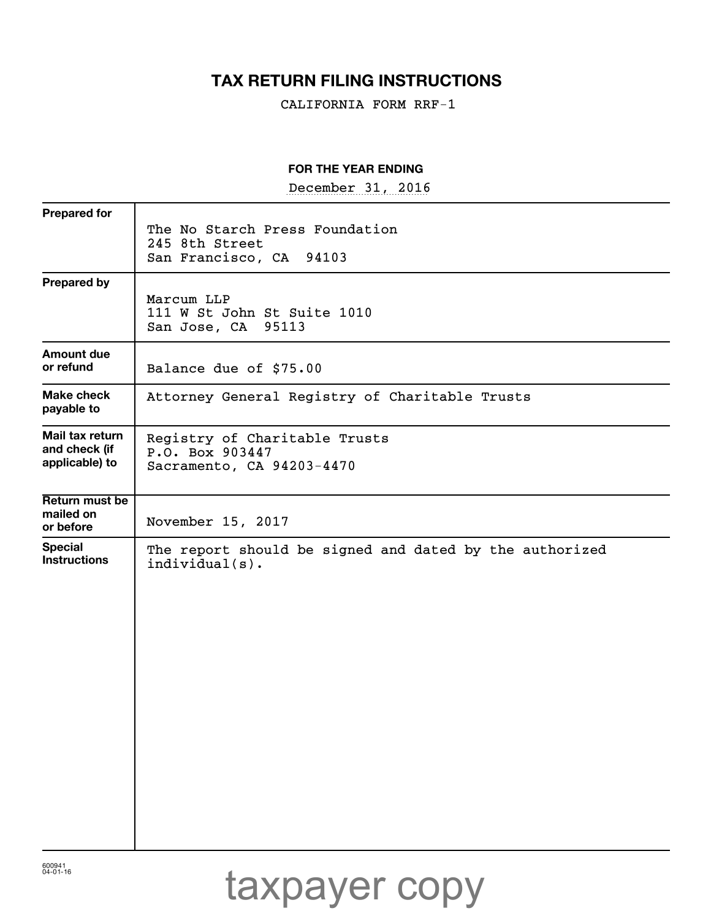# **TAX RETURN FILING INSTRUCTIONS**

CALIFORNIA FORM RRF-1

## **FOR THE YEAR ENDING**

December 31, 2016

| <b>Prepared for</b>                   |                                                                            |
|---------------------------------------|----------------------------------------------------------------------------|
|                                       | The No Starch Press Foundation<br>245 8th Street                           |
|                                       | San Francisco, CA 94103                                                    |
| <b>Prepared by</b>                    |                                                                            |
|                                       | Marcum LLP<br>111 W St John St Suite 1010                                  |
|                                       | San Jose, CA 95113                                                         |
| <b>Amount due</b><br>or refund        |                                                                            |
|                                       | Balance due of \$75.00                                                     |
| Make check<br>payable to              | Attorney General Registry of Charitable Trusts                             |
| Mail tax return<br>and check (if      | Registry of Charitable Trusts                                              |
| applicable) to                        | P.O. Box 903447<br>Sacramento, CA 94203-4470                               |
| Return must be                        |                                                                            |
| mailed on<br>or before                | November 15, 2017                                                          |
| <b>Special</b><br><b>Instructions</b> | The report should be signed and dated by the authorized<br>$indivial(s)$ . |
|                                       |                                                                            |
|                                       |                                                                            |
|                                       |                                                                            |
|                                       |                                                                            |
|                                       |                                                                            |
|                                       |                                                                            |
|                                       |                                                                            |
|                                       |                                                                            |
|                                       |                                                                            |
|                                       |                                                                            |
|                                       |                                                                            |
|                                       |                                                                            |